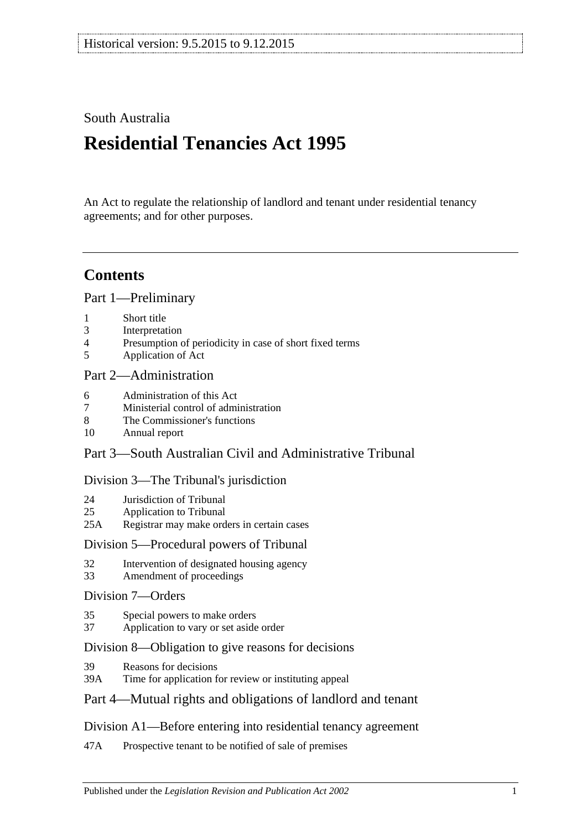## South Australia

# **Residential Tenancies Act 1995**

An Act to regulate the relationship of landlord and tenant under residential tenancy agreements; and for other purposes.

## **Contents**

[Part 1—Preliminary](#page-5-0)

- 1 [Short title](#page-5-1)
- 3 [Interpretation](#page-5-2)
- 4 [Presumption of periodicity in case of short fixed terms](#page-8-0)
- 5 [Application of Act](#page-8-1)

## [Part 2—Administration](#page-10-0)

- 6 [Administration](#page-10-1) of this Act
- 7 [Ministerial control of administration](#page-10-2)
- 8 [The Commissioner's functions](#page-10-3)
- 10 [Annual report](#page-11-0)

## Part [3—South Australian Civil and Administrative Tribunal](#page-11-1)

## [Division 3—The Tribunal's jurisdiction](#page-11-2)

- 24 [Jurisdiction of Tribunal](#page-11-3)
- 25 [Application to Tribunal](#page-11-4)
- 25A [Registrar may make orders in certain cases](#page-12-0)

## [Division 5—Procedural powers of Tribunal](#page-12-1)

- 32 [Intervention of designated housing agency](#page-12-2)
- 33 [Amendment of proceedings](#page-12-3)

## [Division 7—Orders](#page-12-4)

- 35 [Special powers to make orders](#page-12-5)
- 37 [Application to vary or set aside order](#page-12-6)

## [Division 8—Obligation to give reasons for decisions](#page-13-0)

- 39 [Reasons for decisions](#page-13-1)
- 39A [Time for application for review or instituting appeal](#page-13-2)

## [Part 4—Mutual rights and obligations of landlord and tenant](#page-13-3)

## [Division A1—Before entering into residential tenancy agreement](#page-13-4)

47A [Prospective tenant to be notified of sale of premises](#page-13-5)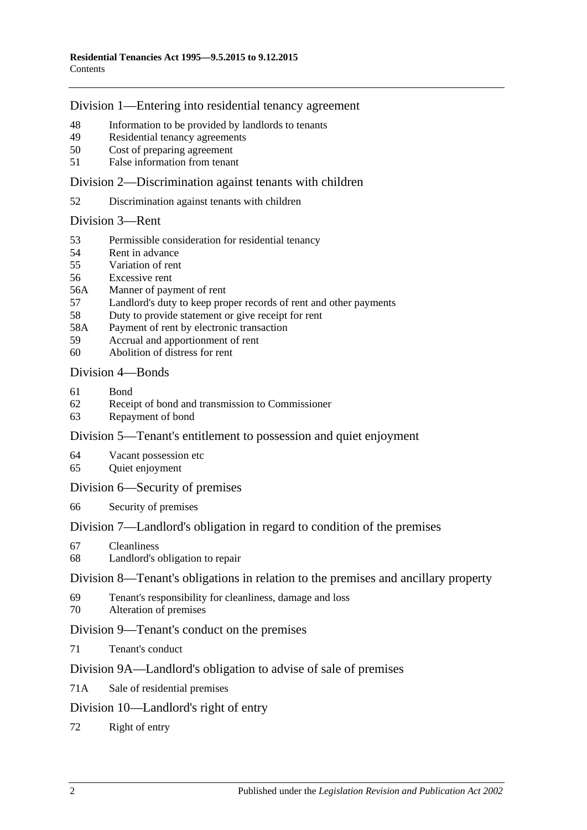## [Division 1—Entering into residential tenancy agreement](#page-13-6)

- [Information to be provided by landlords to tenants](#page-13-7)
- [Residential tenancy agreements](#page-14-0)
- [Cost of preparing agreement](#page-16-0)
- False [information from tenant](#page-16-1)

[Division 2—Discrimination against tenants with children](#page-16-2)

[Discrimination against tenants with children](#page-16-3)

### [Division 3—Rent](#page-17-0)

- [Permissible consideration for residential tenancy](#page-17-1)
- [Rent in advance](#page-17-2)
- [Variation of rent](#page-18-0)
- [Excessive rent](#page-19-0)
- 56A [Manner of payment of rent](#page-20-0)
- [Landlord's duty to keep proper records of rent and other payments](#page-20-1)
- [Duty to provide statement or give receipt for rent](#page-20-2)
- 58A [Payment of rent by electronic transaction](#page-21-0)
- [Accrual and apportionment of rent](#page-21-1)
- [Abolition of distress for rent](#page-21-2)

## [Division 4—Bonds](#page-21-3)

- [Bond](#page-21-4)
- [Receipt of bond and transmission to Commissioner](#page-22-0)
- [Repayment of bond](#page-22-1)

## [Division 5—Tenant's entitlement to possession and quiet enjoyment](#page-24-0)

- [Vacant possession etc](#page-24-1)
- [Quiet enjoyment](#page-24-2)

### [Division 6—Security of premises](#page-25-0)

[Security of premises](#page-25-1)

## [Division 7—Landlord's obligation in regard to condition of the premises](#page-25-2)

- [Cleanliness](#page-25-3)
- [Landlord's obligation to repair](#page-25-4)

### [Division 8—Tenant's obligations in relation to the premises and ancillary property](#page-27-0)

- [Tenant's responsibility for cleanliness, damage and loss](#page-27-1)
- [Alteration of premises](#page-27-2)

## [Division 9—Tenant's conduct on the premises](#page-28-0)

[Tenant's conduct](#page-28-1)

## [Division 9A—Landlord's obligation to advise of sale of premises](#page-28-2)

71A [Sale of residential premises](#page-28-3)

## [Division 10—Landlord's right of entry](#page-28-4)

[Right of entry](#page-28-5)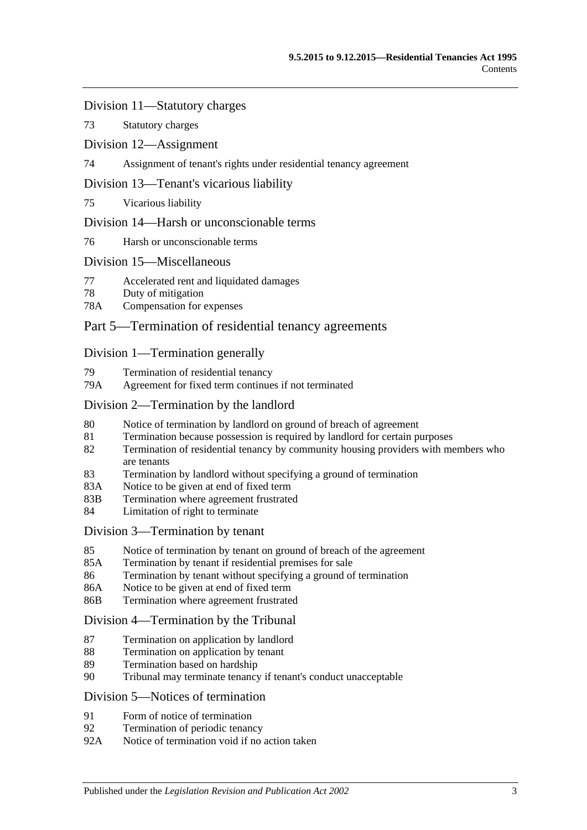[Division 11—Statutory charges](#page-30-0)

73 [Statutory charges](#page-30-1)

[Division 12—Assignment](#page-31-0)

74 [Assignment of tenant's rights under residential tenancy agreement](#page-31-1)

[Division 13—Tenant's vicarious liability](#page-32-0)

75 [Vicarious liability](#page-32-1)

### [Division 14—Harsh or unconscionable terms](#page-32-2)

76 [Harsh or unconscionable terms](#page-32-3)

### [Division 15—Miscellaneous](#page-33-0)

- 77 [Accelerated rent and liquidated damages](#page-33-1)
- 78 [Duty of mitigation](#page-33-2)
- 78A [Compensation for expenses](#page-33-3)

## [Part 5—Termination of residential tenancy agreements](#page-34-0)

### [Division 1—Termination generally](#page-34-1)

- 79 [Termination of residential tenancy](#page-34-2)
- 79A [Agreement for fixed term continues if not terminated](#page-34-3)

### [Division 2—Termination by the landlord](#page-34-4)

- 80 [Notice of termination by landlord on ground of breach of agreement](#page-34-5)
- 81 [Termination because possession is required by landlord for certain purposes](#page-36-0)
- 82 [Termination of residential tenancy by community housing providers with members who](#page-36-1)  [are tenants](#page-36-1)
- 83 [Termination by landlord without specifying a ground of termination](#page-37-0)
- 83A [Notice to be given at end of fixed term](#page-37-1)
- 83B [Termination where agreement frustrated](#page-37-2)
- 84 [Limitation of right to terminate](#page-38-0)

### [Division 3—Termination by tenant](#page-38-1)

- 85 [Notice of termination by tenant on ground of breach of the agreement](#page-38-2)
- 85A [Termination by tenant if residential premises for sale](#page-39-0)
- 86 [Termination by tenant without specifying a ground of termination](#page-39-1)
- 86A [Notice to be given at end of fixed term](#page-39-2)
- 86B [Termination where agreement frustrated](#page-39-3)

[Division 4—Termination by the Tribunal](#page-39-4)

- 87 [Termination on application by landlord](#page-39-5)
- 88 [Termination on application by tenant](#page-40-0)
- 89 [Termination based on hardship](#page-40-1)
- 90 [Tribunal may terminate tenancy if tenant's conduct unacceptable](#page-40-2)

## [Division 5—Notices of termination](#page-42-0)

- 91 [Form of notice of termination](#page-42-1)
- 92 [Termination of periodic tenancy](#page-42-2)<br>92A Notice of termination void if no
- [Notice of termination void if no action taken](#page-42-3)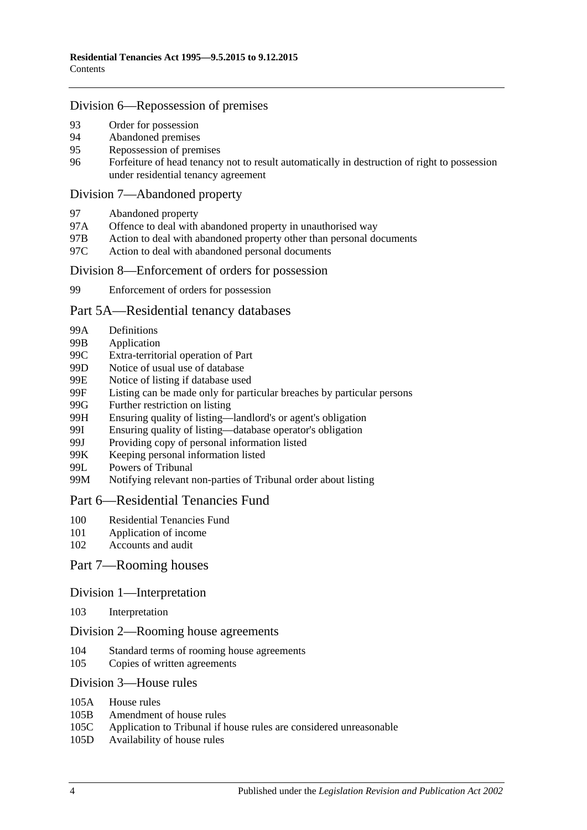### [Division 6—Repossession of premises](#page-43-0)

- 93 [Order for possession](#page-43-1)<br>94 Abandoned premises
- [Abandoned premises](#page-43-2)
- 95 [Repossession of premises](#page-44-0)
- 96 [Forfeiture of head tenancy not to result automatically in destruction of right to possession](#page-44-1)  [under residential tenancy agreement](#page-44-1)

#### [Division 7—Abandoned property](#page-45-0)

- 97 [Abandoned property](#page-45-1)
- 97A [Offence to deal with abandoned property in unauthorised way](#page-45-2)
- 97B [Action to deal with abandoned property other than personal documents](#page-45-3)
- 97C [Action to deal with abandoned personal documents](#page-46-0)

#### [Division 8—Enforcement of orders for possession](#page-46-1)

99 [Enforcement of orders for possession](#page-46-2)

#### [Part 5A—Residential tenancy databases](#page-47-0)

- 99A [Definitions](#page-47-1)
- 99B [Application](#page-48-0)
- 99C [Extra-territorial operation of Part](#page-48-1)
- 99D [Notice of usual use of database](#page-49-0)
- 99E [Notice of listing if database used](#page-49-1)
- 99F [Listing can be made only for particular breaches by particular persons](#page-50-0)
- 99G [Further restriction on listing](#page-50-1)<br>99H Ensuring quality of listing—
- [Ensuring quality of listing—landlord's or agent's obligation](#page-51-0)
- 99I [Ensuring quality of listing—database operator's obligation](#page-52-0)
- 99J [Providing copy of personal information listed](#page-52-1)
- 99K [Keeping personal information listed](#page-52-2)
- 99L [Powers of Tribunal](#page-53-0)
- 99M [Notifying relevant non-parties of Tribunal order about listing](#page-53-1)

### [Part 6—Residential Tenancies Fund](#page-53-2)

- 100 [Residential Tenancies Fund](#page-53-3)
- 101 [Application of income](#page-54-0)
- 102 [Accounts and audit](#page-54-1)

### [Part 7—Rooming houses](#page-55-0)

#### Division [1—Interpretation](#page-55-1)

103 [Interpretation](#page-55-2)

### Division [2—Rooming house agreements](#page-55-3)

- 104 [Standard terms of rooming house agreements](#page-55-4)
- 105 [Copies of written agreements](#page-55-5)

#### Division [3—House rules](#page-55-6)

- 105A [House rules](#page-55-7)
- 105B [Amendment of house rules](#page-56-0)
- 105C [Application to Tribunal if house rules are considered unreasonable](#page-56-1)
- 105D [Availability of house rules](#page-56-2)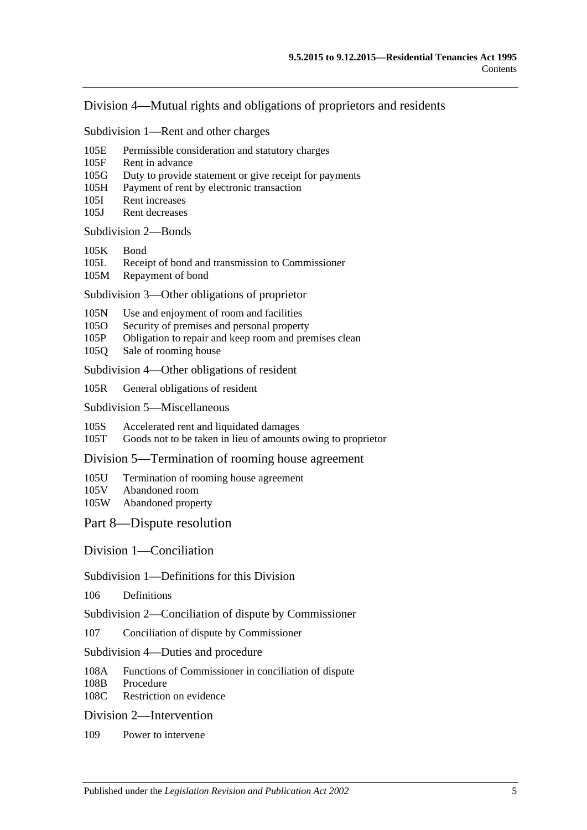### Division [4—Mutual rights and obligations of proprietors and residents](#page-57-0)

Subdivision [1—Rent and other charges](#page-57-1)

- 105E [Permissible consideration and statutory charges](#page-57-2)
- 105F [Rent in advance](#page-57-3)
- 105G [Duty to provide statement or give receipt for payments](#page-58-0)
- 105H [Payment of rent by electronic transaction](#page-58-1)
- 105I [Rent increases](#page-58-2)
- 105J [Rent decreases](#page-59-0)

#### [Subdivision](#page-60-0) 2—Bonds

- [105K](#page-60-1) Bond
- 105L [Receipt of bond and transmission to Commissioner](#page-60-2)<br>105M Repayment of bond
- [Repayment of bond](#page-60-3)

Subdivision [3—Other obligations of proprietor](#page-62-0)

- 105N [Use and enjoyment of room and facilities](#page-62-1)
- 105O [Security of premises and personal property](#page-63-0)
- 105P [Obligation to repair and keep room and premises clean](#page-63-1)
- 105Q [Sale of rooming house](#page-64-0)

Subdivision [4—Other obligations of resident](#page-64-1)

105R [General obligations of resident](#page-64-2)

Subdivision [5—Miscellaneous](#page-65-0)

105S [Accelerated rent and liquidated damages](#page-65-1)

105T [Goods not to be taken in lieu of amounts owing to proprietor](#page-65-2)

Division [5—Termination of rooming house agreement](#page-65-3)

- 105U [Termination of rooming house agreement](#page-65-4)<br>105V Abandoned room
- [Abandoned room](#page-66-0)
- 105W [Abandoned property](#page-67-0)

#### [Part 8—Dispute resolution](#page-68-0)

[Division 1—Conciliation](#page-68-1)

### Subdivision [1—Definitions for this Division](#page-68-2)

106 [Definitions](#page-68-3)

Subdivision [2—Conciliation of dispute by Commissioner](#page-68-4)

107 [Conciliation of dispute by Commissioner](#page-68-5)

#### Subdivision [4—Duties and procedure](#page-68-6)

- 108A [Functions of Commissioner in conciliation of dispute](#page-68-7)
- 108B [Procedure](#page-69-0)<br>108C Restriction
- [Restriction on evidence](#page-69-1)

### [Division 2—Intervention](#page-69-2)

109 [Power to intervene](#page-69-3)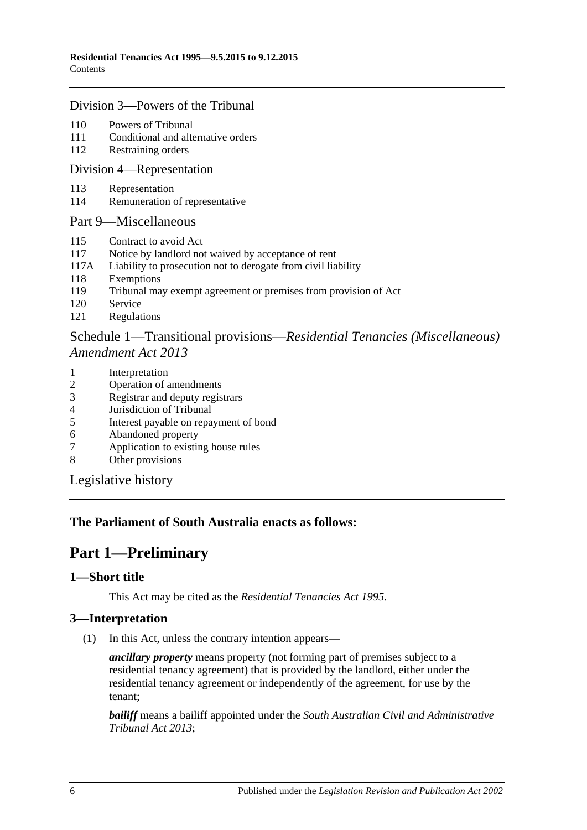### [Division 3—Powers of the Tribunal](#page-69-4)

- 110 [Powers of Tribunal](#page-69-5)
- 111 [Conditional and alternative orders](#page-70-0)
- 112 [Restraining orders](#page-70-1)

### [Division 4—Representation](#page-71-0)

- 113 [Representation](#page-71-1)
- 114 [Remuneration of representative](#page-72-0)

### [Part 9—Miscellaneous](#page-72-1)

- 115 [Contract to avoid Act](#page-72-2)
- 117 [Notice by landlord not waived by acceptance of rent](#page-72-3)
- 117A [Liability to prosecution not to derogate from civil liability](#page-72-4)
- 118 [Exemptions](#page-72-5)
- 119 [Tribunal may exempt agreement or premises from provision of Act](#page-73-0)
- 120 [Service](#page-73-1)
- 121 [Regulations](#page-73-2)

## Schedule 1—Transitional provisions—*[Residential Tenancies \(Miscellaneous\)](#page-74-0)  [Amendment Act](#page-74-0) 2013*

- 1 [Interpretation](#page-74-1)
- 2 [Operation of amendments](#page-74-2)
- 3 [Registrar and deputy registrars](#page-74-3)
- 4 [Jurisdiction of Tribunal](#page-74-4)
- 5 [Interest payable on repayment of bond](#page-75-0)
- 6 [Abandoned property](#page-75-1)<br>7 Application to existin
- [Application to existing house rules](#page-75-2)
- 8 [Other provisions](#page-75-3)

[Legislative history](#page-76-0)

## <span id="page-5-0"></span>**The Parliament of South Australia enacts as follows:**

## **Part 1—Preliminary**

### <span id="page-5-1"></span>**1—Short title**

This Act may be cited as the *Residential Tenancies Act 1995*.

## <span id="page-5-2"></span>**3—Interpretation**

(1) In this Act, unless the contrary intention appears—

*ancillary property* means property (not forming part of premises subject to a residential tenancy agreement) that is provided by the landlord, either under the residential tenancy agreement or independently of the agreement, for use by the tenant;

*bailiff* means a bailiff appointed under the *[South Australian Civil and Administrative](http://www.legislation.sa.gov.au/index.aspx?action=legref&type=act&legtitle=South%20Australian%20Civil%20and%20Administrative%20Tribunal%20Act%202013)  [Tribunal Act](http://www.legislation.sa.gov.au/index.aspx?action=legref&type=act&legtitle=South%20Australian%20Civil%20and%20Administrative%20Tribunal%20Act%202013) 2013*;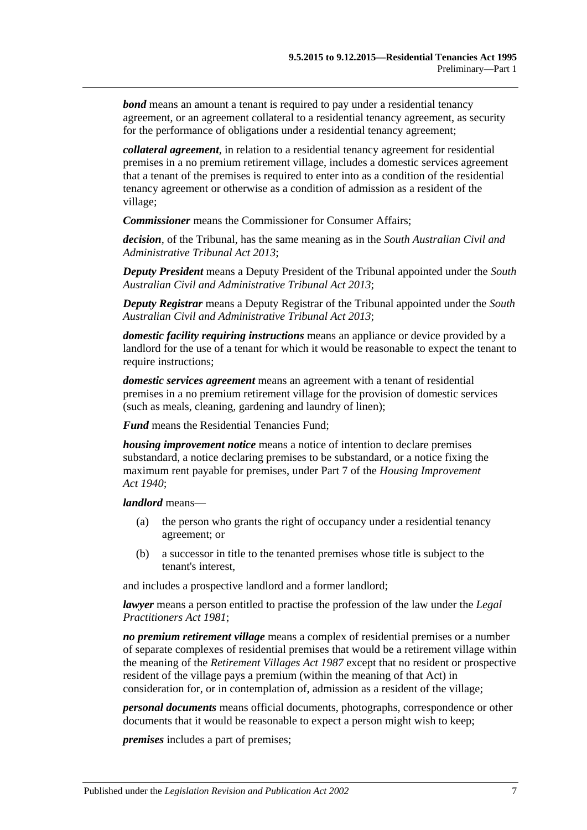*bond* means an amount a tenant is required to pay under a residential tenancy agreement, or an agreement collateral to a residential tenancy agreement, as security for the performance of obligations under a residential tenancy agreement;

*collateral agreement*, in relation to a residential tenancy agreement for residential premises in a no premium retirement village, includes a domestic services agreement that a tenant of the premises is required to enter into as a condition of the residential tenancy agreement or otherwise as a condition of admission as a resident of the village;

*Commissioner* means the Commissioner for Consumer Affairs;

*decision*, of the Tribunal, has the same meaning as in the *[South Australian Civil and](http://www.legislation.sa.gov.au/index.aspx?action=legref&type=act&legtitle=South%20Australian%20Civil%20and%20Administrative%20Tribunal%20Act%202013)  [Administrative Tribunal Act](http://www.legislation.sa.gov.au/index.aspx?action=legref&type=act&legtitle=South%20Australian%20Civil%20and%20Administrative%20Tribunal%20Act%202013) 2013*;

*Deputy President* means a Deputy President of the Tribunal appointed under the *[South](http://www.legislation.sa.gov.au/index.aspx?action=legref&type=act&legtitle=South%20Australian%20Civil%20and%20Administrative%20Tribunal%20Act%202013)  [Australian Civil and Administrative Tribunal Act](http://www.legislation.sa.gov.au/index.aspx?action=legref&type=act&legtitle=South%20Australian%20Civil%20and%20Administrative%20Tribunal%20Act%202013) 2013*;

*Deputy Registrar* means a Deputy Registrar of the Tribunal appointed under the *[South](http://www.legislation.sa.gov.au/index.aspx?action=legref&type=act&legtitle=South%20Australian%20Civil%20and%20Administrative%20Tribunal%20Act%202013)  [Australian Civil and Administrative Tribunal Act](http://www.legislation.sa.gov.au/index.aspx?action=legref&type=act&legtitle=South%20Australian%20Civil%20and%20Administrative%20Tribunal%20Act%202013) 2013*;

*domestic facility requiring instructions* means an appliance or device provided by a landlord for the use of a tenant for which it would be reasonable to expect the tenant to require instructions:

*domestic services agreement* means an agreement with a tenant of residential premises in a no premium retirement village for the provision of domestic services (such as meals, cleaning, gardening and laundry of linen);

*Fund* means the Residential Tenancies Fund;

*housing improvement notice* means a notice of intention to declare premises substandard, a notice declaring premises to be substandard, or a notice fixing the maximum rent payable for premises, under Part 7 of the *[Housing Improvement](http://www.legislation.sa.gov.au/index.aspx?action=legref&type=act&legtitle=Housing%20Improvement%20Act%201940)  Act [1940](http://www.legislation.sa.gov.au/index.aspx?action=legref&type=act&legtitle=Housing%20Improvement%20Act%201940)*;

*landlord* means—

- (a) the person who grants the right of occupancy under a residential tenancy agreement; or
- (b) a successor in title to the tenanted premises whose title is subject to the tenant's interest,

and includes a prospective landlord and a former landlord;

*lawyer* means a person entitled to practise the profession of the law under the *[Legal](http://www.legislation.sa.gov.au/index.aspx?action=legref&type=act&legtitle=Legal%20Practitioners%20Act%201981)  [Practitioners Act](http://www.legislation.sa.gov.au/index.aspx?action=legref&type=act&legtitle=Legal%20Practitioners%20Act%201981) 1981*;

*no premium retirement village* means a complex of residential premises or a number of separate complexes of residential premises that would be a retirement village within the meaning of the *[Retirement Villages Act](http://www.legislation.sa.gov.au/index.aspx?action=legref&type=act&legtitle=Retirement%20Villages%20Act%201987) 1987* except that no resident or prospective resident of the village pays a premium (within the meaning of that Act) in consideration for, or in contemplation of, admission as a resident of the village;

*personal documents* means official documents, photographs, correspondence or other documents that it would be reasonable to expect a person might wish to keep;

*premises* includes a part of premises;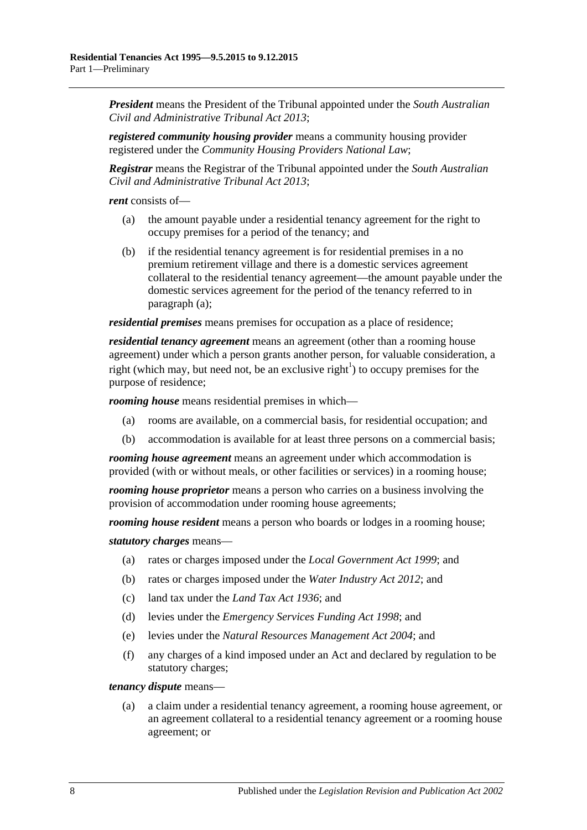*President* means the President of the Tribunal appointed under the *[South Australian](http://www.legislation.sa.gov.au/index.aspx?action=legref&type=act&legtitle=South%20Australian%20Civil%20and%20Administrative%20Tribunal%20Act%202013)  [Civil and Administrative Tribunal Act](http://www.legislation.sa.gov.au/index.aspx?action=legref&type=act&legtitle=South%20Australian%20Civil%20and%20Administrative%20Tribunal%20Act%202013) 2013*;

*registered community housing provider* means a community housing provider registered under the *Community Housing Providers National Law*;

*Registrar* means the Registrar of the Tribunal appointed under the *[South Australian](http://www.legislation.sa.gov.au/index.aspx?action=legref&type=act&legtitle=South%20Australian%20Civil%20and%20Administrative%20Tribunal%20Act%202013)  [Civil and Administrative Tribunal Act](http://www.legislation.sa.gov.au/index.aspx?action=legref&type=act&legtitle=South%20Australian%20Civil%20and%20Administrative%20Tribunal%20Act%202013) 2013*;

<span id="page-7-0"></span>*rent* consists of—

- (a) the amount payable under a residential tenancy agreement for the right to occupy premises for a period of the tenancy; and
- (b) if the residential tenancy agreement is for residential premises in a no premium retirement village and there is a domestic services agreement collateral to the residential tenancy agreement—the amount payable under the domestic services agreement for the period of the tenancy referred to in [paragraph](#page-7-0) (a);

*residential premises* means premises for occupation as a place of residence;

*residential tenancy agreement* means an agreement (other than a rooming house agreement) under which a person grants another person, for valuable consideration, a right (which may, but need not, be an exclusive right<sup>1</sup>) to occupy premises for the purpose of residence;

*rooming house* means residential premises in which—

- (a) rooms are available, on a commercial basis, for residential occupation; and
- (b) accommodation is available for at least three persons on a commercial basis;

*rooming house agreement* means an agreement under which accommodation is provided (with or without meals, or other facilities or services) in a rooming house;

*rooming house proprietor* means a person who carries on a business involving the provision of accommodation under rooming house agreements;

*rooming house resident* means a person who boards or lodges in a rooming house;

*statutory charges* means—

- (a) rates or charges imposed under the *[Local Government Act](http://www.legislation.sa.gov.au/index.aspx?action=legref&type=act&legtitle=Local%20Government%20Act%201999) 1999*; and
- (b) rates or charges imposed under the *[Water Industry Act](http://www.legislation.sa.gov.au/index.aspx?action=legref&type=act&legtitle=Water%20Industry%20Act%202012) 2012*; and
- (c) land tax under the *[Land Tax Act](http://www.legislation.sa.gov.au/index.aspx?action=legref&type=act&legtitle=Land%20Tax%20Act%201936) 1936*; and
- (d) levies under the *[Emergency Services Funding Act](http://www.legislation.sa.gov.au/index.aspx?action=legref&type=act&legtitle=Emergency%20Services%20Funding%20Act%201998) 1998*; and
- (e) levies under the *[Natural Resources Management Act](http://www.legislation.sa.gov.au/index.aspx?action=legref&type=act&legtitle=Natural%20Resources%20Management%20Act%202004) 2004*; and
- (f) any charges of a kind imposed under an Act and declared by regulation to be statutory charges;

#### *tenancy dispute* means—

(a) a claim under a residential tenancy agreement, a rooming house agreement, or an agreement collateral to a residential tenancy agreement or a rooming house agreement; or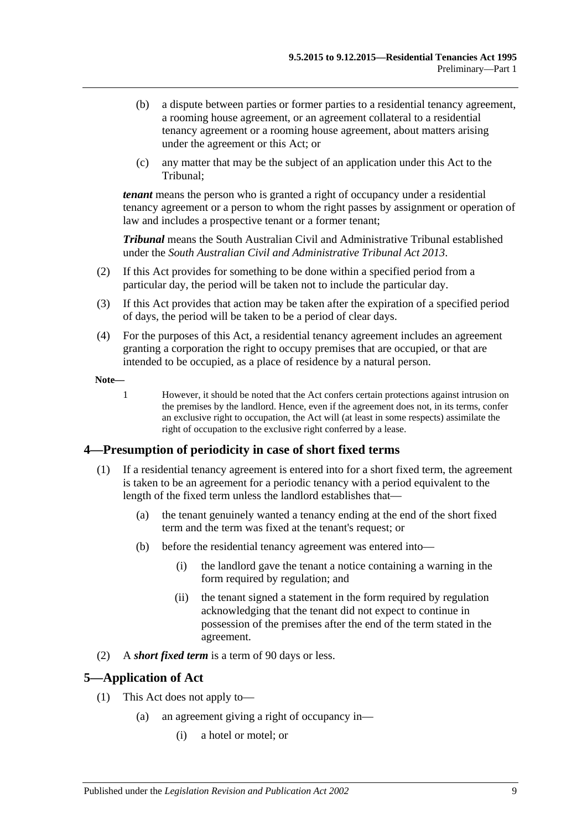- (b) a dispute between parties or former parties to a residential tenancy agreement, a rooming house agreement, or an agreement collateral to a residential tenancy agreement or a rooming house agreement, about matters arising under the agreement or this Act; or
- (c) any matter that may be the subject of an application under this Act to the Tribunal;

*tenant* means the person who is granted a right of occupancy under a residential tenancy agreement or a person to whom the right passes by assignment or operation of law and includes a prospective tenant or a former tenant;

*Tribunal* means the South Australian Civil and Administrative Tribunal established under the *[South Australian Civil and Administrative Tribunal Act](http://www.legislation.sa.gov.au/index.aspx?action=legref&type=act&legtitle=South%20Australian%20Civil%20and%20Administrative%20Tribunal%20Act%202013) 2013*.

- (2) If this Act provides for something to be done within a specified period from a particular day, the period will be taken not to include the particular day.
- (3) If this Act provides that action may be taken after the expiration of a specified period of days, the period will be taken to be a period of clear days.
- (4) For the purposes of this Act, a residential tenancy agreement includes an agreement granting a corporation the right to occupy premises that are occupied, or that are intended to be occupied, as a place of residence by a natural person.

**Note—**

1 However, it should be noted that the Act confers certain protections against intrusion on the premises by the landlord. Hence, even if the agreement does not, in its terms, confer an exclusive right to occupation, the Act will (at least in some respects) assimilate the right of occupation to the exclusive right conferred by a lease.

## <span id="page-8-0"></span>**4—Presumption of periodicity in case of short fixed terms**

- (1) If a residential tenancy agreement is entered into for a short fixed term, the agreement is taken to be an agreement for a periodic tenancy with a period equivalent to the length of the fixed term unless the landlord establishes that—
	- (a) the tenant genuinely wanted a tenancy ending at the end of the short fixed term and the term was fixed at the tenant's request; or
	- (b) before the residential tenancy agreement was entered into—
		- (i) the landlord gave the tenant a notice containing a warning in the form required by regulation; and
		- (ii) the tenant signed a statement in the form required by regulation acknowledging that the tenant did not expect to continue in possession of the premises after the end of the term stated in the agreement.
- (2) A *short fixed term* is a term of 90 days or less.

## <span id="page-8-1"></span>**5—Application of Act**

- (1) This Act does not apply to—
	- (a) an agreement giving a right of occupancy in—
		- (i) a hotel or motel; or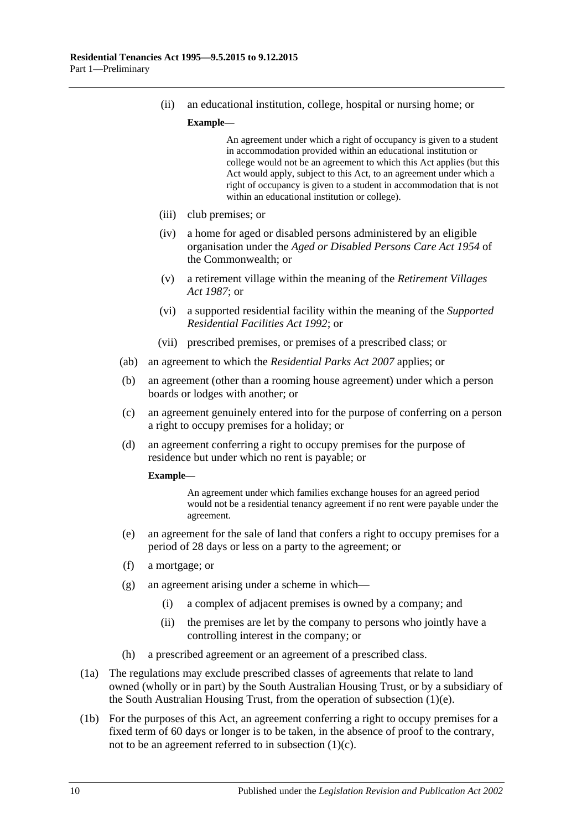(ii) an educational institution, college, hospital or nursing home; or

**Example—**

An agreement under which a right of occupancy is given to a student in accommodation provided within an educational institution or college would not be an agreement to which this Act applies (but this Act would apply, subject to this Act, to an agreement under which a right of occupancy is given to a student in accommodation that is not within an educational institution or college).

- (iii) club premises; or
- (iv) a home for aged or disabled persons administered by an eligible organisation under the *Aged or Disabled Persons Care Act 1954* of the Commonwealth; or
- (v) a retirement village within the meaning of the *[Retirement Villages](http://www.legislation.sa.gov.au/index.aspx?action=legref&type=act&legtitle=Retirement%20Villages%20Act%201987)  Act [1987](http://www.legislation.sa.gov.au/index.aspx?action=legref&type=act&legtitle=Retirement%20Villages%20Act%201987)*; or
- (vi) a supported residential facility within the meaning of the *[Supported](http://www.legislation.sa.gov.au/index.aspx?action=legref&type=act&legtitle=Supported%20Residential%20Facilities%20Act%201992)  [Residential Facilities Act](http://www.legislation.sa.gov.au/index.aspx?action=legref&type=act&legtitle=Supported%20Residential%20Facilities%20Act%201992) 1992*; or
- (vii) prescribed premises, or premises of a prescribed class; or
- (ab) an agreement to which the *[Residential Parks Act](http://www.legislation.sa.gov.au/index.aspx?action=legref&type=act&legtitle=Residential%20Parks%20Act%202007) 2007* applies; or
- (b) an agreement (other than a rooming house agreement) under which a person boards or lodges with another; or
- <span id="page-9-1"></span>(c) an agreement genuinely entered into for the purpose of conferring on a person a right to occupy premises for a holiday; or
- (d) an agreement conferring a right to occupy premises for the purpose of residence but under which no rent is payable; or

#### **Example—**

An agreement under which families exchange houses for an agreed period would not be a residential tenancy agreement if no rent were payable under the agreement.

- <span id="page-9-0"></span>(e) an agreement for the sale of land that confers a right to occupy premises for a period of 28 days or less on a party to the agreement; or
- (f) a mortgage; or
- (g) an agreement arising under a scheme in which—
	- (i) a complex of adjacent premises is owned by a company; and
	- (ii) the premises are let by the company to persons who jointly have a controlling interest in the company; or
- (h) a prescribed agreement or an agreement of a prescribed class.
- (1a) The regulations may exclude prescribed classes of agreements that relate to land owned (wholly or in part) by the South Australian Housing Trust, or by a subsidiary of the South Australian Housing Trust, from the operation of [subsection](#page-9-0) (1)(e).
- (1b) For the purposes of this Act, an agreement conferring a right to occupy premises for a fixed term of 60 days or longer is to be taken, in the absence of proof to the contrary, not to be an agreement referred to in [subsection](#page-9-1) (1)(c).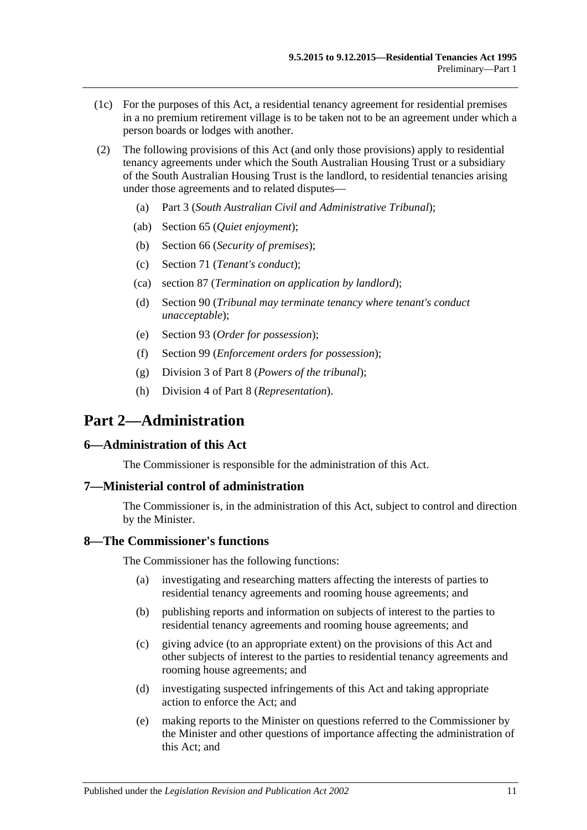- (1c) For the purposes of this Act, a residential tenancy agreement for residential premises in a no premium retirement village is to be taken not to be an agreement under which a person boards or lodges with another.
- (2) The following provisions of this Act (and only those provisions) apply to residential tenancy agreements under which the South Australian Housing Trust or a subsidiary of the South Australian Housing Trust is the landlord, to residential tenancies arising under those agreements and to related disputes—
	- (a) [Part 3](#page-11-1) (*South Australian Civil and Administrative Tribunal*);
	- (ab) [Section](#page-24-2) 65 (*Quiet enjoyment*);
	- (b) [Section](#page-25-1) 66 (*Security of premises*);
	- (c) [Section](#page-28-1) 71 (*Tenant's conduct*);
	- (ca) [section](#page-39-5) 87 (*Termination on application by landlord*);
	- (d) [Section](#page-40-2) 90 (*Tribunal may terminate tenancy where tenant's conduct unacceptable*);
	- (e) [Section](#page-43-1) 93 (*Order for possession*);
	- (f) [Section](#page-46-2) 99 (*Enforcement orders for possession*);
	- (g) [Division 3](#page-69-4) of [Part 8](#page-68-0) (*Powers of the tribunal*);
	- (h) [Division 4](#page-71-0) of [Part 8](#page-68-0) (*Representation*).

## <span id="page-10-0"></span>**Part 2—Administration**

### <span id="page-10-1"></span>**6—Administration of this Act**

The Commissioner is responsible for the administration of this Act.

#### <span id="page-10-2"></span>**7—Ministerial control of administration**

The Commissioner is, in the administration of this Act, subject to control and direction by the Minister.

### <span id="page-10-3"></span>**8—The Commissioner's functions**

The Commissioner has the following functions:

- (a) investigating and researching matters affecting the interests of parties to residential tenancy agreements and rooming house agreements; and
- (b) publishing reports and information on subjects of interest to the parties to residential tenancy agreements and rooming house agreements; and
- (c) giving advice (to an appropriate extent) on the provisions of this Act and other subjects of interest to the parties to residential tenancy agreements and rooming house agreements; and
- (d) investigating suspected infringements of this Act and taking appropriate action to enforce the Act; and
- (e) making reports to the Minister on questions referred to the Commissioner by the Minister and other questions of importance affecting the administration of this Act; and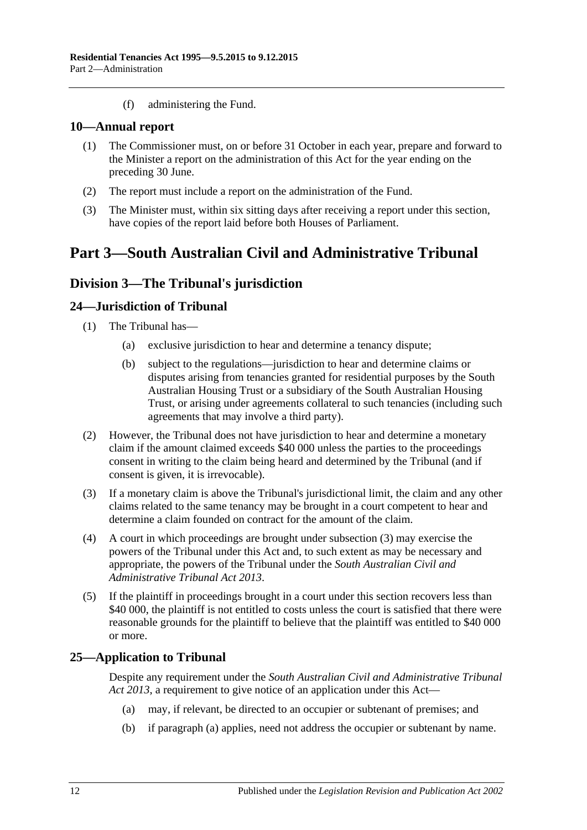(f) administering the Fund.

### <span id="page-11-0"></span>**10—Annual report**

- (1) The Commissioner must, on or before 31 October in each year, prepare and forward to the Minister a report on the administration of this Act for the year ending on the preceding 30 June.
- (2) The report must include a report on the administration of the Fund.
- (3) The Minister must, within six sitting days after receiving a report under this section, have copies of the report laid before both Houses of Parliament.

## <span id="page-11-2"></span><span id="page-11-1"></span>**Part 3—South Australian Civil and Administrative Tribunal**

## **Division 3—The Tribunal's jurisdiction**

### <span id="page-11-3"></span>**24—Jurisdiction of Tribunal**

- (1) The Tribunal has—
	- (a) exclusive jurisdiction to hear and determine a tenancy dispute;
	- (b) subject to the regulations—jurisdiction to hear and determine claims or disputes arising from tenancies granted for residential purposes by the South Australian Housing Trust or a subsidiary of the South Australian Housing Trust, or arising under agreements collateral to such tenancies (including such agreements that may involve a third party).
- (2) However, the Tribunal does not have jurisdiction to hear and determine a monetary claim if the amount claimed exceeds \$40 000 unless the parties to the proceedings consent in writing to the claim being heard and determined by the Tribunal (and if consent is given, it is irrevocable).
- <span id="page-11-5"></span>(3) If a monetary claim is above the Tribunal's jurisdictional limit, the claim and any other claims related to the same tenancy may be brought in a court competent to hear and determine a claim founded on contract for the amount of the claim.
- (4) A court in which proceedings are brought under [subsection](#page-11-5) (3) may exercise the powers of the Tribunal under this Act and, to such extent as may be necessary and appropriate, the powers of the Tribunal under the *[South Australian Civil and](http://www.legislation.sa.gov.au/index.aspx?action=legref&type=act&legtitle=South%20Australian%20Civil%20and%20Administrative%20Tribunal%20Act%202013)  [Administrative Tribunal Act](http://www.legislation.sa.gov.au/index.aspx?action=legref&type=act&legtitle=South%20Australian%20Civil%20and%20Administrative%20Tribunal%20Act%202013) 2013*.
- (5) If the plaintiff in proceedings brought in a court under this section recovers less than \$40 000, the plaintiff is not entitled to costs unless the court is satisfied that there were reasonable grounds for the plaintiff to believe that the plaintiff was entitled to \$40 000 or more.

### <span id="page-11-6"></span><span id="page-11-4"></span>**25—Application to Tribunal**

Despite any requirement under the *[South Australian Civil and Administrative Tribunal](http://www.legislation.sa.gov.au/index.aspx?action=legref&type=act&legtitle=South%20Australian%20Civil%20and%20Administrative%20Tribunal%20Act%202013)  Act [2013](http://www.legislation.sa.gov.au/index.aspx?action=legref&type=act&legtitle=South%20Australian%20Civil%20and%20Administrative%20Tribunal%20Act%202013)*, a requirement to give notice of an application under this Act—

- (a) may, if relevant, be directed to an occupier or subtenant of premises; and
- (b) if [paragraph](#page-11-6) (a) applies, need not address the occupier or subtenant by name.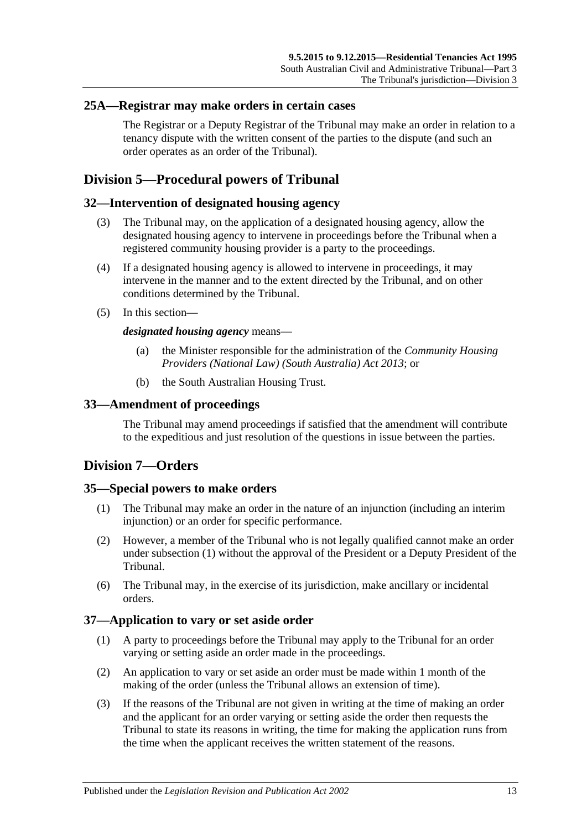### <span id="page-12-0"></span>**25A—Registrar may make orders in certain cases**

The Registrar or a Deputy Registrar of the Tribunal may make an order in relation to a tenancy dispute with the written consent of the parties to the dispute (and such an order operates as an order of the Tribunal).

## <span id="page-12-1"></span>**Division 5—Procedural powers of Tribunal**

### <span id="page-12-2"></span>**32—Intervention of designated housing agency**

- (3) The Tribunal may, on the application of a designated housing agency, allow the designated housing agency to intervene in proceedings before the Tribunal when a registered community housing provider is a party to the proceedings.
- (4) If a designated housing agency is allowed to intervene in proceedings, it may intervene in the manner and to the extent directed by the Tribunal, and on other conditions determined by the Tribunal.
- (5) In this section—

#### *designated housing agency* means—

- (a) the Minister responsible for the administration of the *[Community Housing](http://www.legislation.sa.gov.au/index.aspx?action=legref&type=act&legtitle=Community%20Housing%20Providers%20(National%20Law)%20(South%20Australia)%20Act%202013)  [Providers \(National Law\) \(South Australia\) Act](http://www.legislation.sa.gov.au/index.aspx?action=legref&type=act&legtitle=Community%20Housing%20Providers%20(National%20Law)%20(South%20Australia)%20Act%202013) 2013*; or
- (b) the South Australian Housing Trust.

### <span id="page-12-3"></span>**33—Amendment of proceedings**

The Tribunal may amend proceedings if satisfied that the amendment will contribute to the expeditious and just resolution of the questions in issue between the parties.

## <span id="page-12-4"></span>**Division 7—Orders**

### <span id="page-12-7"></span><span id="page-12-5"></span>**35—Special powers to make orders**

- (1) The Tribunal may make an order in the nature of an injunction (including an interim injunction) or an order for specific performance.
- (2) However, a member of the Tribunal who is not legally qualified cannot make an order under [subsection](#page-12-7) (1) without the approval of the President or a Deputy President of the Tribunal.
- (6) The Tribunal may, in the exercise of its jurisdiction, make ancillary or incidental orders.

### <span id="page-12-6"></span>**37—Application to vary or set aside order**

- (1) A party to proceedings before the Tribunal may apply to the Tribunal for an order varying or setting aside an order made in the proceedings.
- (2) An application to vary or set aside an order must be made within 1 month of the making of the order (unless the Tribunal allows an extension of time).
- (3) If the reasons of the Tribunal are not given in writing at the time of making an order and the applicant for an order varying or setting aside the order then requests the Tribunal to state its reasons in writing, the time for making the application runs from the time when the applicant receives the written statement of the reasons.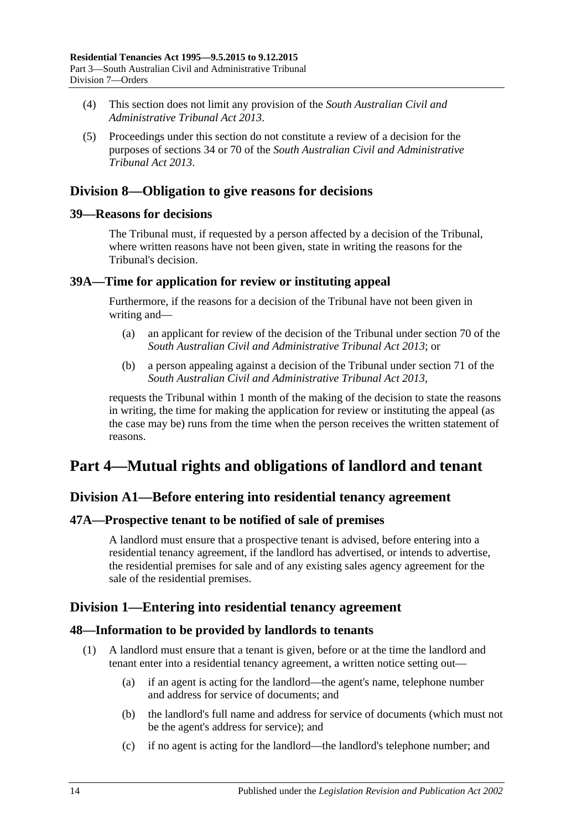- (4) This section does not limit any provision of the *[South Australian Civil and](http://www.legislation.sa.gov.au/index.aspx?action=legref&type=act&legtitle=South%20Australian%20Civil%20and%20Administrative%20Tribunal%20Act%202013)  [Administrative Tribunal Act](http://www.legislation.sa.gov.au/index.aspx?action=legref&type=act&legtitle=South%20Australian%20Civil%20and%20Administrative%20Tribunal%20Act%202013) 2013*.
- (5) Proceedings under this section do not constitute a review of a decision for the purposes of sections 34 or 70 of the *[South Australian Civil and Administrative](http://www.legislation.sa.gov.au/index.aspx?action=legref&type=act&legtitle=South%20Australian%20Civil%20and%20Administrative%20Tribunal%20Act%202013)  [Tribunal Act](http://www.legislation.sa.gov.au/index.aspx?action=legref&type=act&legtitle=South%20Australian%20Civil%20and%20Administrative%20Tribunal%20Act%202013) 2013*.

## <span id="page-13-0"></span>**Division 8—Obligation to give reasons for decisions**

## <span id="page-13-1"></span>**39—Reasons for decisions**

The Tribunal must, if requested by a person affected by a decision of the Tribunal, where written reasons have not been given, state in writing the reasons for the Tribunal's decision.

## <span id="page-13-2"></span>**39A—Time for application for review or instituting appeal**

Furthermore, if the reasons for a decision of the Tribunal have not been given in writing and—

- (a) an applicant for review of the decision of the Tribunal under section 70 of the *[South Australian Civil and Administrative Tribunal Act](http://www.legislation.sa.gov.au/index.aspx?action=legref&type=act&legtitle=South%20Australian%20Civil%20and%20Administrative%20Tribunal%20Act%202013) 2013*; or
- (b) a person appealing against a decision of the Tribunal under section 71 of the *[South Australian Civil and Administrative Tribunal Act](http://www.legislation.sa.gov.au/index.aspx?action=legref&type=act&legtitle=South%20Australian%20Civil%20and%20Administrative%20Tribunal%20Act%202013) 2013*,

requests the Tribunal within 1 month of the making of the decision to state the reasons in writing, the time for making the application for review or instituting the appeal (as the case may be) runs from the time when the person receives the written statement of reasons.

## <span id="page-13-3"></span>**Part 4—Mutual rights and obligations of landlord and tenant**

## <span id="page-13-4"></span>**Division A1—Before entering into residential tenancy agreement**

## <span id="page-13-5"></span>**47A—Prospective tenant to be notified of sale of premises**

A landlord must ensure that a prospective tenant is advised, before entering into a residential tenancy agreement, if the landlord has advertised, or intends to advertise, the residential premises for sale and of any existing sales agency agreement for the sale of the residential premises.

## <span id="page-13-6"></span>**Division 1—Entering into residential tenancy agreement**

## <span id="page-13-7"></span>**48—Information to be provided by landlords to tenants**

- (1) A landlord must ensure that a tenant is given, before or at the time the landlord and tenant enter into a residential tenancy agreement, a written notice setting out—
	- (a) if an agent is acting for the landlord—the agent's name, telephone number and address for service of documents; and
	- (b) the landlord's full name and address for service of documents (which must not be the agent's address for service); and
	- (c) if no agent is acting for the landlord—the landlord's telephone number; and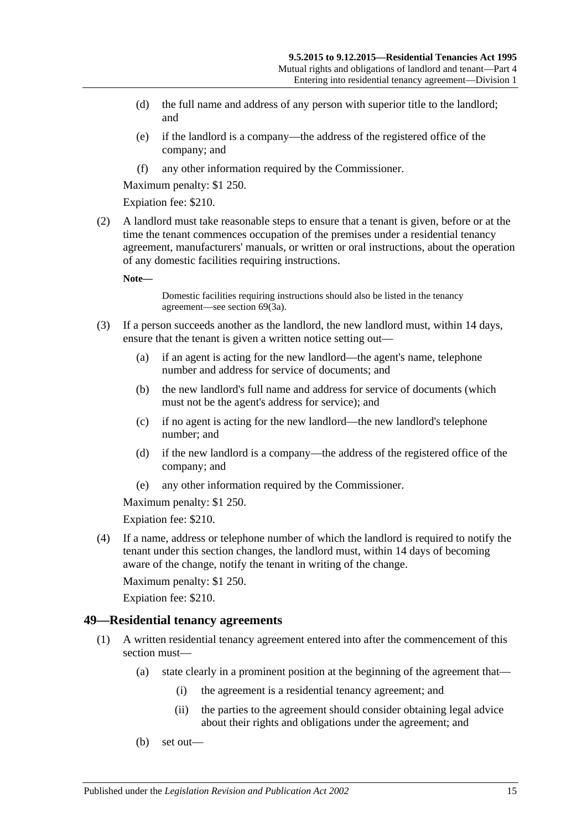- (d) the full name and address of any person with superior title to the landlord; and
- (e) if the landlord is a company—the address of the registered office of the company; and
- (f) any other information required by the Commissioner.

Maximum penalty: \$1 250.

Expiation fee: \$210.

<span id="page-14-2"></span>(2) A landlord must take reasonable steps to ensure that a tenant is given, before or at the time the tenant commences occupation of the premises under a residential tenancy agreement, manufacturers' manuals, or written or oral instructions, about the operation of any domestic facilities requiring instructions.

**Note—**

Domestic facilities requiring instructions should also be listed in the tenancy agreement—see [section](#page-27-3) 69(3a).

- (3) If a person succeeds another as the landlord, the new landlord must, within 14 days, ensure that the tenant is given a written notice setting out—
	- (a) if an agent is acting for the new landlord—the agent's name, telephone number and address for service of documents; and
	- (b) the new landlord's full name and address for service of documents (which must not be the agent's address for service); and
	- (c) if no agent is acting for the new landlord—the new landlord's telephone number; and
	- (d) if the new landlord is a company—the address of the registered office of the company; and
	- (e) any other information required by the Commissioner.

Maximum penalty: \$1 250.

Expiation fee: \$210.

(4) If a name, address or telephone number of which the landlord is required to notify the tenant under this section changes, the landlord must, within 14 days of becoming aware of the change, notify the tenant in writing of the change.

Maximum penalty: \$1 250.

Expiation fee: \$210.

### <span id="page-14-1"></span><span id="page-14-0"></span>**49—Residential tenancy agreements**

- (1) A written residential tenancy agreement entered into after the commencement of this section must—
	- (a) state clearly in a prominent position at the beginning of the agreement that—
		- (i) the agreement is a residential tenancy agreement; and
		- (ii) the parties to the agreement should consider obtaining legal advice about their rights and obligations under the agreement; and
	- (b) set out—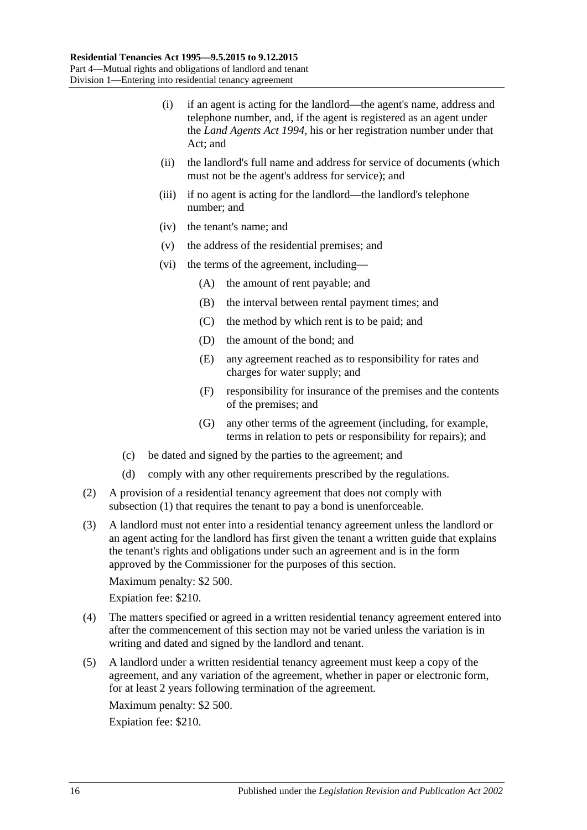- (i) if an agent is acting for the landlord—the agent's name, address and telephone number, and, if the agent is registered as an agent under the *[Land Agents Act](http://www.legislation.sa.gov.au/index.aspx?action=legref&type=act&legtitle=Land%20Agents%20Act%201994) 1994*, his or her registration number under that Act; and
- (ii) the landlord's full name and address for service of documents (which must not be the agent's address for service); and
- (iii) if no agent is acting for the landlord—the landlord's telephone number; and
- (iv) the tenant's name; and
- (v) the address of the residential premises; and
- (vi) the terms of the agreement, including—
	- (A) the amount of rent payable; and
	- (B) the interval between rental payment times; and
	- (C) the method by which rent is to be paid; and
	- (D) the amount of the bond; and
	- (E) any agreement reached as to responsibility for rates and charges for water supply; and
	- (F) responsibility for insurance of the premises and the contents of the premises; and
	- (G) any other terms of the agreement (including, for example, terms in relation to pets or responsibility for repairs); and
- (c) be dated and signed by the parties to the agreement; and
- (d) comply with any other requirements prescribed by the regulations.
- <span id="page-15-0"></span>(2) A provision of a residential tenancy agreement that does not comply with [subsection](#page-14-1) (1) that requires the tenant to pay a bond is unenforceable.
- (3) A landlord must not enter into a residential tenancy agreement unless the landlord or an agent acting for the landlord has first given the tenant a written guide that explains the tenant's rights and obligations under such an agreement and is in the form approved by the Commissioner for the purposes of this section.
	- Maximum penalty: \$2 500.

Expiation fee: \$210.

- (4) The matters specified or agreed in a written residential tenancy agreement entered into after the commencement of this section may not be varied unless the variation is in writing and dated and signed by the landlord and tenant.
- (5) A landlord under a written residential tenancy agreement must keep a copy of the agreement, and any variation of the agreement, whether in paper or electronic form, for at least 2 years following termination of the agreement.

Maximum penalty: \$2 500.

Expiation fee: \$210.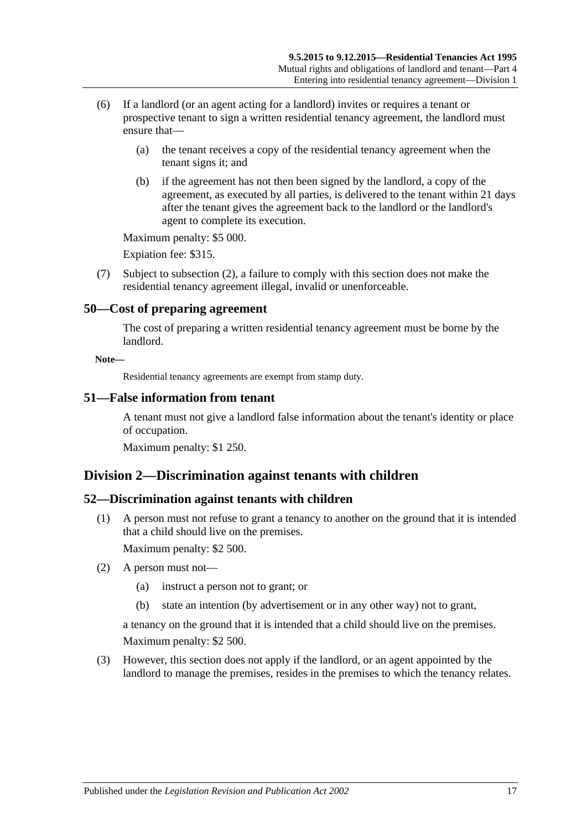- (6) If a landlord (or an agent acting for a landlord) invites or requires a tenant or prospective tenant to sign a written residential tenancy agreement, the landlord must ensure that—
	- (a) the tenant receives a copy of the residential tenancy agreement when the tenant signs it; and
	- (b) if the agreement has not then been signed by the landlord, a copy of the agreement, as executed by all parties, is delivered to the tenant within 21 days after the tenant gives the agreement back to the landlord or the landlord's agent to complete its execution.

Maximum penalty: \$5 000.

Expiation fee: \$315.

(7) Subject to [subsection](#page-15-0) (2), a failure to comply with this section does not make the residential tenancy agreement illegal, invalid or unenforceable.

### <span id="page-16-0"></span>**50—Cost of preparing agreement**

The cost of preparing a written residential tenancy agreement must be borne by the landlord.

#### **Note—**

Residential tenancy agreements are exempt from stamp duty.

### <span id="page-16-1"></span>**51—False information from tenant**

A tenant must not give a landlord false information about the tenant's identity or place of occupation.

Maximum penalty: \$1 250.

## <span id="page-16-2"></span>**Division 2—Discrimination against tenants with children**

## <span id="page-16-3"></span>**52—Discrimination against tenants with children**

(1) A person must not refuse to grant a tenancy to another on the ground that it is intended that a child should live on the premises.

Maximum penalty: \$2 500.

- (2) A person must not—
	- (a) instruct a person not to grant; or
	- (b) state an intention (by advertisement or in any other way) not to grant,

a tenancy on the ground that it is intended that a child should live on the premises. Maximum penalty: \$2 500.

(3) However, this section does not apply if the landlord, or an agent appointed by the landlord to manage the premises, resides in the premises to which the tenancy relates.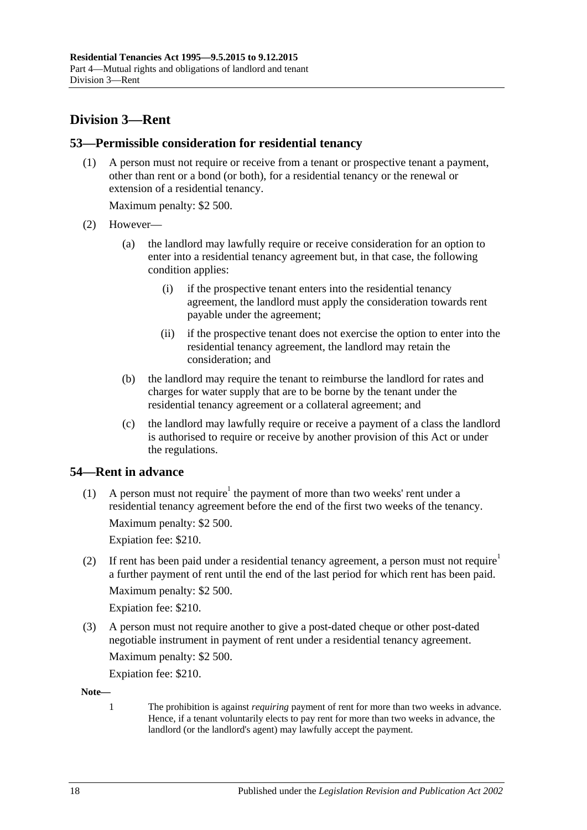## <span id="page-17-0"></span>**Division 3—Rent**

## <span id="page-17-1"></span>**53—Permissible consideration for residential tenancy**

(1) A person must not require or receive from a tenant or prospective tenant a payment, other than rent or a bond (or both), for a residential tenancy or the renewal or extension of a residential tenancy.

Maximum penalty: \$2 500.

- (2) However—
	- (a) the landlord may lawfully require or receive consideration for an option to enter into a residential tenancy agreement but, in that case, the following condition applies:
		- (i) if the prospective tenant enters into the residential tenancy agreement, the landlord must apply the consideration towards rent payable under the agreement;
		- (ii) if the prospective tenant does not exercise the option to enter into the residential tenancy agreement, the landlord may retain the consideration; and
	- (b) the landlord may require the tenant to reimburse the landlord for rates and charges for water supply that are to be borne by the tenant under the residential tenancy agreement or a collateral agreement; and
	- (c) the landlord may lawfully require or receive a payment of a class the landlord is authorised to require or receive by another provision of this Act or under the regulations.

## <span id="page-17-2"></span>**54—Rent in advance**

(1) A person must not require<sup>1</sup> the payment of more than two weeks' rent under a residential tenancy agreement before the end of the first two weeks of the tenancy.

Maximum penalty: \$2 500.

Expiation fee: \$210.

(2) If rent has been paid under a residential tenancy agreement, a person must not require a further payment of rent until the end of the last period for which rent has been paid. Maximum penalty: \$2 500.

Expiation fee: \$210.

(3) A person must not require another to give a post-dated cheque or other post-dated negotiable instrument in payment of rent under a residential tenancy agreement.

Maximum penalty: \$2 500.

Expiation fee: \$210.

**Note—**

1 The prohibition is against *requiring* payment of rent for more than two weeks in advance. Hence, if a tenant voluntarily elects to pay rent for more than two weeks in advance, the landlord (or the landlord's agent) may lawfully accept the payment.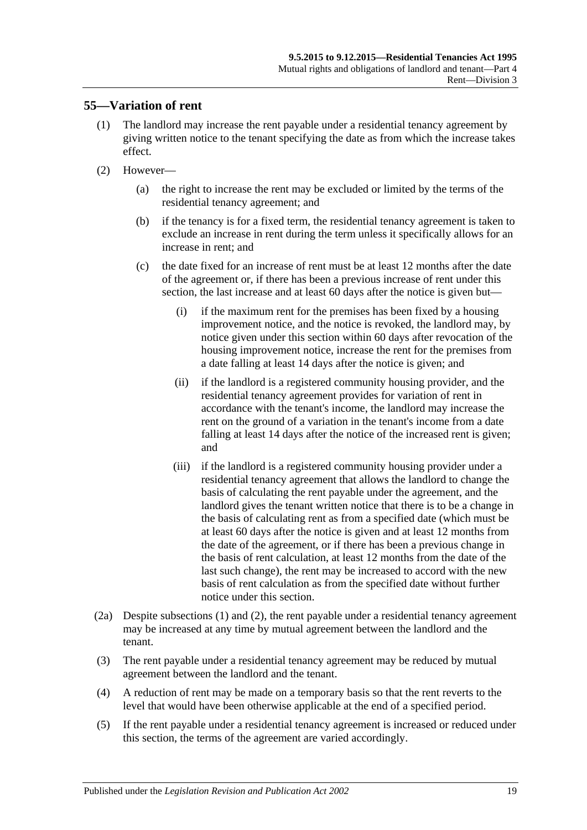## <span id="page-18-1"></span><span id="page-18-0"></span>**55—Variation of rent**

- (1) The landlord may increase the rent payable under a residential tenancy agreement by giving written notice to the tenant specifying the date as from which the increase takes effect.
- (2) However—
	- (a) the right to increase the rent may be excluded or limited by the terms of the residential tenancy agreement; and
	- (b) if the tenancy is for a fixed term, the residential tenancy agreement is taken to exclude an increase in rent during the term unless it specifically allows for an increase in rent; and
	- (c) the date fixed for an increase of rent must be at least 12 months after the date of the agreement or, if there has been a previous increase of rent under this section, the last increase and at least 60 days after the notice is given but—
		- (i) if the maximum rent for the premises has been fixed by a housing improvement notice, and the notice is revoked, the landlord may, by notice given under this section within 60 days after revocation of the housing improvement notice, increase the rent for the premises from a date falling at least 14 days after the notice is given; and
		- (ii) if the landlord is a registered community housing provider, and the residential tenancy agreement provides for variation of rent in accordance with the tenant's income, the landlord may increase the rent on the ground of a variation in the tenant's income from a date falling at least 14 days after the notice of the increased rent is given; and
		- (iii) if the landlord is a registered community housing provider under a residential tenancy agreement that allows the landlord to change the basis of calculating the rent payable under the agreement, and the landlord gives the tenant written notice that there is to be a change in the basis of calculating rent as from a specified date (which must be at least 60 days after the notice is given and at least 12 months from the date of the agreement, or if there has been a previous change in the basis of rent calculation, at least 12 months from the date of the last such change), the rent may be increased to accord with the new basis of rent calculation as from the specified date without further notice under this section.
- <span id="page-18-2"></span>(2a) Despite [subsections](#page-18-1) (1) and [\(2\),](#page-19-1) the rent payable under a residential tenancy agreement may be increased at any time by mutual agreement between the landlord and the tenant.
- (3) The rent payable under a residential tenancy agreement may be reduced by mutual agreement between the landlord and the tenant.
- (4) A reduction of rent may be made on a temporary basis so that the rent reverts to the level that would have been otherwise applicable at the end of a specified period.
- (5) If the rent payable under a residential tenancy agreement is increased or reduced under this section, the terms of the agreement are varied accordingly.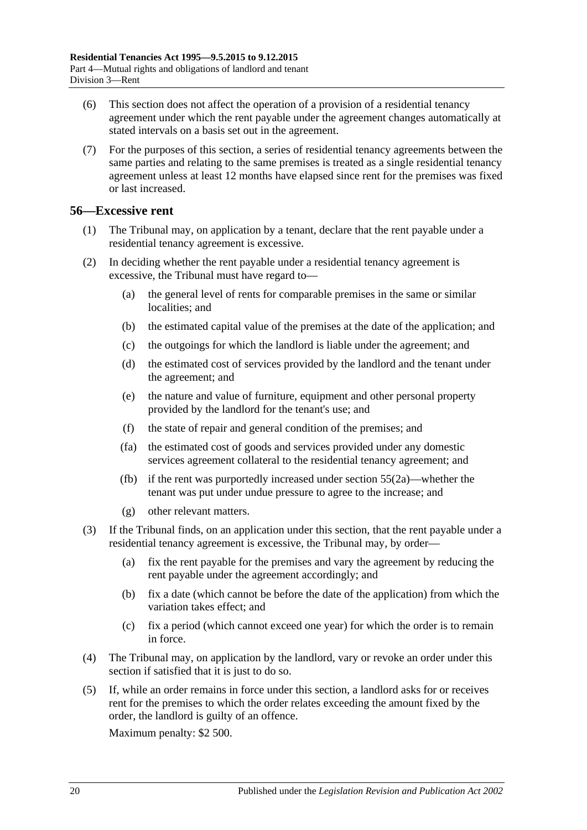- (6) This section does not affect the operation of a provision of a residential tenancy agreement under which the rent payable under the agreement changes automatically at stated intervals on a basis set out in the agreement.
- (7) For the purposes of this section, a series of residential tenancy agreements between the same parties and relating to the same premises is treated as a single residential tenancy agreement unless at least 12 months have elapsed since rent for the premises was fixed or last increased.

## <span id="page-19-0"></span>**56—Excessive rent**

- (1) The Tribunal may, on application by a tenant, declare that the rent payable under a residential tenancy agreement is excessive.
- <span id="page-19-1"></span>(2) In deciding whether the rent payable under a residential tenancy agreement is excessive, the Tribunal must have regard to—
	- (a) the general level of rents for comparable premises in the same or similar localities; and
	- (b) the estimated capital value of the premises at the date of the application; and
	- (c) the outgoings for which the landlord is liable under the agreement; and
	- (d) the estimated cost of services provided by the landlord and the tenant under the agreement; and
	- (e) the nature and value of furniture, equipment and other personal property provided by the landlord for the tenant's use; and
	- (f) the state of repair and general condition of the premises; and
	- (fa) the estimated cost of goods and services provided under any domestic services agreement collateral to the residential tenancy agreement; and
	- (fb) if the rent was purportedly increased under [section](#page-18-2) 55(2a)—whether the tenant was put under undue pressure to agree to the increase; and
	- (g) other relevant matters.
- (3) If the Tribunal finds, on an application under this section, that the rent payable under a residential tenancy agreement is excessive, the Tribunal may, by order—
	- (a) fix the rent payable for the premises and vary the agreement by reducing the rent payable under the agreement accordingly; and
	- (b) fix a date (which cannot be before the date of the application) from which the variation takes effect; and
	- (c) fix a period (which cannot exceed one year) for which the order is to remain in force.
- (4) The Tribunal may, on application by the landlord, vary or revoke an order under this section if satisfied that it is just to do so.
- (5) If, while an order remains in force under this section, a landlord asks for or receives rent for the premises to which the order relates exceeding the amount fixed by the order, the landlord is guilty of an offence.

Maximum penalty: \$2 500.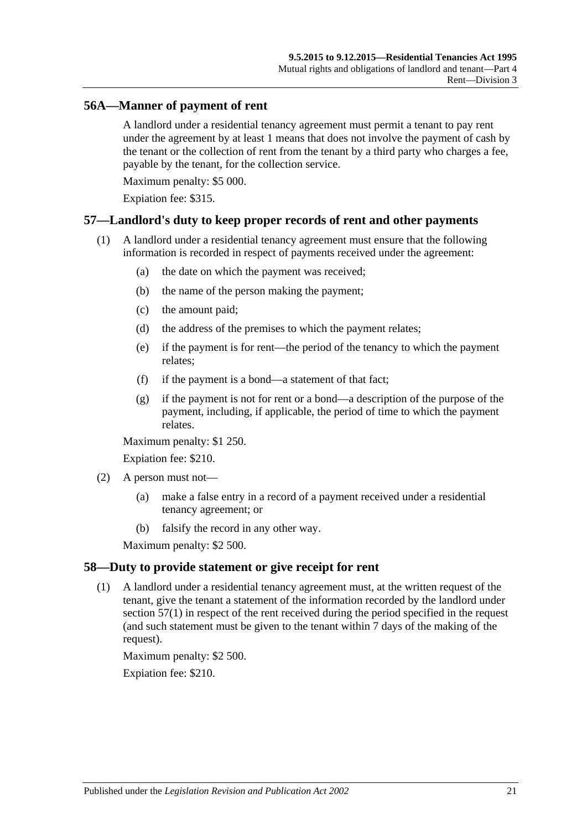## <span id="page-20-0"></span>**56A—Manner of payment of rent**

A landlord under a residential tenancy agreement must permit a tenant to pay rent under the agreement by at least 1 means that does not involve the payment of cash by the tenant or the collection of rent from the tenant by a third party who charges a fee, payable by the tenant, for the collection service.

Maximum penalty: \$5 000.

Expiation fee: \$315.

### <span id="page-20-3"></span><span id="page-20-1"></span>**57—Landlord's duty to keep proper records of rent and other payments**

- (1) A landlord under a residential tenancy agreement must ensure that the following information is recorded in respect of payments received under the agreement:
	- (a) the date on which the payment was received;
	- (b) the name of the person making the payment;
	- (c) the amount paid;
	- (d) the address of the premises to which the payment relates;
	- (e) if the payment is for rent—the period of the tenancy to which the payment relates;
	- (f) if the payment is a bond—a statement of that fact;
	- (g) if the payment is not for rent or a bond—a description of the purpose of the payment, including, if applicable, the period of time to which the payment relates.

Maximum penalty: \$1 250.

Expiation fee: \$210.

- (2) A person must not—
	- (a) make a false entry in a record of a payment received under a residential tenancy agreement; or
	- (b) falsify the record in any other way.

Maximum penalty: \$2 500.

### <span id="page-20-2"></span>**58—Duty to provide statement or give receipt for rent**

(1) A landlord under a residential tenancy agreement must, at the written request of the tenant, give the tenant a statement of the information recorded by the landlord under [section](#page-20-3) 57(1) in respect of the rent received during the period specified in the request (and such statement must be given to the tenant within 7 days of the making of the request).

Maximum penalty: \$2 500.

Expiation fee: \$210.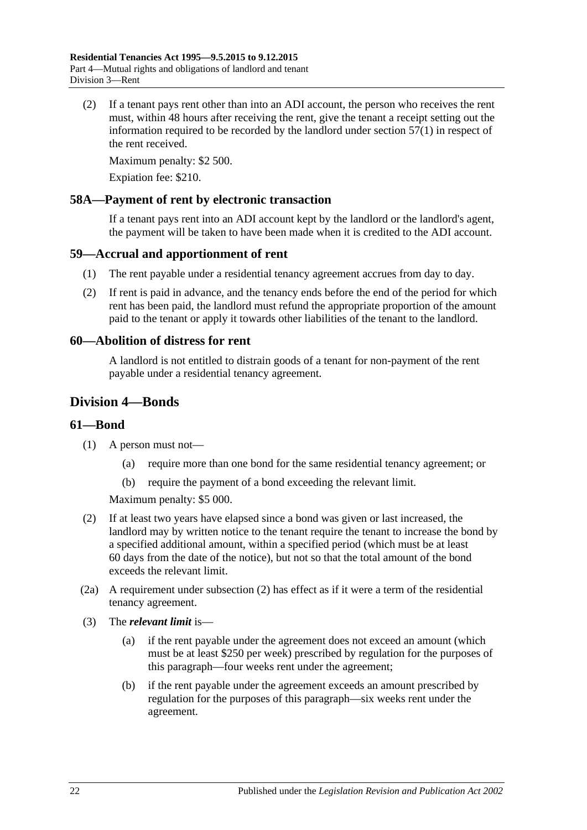(2) If a tenant pays rent other than into an ADI account, the person who receives the rent must, within 48 hours after receiving the rent, give the tenant a receipt setting out the information required to be recorded by the landlord under [section](#page-20-3) 57(1) in respect of the rent received.

Maximum penalty: \$2 500.

Expiation fee: \$210.

### <span id="page-21-0"></span>**58A—Payment of rent by electronic transaction**

If a tenant pays rent into an ADI account kept by the landlord or the landlord's agent, the payment will be taken to have been made when it is credited to the ADI account.

### <span id="page-21-1"></span>**59—Accrual and apportionment of rent**

- (1) The rent payable under a residential tenancy agreement accrues from day to day.
- (2) If rent is paid in advance, and the tenancy ends before the end of the period for which rent has been paid, the landlord must refund the appropriate proportion of the amount paid to the tenant or apply it towards other liabilities of the tenant to the landlord.

### <span id="page-21-2"></span>**60—Abolition of distress for rent**

A landlord is not entitled to distrain goods of a tenant for non-payment of the rent payable under a residential tenancy agreement.

## <span id="page-21-3"></span>**Division 4—Bonds**

### <span id="page-21-4"></span>**61—Bond**

- (1) A person must not—
	- (a) require more than one bond for the same residential tenancy agreement; or
	- (b) require the payment of a bond exceeding the relevant limit.

Maximum penalty: \$5 000.

- <span id="page-21-5"></span>(2) If at least two years have elapsed since a bond was given or last increased, the landlord may by written notice to the tenant require the tenant to increase the bond by a specified additional amount, within a specified period (which must be at least 60 days from the date of the notice), but not so that the total amount of the bond exceeds the relevant limit.
- (2a) A requirement under [subsection](#page-21-5) (2) has effect as if it were a term of the residential tenancy agreement.
- (3) The *relevant limit* is—
	- (a) if the rent payable under the agreement does not exceed an amount (which must be at least \$250 per week) prescribed by regulation for the purposes of this paragraph—four weeks rent under the agreement;
	- (b) if the rent payable under the agreement exceeds an amount prescribed by regulation for the purposes of this paragraph—six weeks rent under the agreement.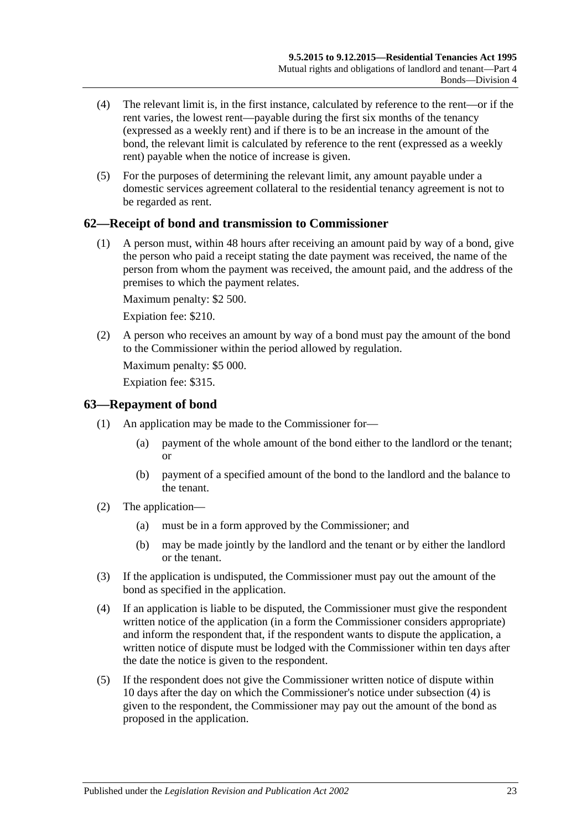- (4) The relevant limit is, in the first instance, calculated by reference to the rent—or if the rent varies, the lowest rent—payable during the first six months of the tenancy (expressed as a weekly rent) and if there is to be an increase in the amount of the bond, the relevant limit is calculated by reference to the rent (expressed as a weekly rent) payable when the notice of increase is given.
- (5) For the purposes of determining the relevant limit, any amount payable under a domestic services agreement collateral to the residential tenancy agreement is not to be regarded as rent.

## <span id="page-22-0"></span>**62—Receipt of bond and transmission to Commissioner**

(1) A person must, within 48 hours after receiving an amount paid by way of a bond, give the person who paid a receipt stating the date payment was received, the name of the person from whom the payment was received, the amount paid, and the address of the premises to which the payment relates.

Maximum penalty: \$2 500.

Expiation fee: \$210.

(2) A person who receives an amount by way of a bond must pay the amount of the bond to the Commissioner within the period allowed by regulation.

Maximum penalty: \$5 000.

Expiation fee: \$315.

### <span id="page-22-1"></span>**63—Repayment of bond**

- (1) An application may be made to the Commissioner for—
	- (a) payment of the whole amount of the bond either to the landlord or the tenant; or
	- (b) payment of a specified amount of the bond to the landlord and the balance to the tenant.
- (2) The application—
	- (a) must be in a form approved by the Commissioner; and
	- (b) may be made jointly by the landlord and the tenant or by either the landlord or the tenant.
- (3) If the application is undisputed, the Commissioner must pay out the amount of the bond as specified in the application.
- <span id="page-22-2"></span>(4) If an application is liable to be disputed, the Commissioner must give the respondent written notice of the application (in a form the Commissioner considers appropriate) and inform the respondent that, if the respondent wants to dispute the application, a written notice of dispute must be lodged with the Commissioner within ten days after the date the notice is given to the respondent.
- <span id="page-22-3"></span>(5) If the respondent does not give the Commissioner written notice of dispute within 10 days after the day on which the Commissioner's notice under [subsection](#page-22-2) (4) is given to the respondent, the Commissioner may pay out the amount of the bond as proposed in the application.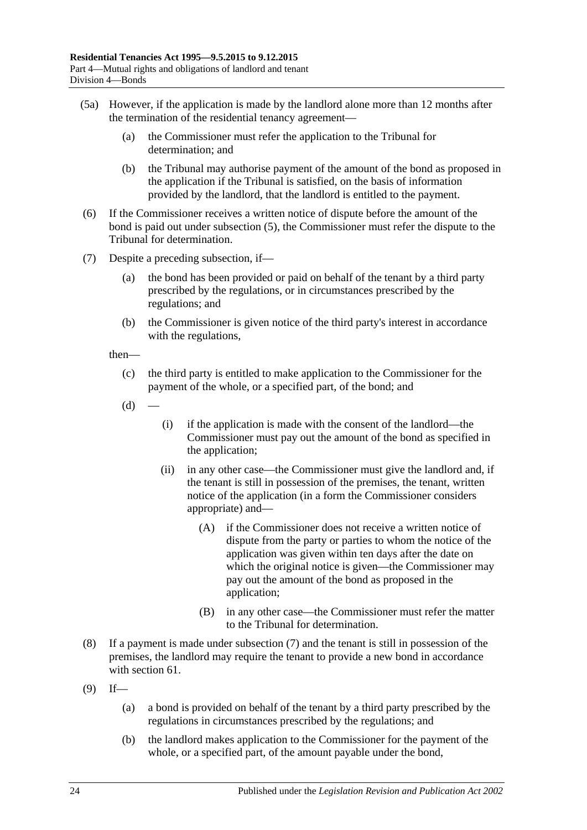- (5a) However, if the application is made by the landlord alone more than 12 months after the termination of the residential tenancy agreement—
	- (a) the Commissioner must refer the application to the Tribunal for determination; and
	- (b) the Tribunal may authorise payment of the amount of the bond as proposed in the application if the Tribunal is satisfied, on the basis of information provided by the landlord, that the landlord is entitled to the payment.
- (6) If the Commissioner receives a written notice of dispute before the amount of the bond is paid out under [subsection](#page-22-3) (5), the Commissioner must refer the dispute to the Tribunal for determination.
- <span id="page-23-0"></span>(7) Despite a preceding subsection, if—
	- (a) the bond has been provided or paid on behalf of the tenant by a third party prescribed by the regulations, or in circumstances prescribed by the regulations; and
	- (b) the Commissioner is given notice of the third party's interest in accordance with the regulations,

then—

- (c) the third party is entitled to make application to the Commissioner for the payment of the whole, or a specified part, of the bond; and
- $(d)$ 
	- (i) if the application is made with the consent of the landlord—the Commissioner must pay out the amount of the bond as specified in the application;
	- (ii) in any other case—the Commissioner must give the landlord and, if the tenant is still in possession of the premises, the tenant, written notice of the application (in a form the Commissioner considers appropriate) and—
		- (A) if the Commissioner does not receive a written notice of dispute from the party or parties to whom the notice of the application was given within ten days after the date on which the original notice is given—the Commissioner may pay out the amount of the bond as proposed in the application;
		- (B) in any other case—the Commissioner must refer the matter to the Tribunal for determination.
- (8) If a payment is made under [subsection](#page-23-0) (7) and the tenant is still in possession of the premises, the landlord may require the tenant to provide a new bond in accordance with [section](#page-21-4) 61.
- <span id="page-23-1"></span> $(9)$  If—
	- (a) a bond is provided on behalf of the tenant by a third party prescribed by the regulations in circumstances prescribed by the regulations; and
	- (b) the landlord makes application to the Commissioner for the payment of the whole, or a specified part, of the amount payable under the bond,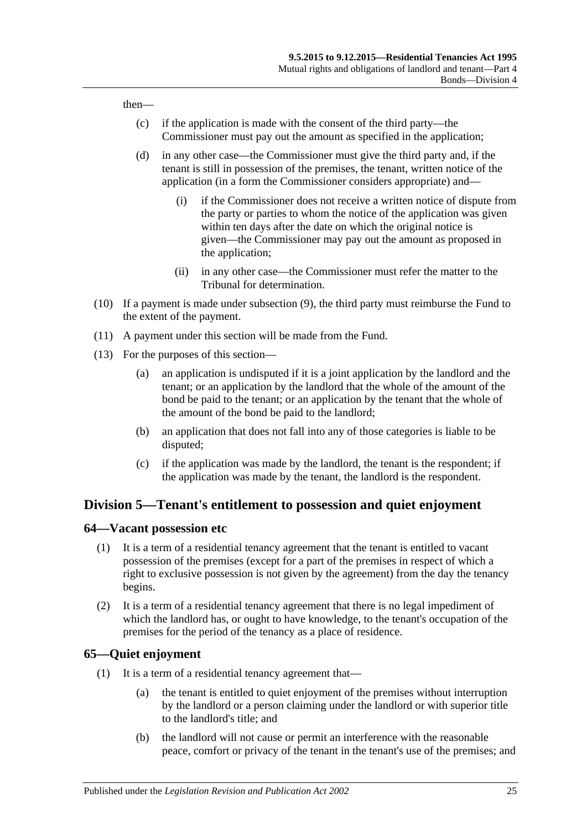then—

- (c) if the application is made with the consent of the third party—the Commissioner must pay out the amount as specified in the application;
- (d) in any other case—the Commissioner must give the third party and, if the tenant is still in possession of the premises, the tenant, written notice of the application (in a form the Commissioner considers appropriate) and—
	- (i) if the Commissioner does not receive a written notice of dispute from the party or parties to whom the notice of the application was given within ten days after the date on which the original notice is given—the Commissioner may pay out the amount as proposed in the application;
	- (ii) in any other case—the Commissioner must refer the matter to the Tribunal for determination.
- (10) If a payment is made under [subsection](#page-23-1) (9), the third party must reimburse the Fund to the extent of the payment.
- (11) A payment under this section will be made from the Fund.
- (13) For the purposes of this section—
	- (a) an application is undisputed if it is a joint application by the landlord and the tenant; or an application by the landlord that the whole of the amount of the bond be paid to the tenant; or an application by the tenant that the whole of the amount of the bond be paid to the landlord;
	- (b) an application that does not fall into any of those categories is liable to be disputed;
	- (c) if the application was made by the landlord, the tenant is the respondent; if the application was made by the tenant, the landlord is the respondent.

## <span id="page-24-0"></span>**Division 5—Tenant's entitlement to possession and quiet enjoyment**

### <span id="page-24-1"></span>**64—Vacant possession etc**

- (1) It is a term of a residential tenancy agreement that the tenant is entitled to vacant possession of the premises (except for a part of the premises in respect of which a right to exclusive possession is not given by the agreement) from the day the tenancy begins.
- (2) It is a term of a residential tenancy agreement that there is no legal impediment of which the landlord has, or ought to have knowledge, to the tenant's occupation of the premises for the period of the tenancy as a place of residence.

### <span id="page-24-2"></span>**65—Quiet enjoyment**

- (1) It is a term of a residential tenancy agreement that—
	- (a) the tenant is entitled to quiet enjoyment of the premises without interruption by the landlord or a person claiming under the landlord or with superior title to the landlord's title; and
	- (b) the landlord will not cause or permit an interference with the reasonable peace, comfort or privacy of the tenant in the tenant's use of the premises; and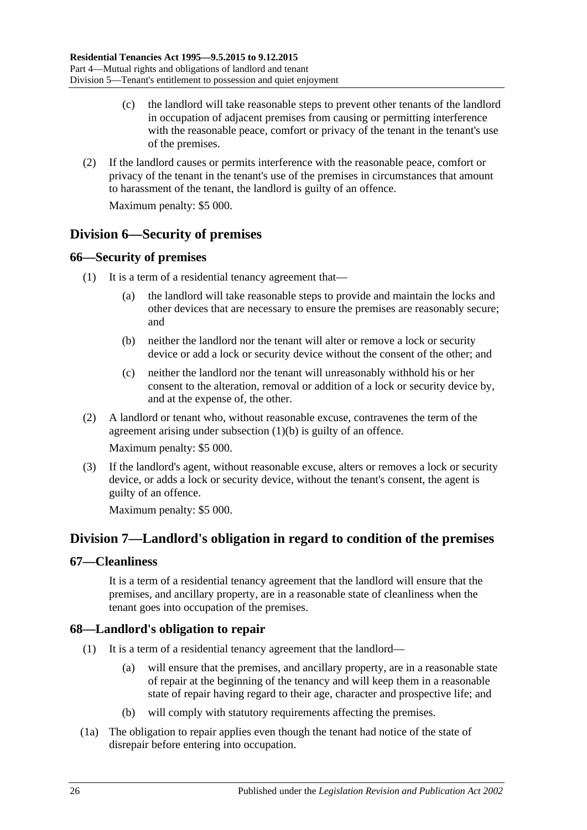- (c) the landlord will take reasonable steps to prevent other tenants of the landlord in occupation of adjacent premises from causing or permitting interference with the reasonable peace, comfort or privacy of the tenant in the tenant's use of the premises.
- (2) If the landlord causes or permits interference with the reasonable peace, comfort or privacy of the tenant in the tenant's use of the premises in circumstances that amount to harassment of the tenant, the landlord is guilty of an offence.

Maximum penalty: \$5 000.

## <span id="page-25-0"></span>**Division 6—Security of premises**

## <span id="page-25-1"></span>**66—Security of premises**

- <span id="page-25-5"></span>(1) It is a term of a residential tenancy agreement that
	- the landlord will take reasonable steps to provide and maintain the locks and other devices that are necessary to ensure the premises are reasonably secure; and
	- (b) neither the landlord nor the tenant will alter or remove a lock or security device or add a lock or security device without the consent of the other; and
	- (c) neither the landlord nor the tenant will unreasonably withhold his or her consent to the alteration, removal or addition of a lock or security device by, and at the expense of, the other.
- (2) A landlord or tenant who, without reasonable excuse, contravenes the term of the agreement arising under [subsection](#page-25-5) (1)(b) is guilty of an offence.

Maximum penalty: \$5 000.

(3) If the landlord's agent, without reasonable excuse, alters or removes a lock or security device, or adds a lock or security device, without the tenant's consent, the agent is guilty of an offence.

Maximum penalty: \$5 000.

## <span id="page-25-2"></span>**Division 7—Landlord's obligation in regard to condition of the premises**

## <span id="page-25-3"></span>**67—Cleanliness**

It is a term of a residential tenancy agreement that the landlord will ensure that the premises, and ancillary property, are in a reasonable state of cleanliness when the tenant goes into occupation of the premises.

## <span id="page-25-6"></span><span id="page-25-4"></span>**68—Landlord's obligation to repair**

- (1) It is a term of a residential tenancy agreement that the landlord—
	- (a) will ensure that the premises, and ancillary property, are in a reasonable state of repair at the beginning of the tenancy and will keep them in a reasonable state of repair having regard to their age, character and prospective life; and
	- (b) will comply with statutory requirements affecting the premises.
- (1a) The obligation to repair applies even though the tenant had notice of the state of disrepair before entering into occupation.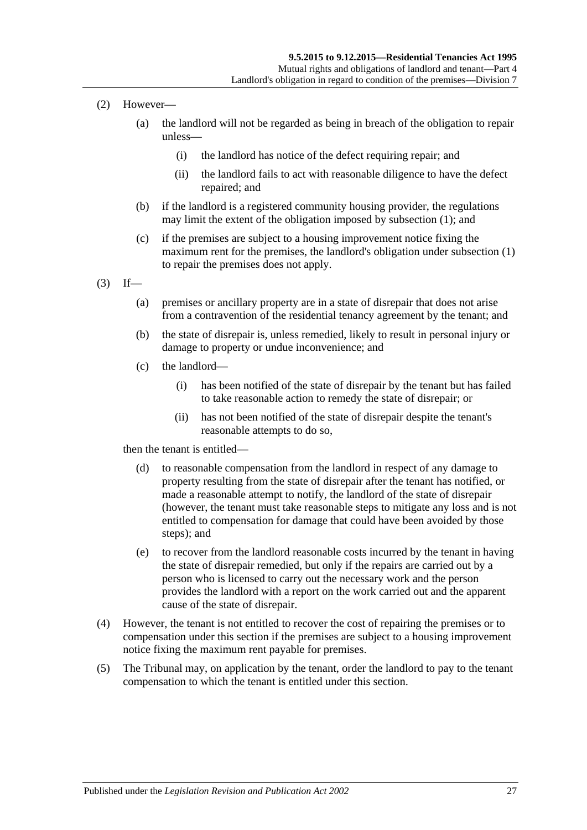- (2) However—
	- (a) the landlord will not be regarded as being in breach of the obligation to repair unless—
		- (i) the landlord has notice of the defect requiring repair; and
		- (ii) the landlord fails to act with reasonable diligence to have the defect repaired; and
	- (b) if the landlord is a registered community housing provider, the regulations may limit the extent of the obligation imposed by [subsection](#page-25-6) (1); and
	- (c) if the premises are subject to a housing improvement notice fixing the maximum rent for the premises, the landlord's obligation under [subsection](#page-25-6) (1) to repair the premises does not apply.
- $(3)$  If—
	- (a) premises or ancillary property are in a state of disrepair that does not arise from a contravention of the residential tenancy agreement by the tenant; and
	- (b) the state of disrepair is, unless remedied, likely to result in personal injury or damage to property or undue inconvenience; and
	- (c) the landlord—
		- (i) has been notified of the state of disrepair by the tenant but has failed to take reasonable action to remedy the state of disrepair; or
		- (ii) has not been notified of the state of disrepair despite the tenant's reasonable attempts to do so,

then the tenant is entitled—

- (d) to reasonable compensation from the landlord in respect of any damage to property resulting from the state of disrepair after the tenant has notified, or made a reasonable attempt to notify, the landlord of the state of disrepair (however, the tenant must take reasonable steps to mitigate any loss and is not entitled to compensation for damage that could have been avoided by those steps); and
- (e) to recover from the landlord reasonable costs incurred by the tenant in having the state of disrepair remedied, but only if the repairs are carried out by a person who is licensed to carry out the necessary work and the person provides the landlord with a report on the work carried out and the apparent cause of the state of disrepair.
- (4) However, the tenant is not entitled to recover the cost of repairing the premises or to compensation under this section if the premises are subject to a housing improvement notice fixing the maximum rent payable for premises.
- (5) The Tribunal may, on application by the tenant, order the landlord to pay to the tenant compensation to which the tenant is entitled under this section.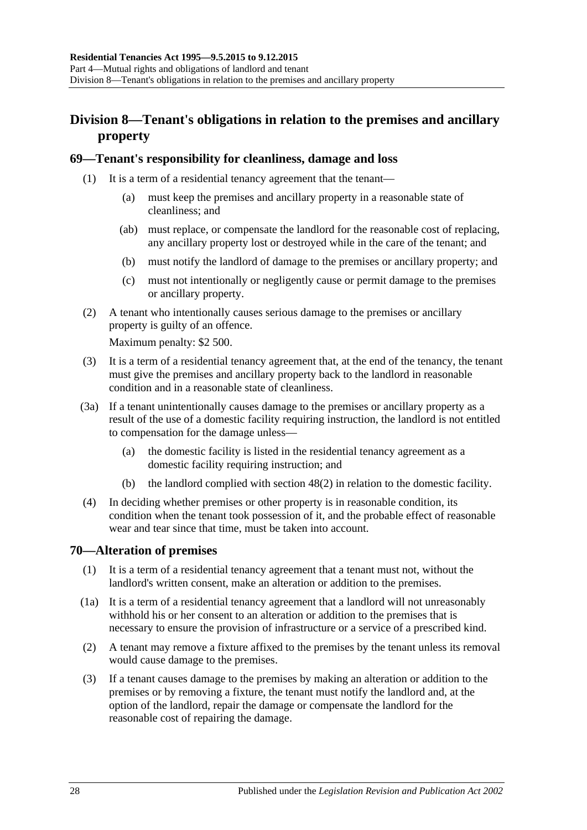## <span id="page-27-0"></span>**Division 8—Tenant's obligations in relation to the premises and ancillary property**

### <span id="page-27-1"></span>**69—Tenant's responsibility for cleanliness, damage and loss**

- (1) It is a term of a residential tenancy agreement that the tenant—
	- (a) must keep the premises and ancillary property in a reasonable state of cleanliness; and
	- (ab) must replace, or compensate the landlord for the reasonable cost of replacing, any ancillary property lost or destroyed while in the care of the tenant; and
	- (b) must notify the landlord of damage to the premises or ancillary property; and
	- (c) must not intentionally or negligently cause or permit damage to the premises or ancillary property.
- (2) A tenant who intentionally causes serious damage to the premises or ancillary property is guilty of an offence.

Maximum penalty: \$2 500.

- (3) It is a term of a residential tenancy agreement that, at the end of the tenancy, the tenant must give the premises and ancillary property back to the landlord in reasonable condition and in a reasonable state of cleanliness.
- <span id="page-27-3"></span>(3a) If a tenant unintentionally causes damage to the premises or ancillary property as a result of the use of a domestic facility requiring instruction, the landlord is not entitled to compensation for the damage unless—
	- (a) the domestic facility is listed in the residential tenancy agreement as a domestic facility requiring instruction; and
	- (b) the landlord complied with [section](#page-14-2) 48(2) in relation to the domestic facility.
- (4) In deciding whether premises or other property is in reasonable condition, its condition when the tenant took possession of it, and the probable effect of reasonable wear and tear since that time, must be taken into account.

## <span id="page-27-2"></span>**70—Alteration of premises**

- (1) It is a term of a residential tenancy agreement that a tenant must not, without the landlord's written consent, make an alteration or addition to the premises.
- (1a) It is a term of a residential tenancy agreement that a landlord will not unreasonably withhold his or her consent to an alteration or addition to the premises that is necessary to ensure the provision of infrastructure or a service of a prescribed kind.
- (2) A tenant may remove a fixture affixed to the premises by the tenant unless its removal would cause damage to the premises.
- (3) If a tenant causes damage to the premises by making an alteration or addition to the premises or by removing a fixture, the tenant must notify the landlord and, at the option of the landlord, repair the damage or compensate the landlord for the reasonable cost of repairing the damage.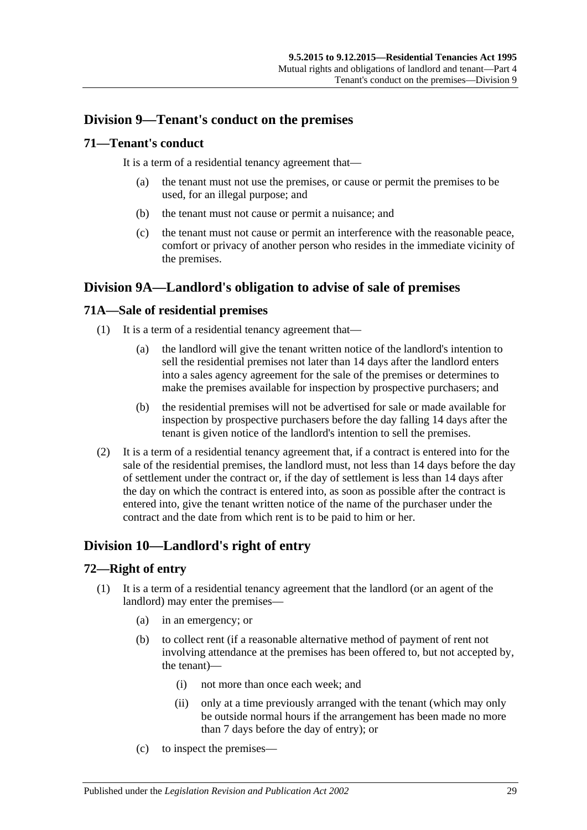## <span id="page-28-0"></span>**Division 9—Tenant's conduct on the premises**

### <span id="page-28-1"></span>**71—Tenant's conduct**

It is a term of a residential tenancy agreement that—

- (a) the tenant must not use the premises, or cause or permit the premises to be used, for an illegal purpose; and
- (b) the tenant must not cause or permit a nuisance; and
- (c) the tenant must not cause or permit an interference with the reasonable peace, comfort or privacy of another person who resides in the immediate vicinity of the premises.

## <span id="page-28-2"></span>**Division 9A—Landlord's obligation to advise of sale of premises**

## <span id="page-28-3"></span>**71A—Sale of residential premises**

- (1) It is a term of a residential tenancy agreement that—
	- (a) the landlord will give the tenant written notice of the landlord's intention to sell the residential premises not later than 14 days after the landlord enters into a sales agency agreement for the sale of the premises or determines to make the premises available for inspection by prospective purchasers; and
	- (b) the residential premises will not be advertised for sale or made available for inspection by prospective purchasers before the day falling 14 days after the tenant is given notice of the landlord's intention to sell the premises.
- (2) It is a term of a residential tenancy agreement that, if a contract is entered into for the sale of the residential premises, the landlord must, not less than 14 days before the day of settlement under the contract or, if the day of settlement is less than 14 days after the day on which the contract is entered into, as soon as possible after the contract is entered into, give the tenant written notice of the name of the purchaser under the contract and the date from which rent is to be paid to him or her.

## <span id="page-28-4"></span>**Division 10—Landlord's right of entry**

## <span id="page-28-5"></span>**72—Right of entry**

- <span id="page-28-6"></span>(1) It is a term of a residential tenancy agreement that the landlord (or an agent of the landlord) may enter the premises—
	- (a) in an emergency; or
	- (b) to collect rent (if a reasonable alternative method of payment of rent not involving attendance at the premises has been offered to, but not accepted by, the tenant)—
		- (i) not more than once each week; and
		- (ii) only at a time previously arranged with the tenant (which may only be outside normal hours if the arrangement has been made no more than 7 days before the day of entry); or
	- (c) to inspect the premises—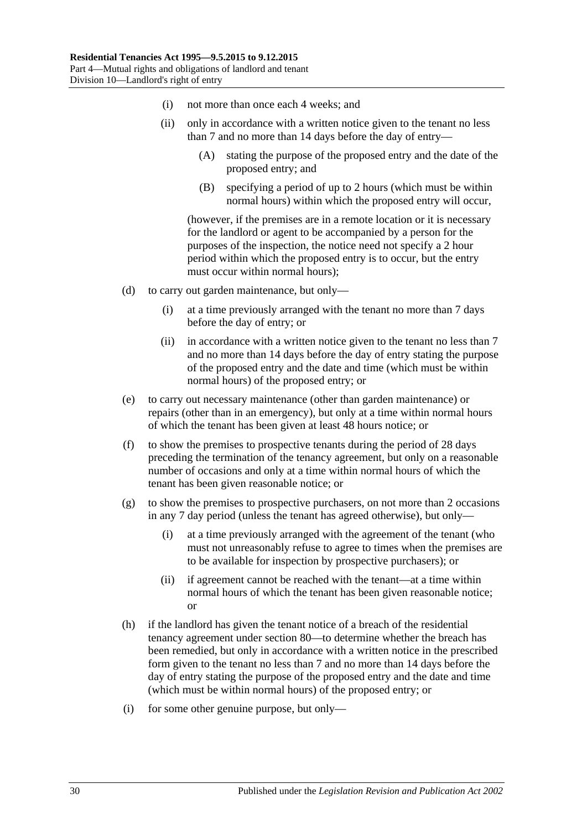- (i) not more than once each 4 weeks; and
- (ii) only in accordance with a written notice given to the tenant no less than 7 and no more than 14 days before the day of entry—
	- (A) stating the purpose of the proposed entry and the date of the proposed entry; and
	- (B) specifying a period of up to 2 hours (which must be within normal hours) within which the proposed entry will occur,

(however, if the premises are in a remote location or it is necessary for the landlord or agent to be accompanied by a person for the purposes of the inspection, the notice need not specify a 2 hour period within which the proposed entry is to occur, but the entry must occur within normal hours);

- (d) to carry out garden maintenance, but only—
	- (i) at a time previously arranged with the tenant no more than 7 days before the day of entry; or
	- (ii) in accordance with a written notice given to the tenant no less than 7 and no more than 14 days before the day of entry stating the purpose of the proposed entry and the date and time (which must be within normal hours) of the proposed entry; or
- (e) to carry out necessary maintenance (other than garden maintenance) or repairs (other than in an emergency), but only at a time within normal hours of which the tenant has been given at least 48 hours notice; or
- (f) to show the premises to prospective tenants during the period of 28 days preceding the termination of the tenancy agreement, but only on a reasonable number of occasions and only at a time within normal hours of which the tenant has been given reasonable notice; or
- $(g)$  to show the premises to prospective purchasers, on not more than 2 occasions in any 7 day period (unless the tenant has agreed otherwise), but only—
	- (i) at a time previously arranged with the agreement of the tenant (who must not unreasonably refuse to agree to times when the premises are to be available for inspection by prospective purchasers); or
	- (ii) if agreement cannot be reached with the tenant—at a time within normal hours of which the tenant has been given reasonable notice; or
- <span id="page-29-0"></span>(h) if the landlord has given the tenant notice of a breach of the residential tenancy agreement under [section](#page-34-5) 80—to determine whether the breach has been remedied, but only in accordance with a written notice in the prescribed form given to the tenant no less than 7 and no more than 14 days before the day of entry stating the purpose of the proposed entry and the date and time (which must be within normal hours) of the proposed entry; or
- (i) for some other genuine purpose, but only—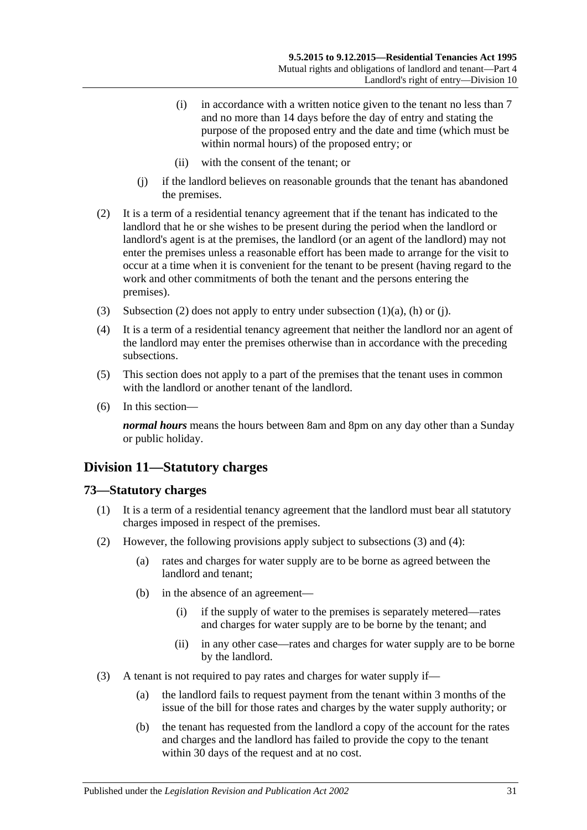- (i) in accordance with a written notice given to the tenant no less than 7 and no more than 14 days before the day of entry and stating the purpose of the proposed entry and the date and time (which must be within normal hours) of the proposed entry; or
- (ii) with the consent of the tenant; or
- (j) if the landlord believes on reasonable grounds that the tenant has abandoned the premises.
- <span id="page-30-3"></span><span id="page-30-2"></span>(2) It is a term of a residential tenancy agreement that if the tenant has indicated to the landlord that he or she wishes to be present during the period when the landlord or landlord's agent is at the premises, the landlord (or an agent of the landlord) may not enter the premises unless a reasonable effort has been made to arrange for the visit to occur at a time when it is convenient for the tenant to be present (having regard to the work and other commitments of both the tenant and the persons entering the premises).
- (3) [Subsection](#page-30-2) (2) does not apply to entry under [subsection](#page-28-6)  $(1)(a)$ ,  $(h)$  or  $(i)$ .
- (4) It is a term of a residential tenancy agreement that neither the landlord nor an agent of the landlord may enter the premises otherwise than in accordance with the preceding subsections.
- (5) This section does not apply to a part of the premises that the tenant uses in common with the landlord or another tenant of the landlord.
- (6) In this section—

*normal hours* means the hours between 8am and 8pm on any day other than a Sunday or public holiday.

## <span id="page-30-0"></span>**Division 11—Statutory charges**

### <span id="page-30-1"></span>**73—Statutory charges**

- (1) It is a term of a residential tenancy agreement that the landlord must bear all statutory charges imposed in respect of the premises.
- <span id="page-30-6"></span><span id="page-30-5"></span>(2) However, the following provisions apply subject to [subsections](#page-30-4) (3) and [\(4\):](#page-31-2)
	- (a) rates and charges for water supply are to be borne as agreed between the landlord and tenant;
	- (b) in the absence of an agreement—
		- (i) if the supply of water to the premises is separately metered—rates and charges for water supply are to be borne by the tenant; and
		- (ii) in any other case—rates and charges for water supply are to be borne by the landlord.
- <span id="page-30-4"></span>(3) A tenant is not required to pay rates and charges for water supply if—
	- (a) the landlord fails to request payment from the tenant within 3 months of the issue of the bill for those rates and charges by the water supply authority; or
	- (b) the tenant has requested from the landlord a copy of the account for the rates and charges and the landlord has failed to provide the copy to the tenant within 30 days of the request and at no cost.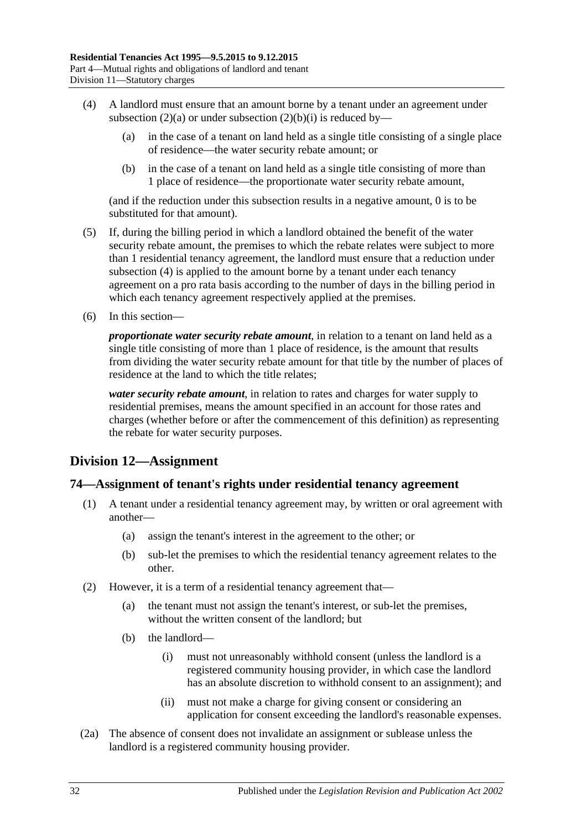- <span id="page-31-2"></span>(4) A landlord must ensure that an amount borne by a tenant under an agreement under [subsection](#page-30-5) (2)(a) or under [subsection](#page-30-6) (2)(b)(i) is reduced by—
	- (a) in the case of a tenant on land held as a single title consisting of a single place of residence—the water security rebate amount; or
	- (b) in the case of a tenant on land held as a single title consisting of more than 1 place of residence—the proportionate water security rebate amount,

(and if the reduction under this subsection results in a negative amount, 0 is to be substituted for that amount).

- (5) If, during the billing period in which a landlord obtained the benefit of the water security rebate amount, the premises to which the rebate relates were subject to more than 1 residential tenancy agreement, the landlord must ensure that a reduction under [subsection](#page-31-2) (4) is applied to the amount borne by a tenant under each tenancy agreement on a pro rata basis according to the number of days in the billing period in which each tenancy agreement respectively applied at the premises.
- (6) In this section—

*proportionate water security rebate amount*, in relation to a tenant on land held as a single title consisting of more than 1 place of residence, is the amount that results from dividing the water security rebate amount for that title by the number of places of residence at the land to which the title relates;

*water security rebate amount*, in relation to rates and charges for water supply to residential premises, means the amount specified in an account for those rates and charges (whether before or after the commencement of this definition) as representing the rebate for water security purposes.

## <span id="page-31-0"></span>**Division 12—Assignment**

### <span id="page-31-1"></span>**74—Assignment of tenant's rights under residential tenancy agreement**

- (1) A tenant under a residential tenancy agreement may, by written or oral agreement with another—
	- (a) assign the tenant's interest in the agreement to the other; or
	- (b) sub-let the premises to which the residential tenancy agreement relates to the other.
- (2) However, it is a term of a residential tenancy agreement that—
	- (a) the tenant must not assign the tenant's interest, or sub-let the premises, without the written consent of the landlord; but
	- (b) the landlord—
		- (i) must not unreasonably withhold consent (unless the landlord is a registered community housing provider, in which case the landlord has an absolute discretion to withhold consent to an assignment); and
		- (ii) must not make a charge for giving consent or considering an application for consent exceeding the landlord's reasonable expenses.
- (2a) The absence of consent does not invalidate an assignment or sublease unless the landlord is a registered community housing provider.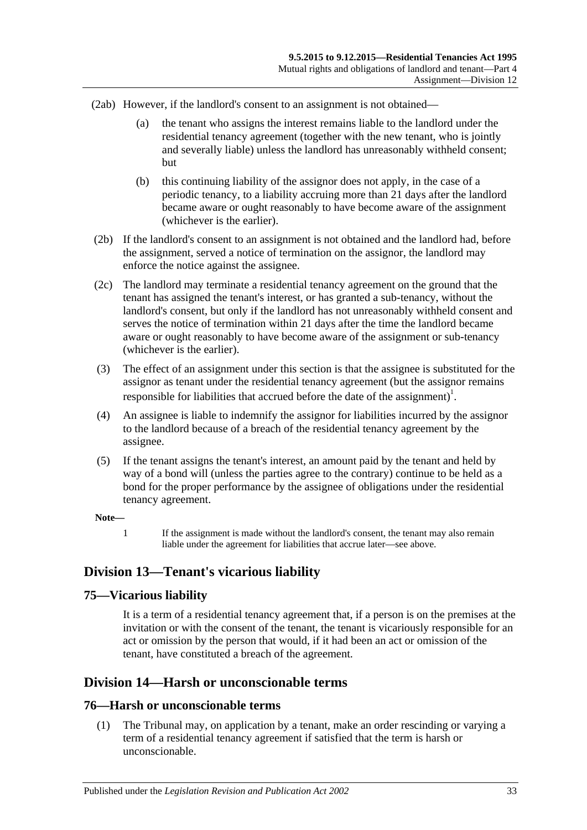- (2ab) However, if the landlord's consent to an assignment is not obtained—
	- (a) the tenant who assigns the interest remains liable to the landlord under the residential tenancy agreement (together with the new tenant, who is jointly and severally liable) unless the landlord has unreasonably withheld consent; but
	- (b) this continuing liability of the assignor does not apply, in the case of a periodic tenancy, to a liability accruing more than 21 days after the landlord became aware or ought reasonably to have become aware of the assignment (whichever is the earlier).
- (2b) If the landlord's consent to an assignment is not obtained and the landlord had, before the assignment, served a notice of termination on the assignor, the landlord may enforce the notice against the assignee.
- (2c) The landlord may terminate a residential tenancy agreement on the ground that the tenant has assigned the tenant's interest, or has granted a sub-tenancy, without the landlord's consent, but only if the landlord has not unreasonably withheld consent and serves the notice of termination within 21 days after the time the landlord became aware or ought reasonably to have become aware of the assignment or sub-tenancy (whichever is the earlier).
- (3) The effect of an assignment under this section is that the assignee is substituted for the assignor as tenant under the residential tenancy agreement (but the assignor remains responsible for liabilities that accrued before the date of the assignment)<sup>1</sup>.
- (4) An assignee is liable to indemnify the assignor for liabilities incurred by the assignor to the landlord because of a breach of the residential tenancy agreement by the assignee.
- (5) If the tenant assigns the tenant's interest, an amount paid by the tenant and held by way of a bond will (unless the parties agree to the contrary) continue to be held as a bond for the proper performance by the assignee of obligations under the residential tenancy agreement.

#### **Note—**

1 If the assignment is made without the landlord's consent, the tenant may also remain liable under the agreement for liabilities that accrue later—see above.

## <span id="page-32-0"></span>**Division 13—Tenant's vicarious liability**

## <span id="page-32-1"></span>**75—Vicarious liability**

It is a term of a residential tenancy agreement that, if a person is on the premises at the invitation or with the consent of the tenant, the tenant is vicariously responsible for an act or omission by the person that would, if it had been an act or omission of the tenant, have constituted a breach of the agreement.

## <span id="page-32-2"></span>**Division 14—Harsh or unconscionable terms**

### <span id="page-32-4"></span><span id="page-32-3"></span>**76—Harsh or unconscionable terms**

(1) The Tribunal may, on application by a tenant, make an order rescinding or varying a term of a residential tenancy agreement if satisfied that the term is harsh or unconscionable.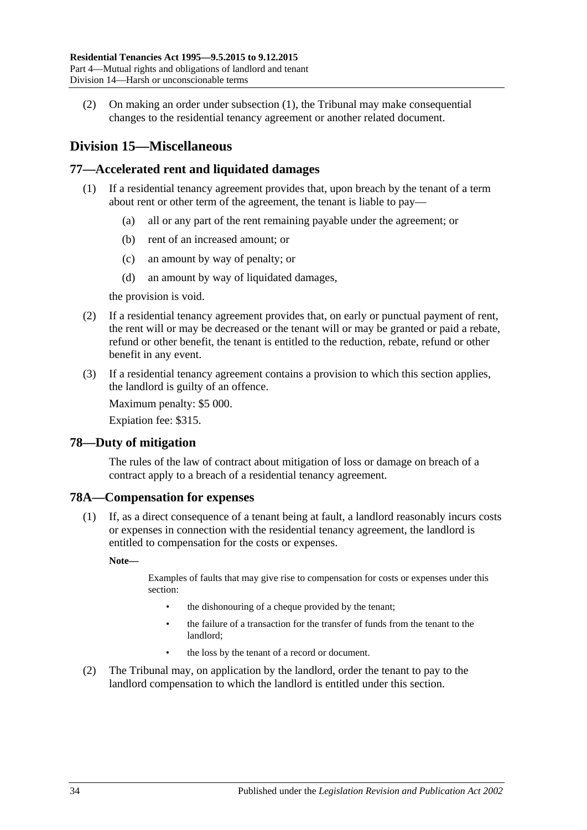(2) On making an order under [subsection](#page-32-4) (1), the Tribunal may make consequential changes to the residential tenancy agreement or another related document.

## <span id="page-33-0"></span>**Division 15—Miscellaneous**

## <span id="page-33-1"></span>**77—Accelerated rent and liquidated damages**

- (1) If a residential tenancy agreement provides that, upon breach by the tenant of a term about rent or other term of the agreement, the tenant is liable to pay—
	- (a) all or any part of the rent remaining payable under the agreement; or
	- (b) rent of an increased amount; or
	- (c) an amount by way of penalty; or
	- (d) an amount by way of liquidated damages,

the provision is void.

- (2) If a residential tenancy agreement provides that, on early or punctual payment of rent, the rent will or may be decreased or the tenant will or may be granted or paid a rebate, refund or other benefit, the tenant is entitled to the reduction, rebate, refund or other benefit in any event.
- (3) If a residential tenancy agreement contains a provision to which this section applies, the landlord is guilty of an offence.

Maximum penalty: \$5 000.

Expiation fee: \$315.

## <span id="page-33-2"></span>**78—Duty of mitigation**

The rules of the law of contract about mitigation of loss or damage on breach of a contract apply to a breach of a residential tenancy agreement.

## <span id="page-33-3"></span>**78A—Compensation for expenses**

(1) If, as a direct consequence of a tenant being at fault, a landlord reasonably incurs costs or expenses in connection with the residential tenancy agreement, the landlord is entitled to compensation for the costs or expenses.

**Note—**

Examples of faults that may give rise to compensation for costs or expenses under this section:

- the dishonouring of a cheque provided by the tenant;
- the failure of a transaction for the transfer of funds from the tenant to the landlord;
- the loss by the tenant of a record or document.
- (2) The Tribunal may, on application by the landlord, order the tenant to pay to the landlord compensation to which the landlord is entitled under this section.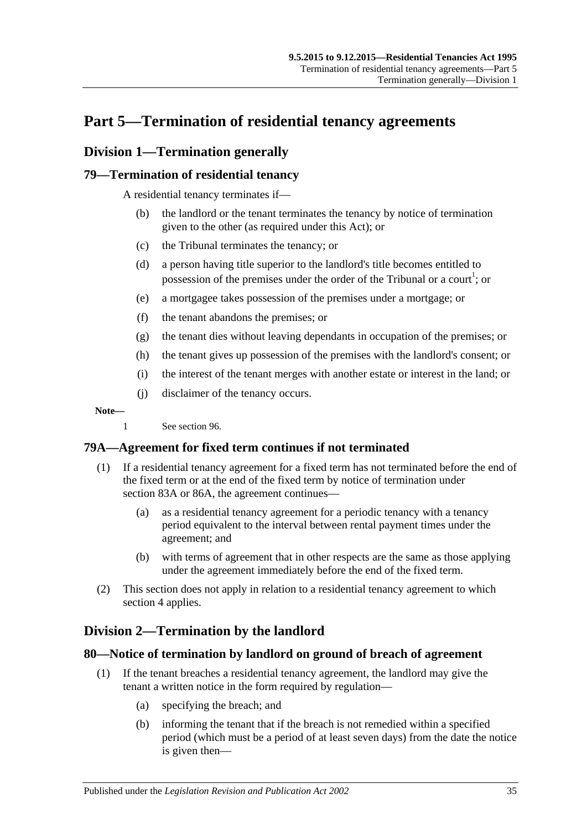## <span id="page-34-0"></span>**Part 5—Termination of residential tenancy agreements**

## <span id="page-34-1"></span>**Division 1—Termination generally**

## <span id="page-34-2"></span>**79—Termination of residential tenancy**

A residential tenancy terminates if—

- (b) the landlord or the tenant terminates the tenancy by notice of termination given to the other (as required under this Act); or
- (c) the Tribunal terminates the tenancy; or
- (d) a person having title superior to the landlord's title becomes entitled to possession of the premises under the order of the Tribunal or a court<sup>1</sup>; or
- (e) a mortgagee takes possession of the premises under a mortgage; or
- (f) the tenant abandons the premises; or
- (g) the tenant dies without leaving dependants in occupation of the premises; or
- (h) the tenant gives up possession of the premises with the landlord's consent; or
- (i) the interest of the tenant merges with another estate or interest in the land; or
- (j) disclaimer of the tenancy occurs.

**Note—**

1 See [section](#page-44-1) 96.

## <span id="page-34-3"></span>**79A—Agreement for fixed term continues if not terminated**

- (1) If a residential tenancy agreement for a fixed term has not terminated before the end of the fixed term or at the end of the fixed term by notice of termination under [section](#page-37-1) 83A or [86A,](#page-39-2) the agreement continues—
	- (a) as a residential tenancy agreement for a periodic tenancy with a tenancy period equivalent to the interval between rental payment times under the agreement; and
	- (b) with terms of agreement that in other respects are the same as those applying under the agreement immediately before the end of the fixed term.
- (2) This section does not apply in relation to a residential tenancy agreement to which [section](#page-8-0) 4 applies.

## <span id="page-34-4"></span>**Division 2—Termination by the landlord**

## <span id="page-34-5"></span>**80—Notice of termination by landlord on ground of breach of agreement**

- (1) If the tenant breaches a residential tenancy agreement, the landlord may give the tenant a written notice in the form required by regulation—
	- (a) specifying the breach; and
	- (b) informing the tenant that if the breach is not remedied within a specified period (which must be a period of at least seven days) from the date the notice is given then—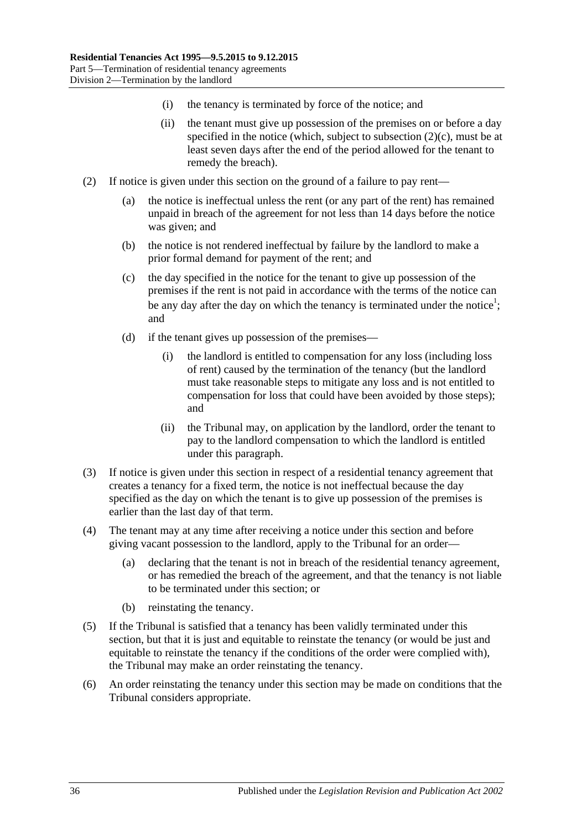- (i) the tenancy is terminated by force of the notice; and
- (ii) the tenant must give up possession of the premises on or before a day specified in the notice (which, subject to [subsection](#page-35-0)  $(2)(c)$ , must be at least seven days after the end of the period allowed for the tenant to remedy the breach).
- <span id="page-35-0"></span>(2) If notice is given under this section on the ground of a failure to pay rent—
	- (a) the notice is ineffectual unless the rent (or any part of the rent) has remained unpaid in breach of the agreement for not less than 14 days before the notice was given; and
	- (b) the notice is not rendered ineffectual by failure by the landlord to make a prior formal demand for payment of the rent; and
	- (c) the day specified in the notice for the tenant to give up possession of the premises if the rent is not paid in accordance with the terms of the notice can be any day after the day on which the tenancy is terminated under the notice<sup>1</sup>; and
	- (d) if the tenant gives up possession of the premises—
		- (i) the landlord is entitled to compensation for any loss (including loss of rent) caused by the termination of the tenancy (but the landlord must take reasonable steps to mitigate any loss and is not entitled to compensation for loss that could have been avoided by those steps); and
		- (ii) the Tribunal may, on application by the landlord, order the tenant to pay to the landlord compensation to which the landlord is entitled under this paragraph.
- (3) If notice is given under this section in respect of a residential tenancy agreement that creates a tenancy for a fixed term, the notice is not ineffectual because the day specified as the day on which the tenant is to give up possession of the premises is earlier than the last day of that term.
- (4) The tenant may at any time after receiving a notice under this section and before giving vacant possession to the landlord, apply to the Tribunal for an order—
	- (a) declaring that the tenant is not in breach of the residential tenancy agreement, or has remedied the breach of the agreement, and that the tenancy is not liable to be terminated under this section; or
	- (b) reinstating the tenancy.
- (5) If the Tribunal is satisfied that a tenancy has been validly terminated under this section, but that it is just and equitable to reinstate the tenancy (or would be just and equitable to reinstate the tenancy if the conditions of the order were complied with), the Tribunal may make an order reinstating the tenancy.
- (6) An order reinstating the tenancy under this section may be made on conditions that the Tribunal considers appropriate.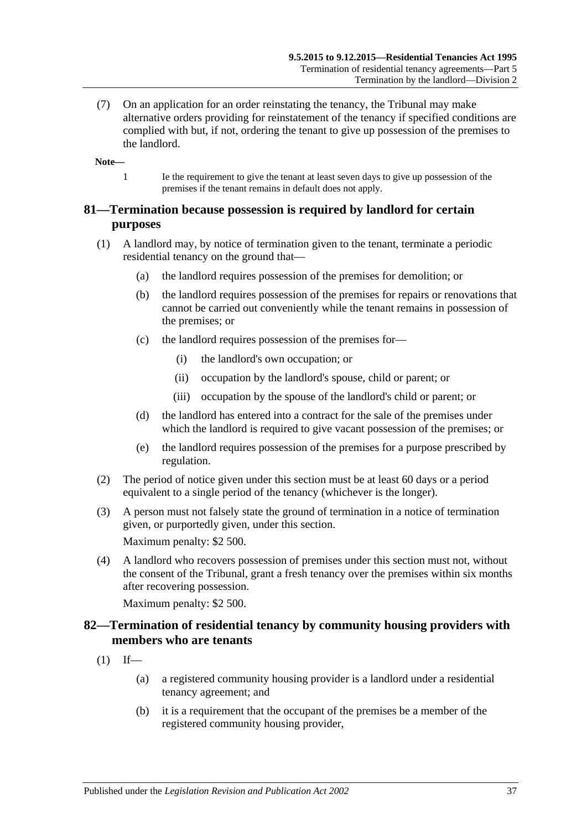(7) On an application for an order reinstating the tenancy, the Tribunal may make alternative orders providing for reinstatement of the tenancy if specified conditions are complied with but, if not, ordering the tenant to give up possession of the premises to the landlord.

**Note—**

1 Ie the requirement to give the tenant at least seven days to give up possession of the premises if the tenant remains in default does not apply.

# **81—Termination because possession is required by landlord for certain purposes**

- (1) A landlord may, by notice of termination given to the tenant, terminate a periodic residential tenancy on the ground that—
	- (a) the landlord requires possession of the premises for demolition; or
	- (b) the landlord requires possession of the premises for repairs or renovations that cannot be carried out conveniently while the tenant remains in possession of the premises; or
	- (c) the landlord requires possession of the premises for—
		- (i) the landlord's own occupation; or
		- (ii) occupation by the landlord's spouse, child or parent; or
		- (iii) occupation by the spouse of the landlord's child or parent; or
	- (d) the landlord has entered into a contract for the sale of the premises under which the landlord is required to give vacant possession of the premises; or
	- (e) the landlord requires possession of the premises for a purpose prescribed by regulation.
- (2) The period of notice given under this section must be at least 60 days or a period equivalent to a single period of the tenancy (whichever is the longer).
- (3) A person must not falsely state the ground of termination in a notice of termination given, or purportedly given, under this section.

Maximum penalty: \$2 500.

(4) A landlord who recovers possession of premises under this section must not, without the consent of the Tribunal, grant a fresh tenancy over the premises within six months after recovering possession.

Maximum penalty: \$2 500.

# **82—Termination of residential tenancy by community housing providers with members who are tenants**

- $(1)$  If—
	- (a) a registered community housing provider is a landlord under a residential tenancy agreement; and
	- (b) it is a requirement that the occupant of the premises be a member of the registered community housing provider,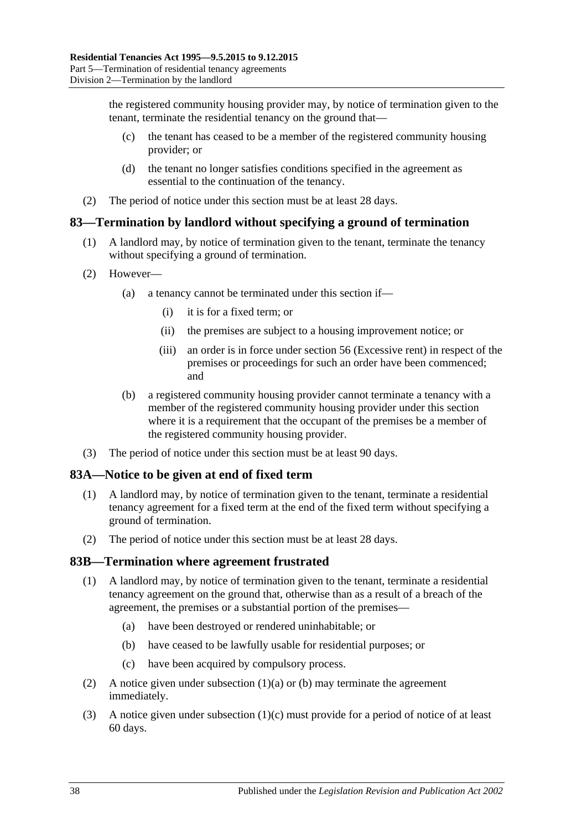the registered community housing provider may, by notice of termination given to the tenant, terminate the residential tenancy on the ground that—

- (c) the tenant has ceased to be a member of the registered community housing provider; or
- (d) the tenant no longer satisfies conditions specified in the agreement as essential to the continuation of the tenancy.
- (2) The period of notice under this section must be at least 28 days.

# **83—Termination by landlord without specifying a ground of termination**

- (1) A landlord may, by notice of termination given to the tenant, terminate the tenancy without specifying a ground of termination.
- (2) However—
	- (a) a tenancy cannot be terminated under this section if—
		- (i) it is for a fixed term; or
		- (ii) the premises are subject to a housing improvement notice; or
		- (iii) an order is in force under [section](#page-19-0) 56 (Excessive rent) in respect of the premises or proceedings for such an order have been commenced; and
	- (b) a registered community housing provider cannot terminate a tenancy with a member of the registered community housing provider under this section where it is a requirement that the occupant of the premises be a member of the registered community housing provider.
- (3) The period of notice under this section must be at least 90 days.

# **83A—Notice to be given at end of fixed term**

- (1) A landlord may, by notice of termination given to the tenant, terminate a residential tenancy agreement for a fixed term at the end of the fixed term without specifying a ground of termination.
- (2) The period of notice under this section must be at least 28 days.

#### **83B—Termination where agreement frustrated**

- <span id="page-37-0"></span>(1) A landlord may, by notice of termination given to the tenant, terminate a residential tenancy agreement on the ground that, otherwise than as a result of a breach of the agreement, the premises or a substantial portion of the premises—
	- (a) have been destroyed or rendered uninhabitable; or
	- (b) have ceased to be lawfully usable for residential purposes; or
	- (c) have been acquired by compulsory process.
- <span id="page-37-2"></span><span id="page-37-1"></span>(2) A notice given under [subsection](#page-37-0)  $(1)(a)$  or [\(b\)](#page-37-1) may terminate the agreement immediately.
- (3) A notice given under [subsection](#page-37-2) (1)(c) must provide for a period of notice of at least 60 days.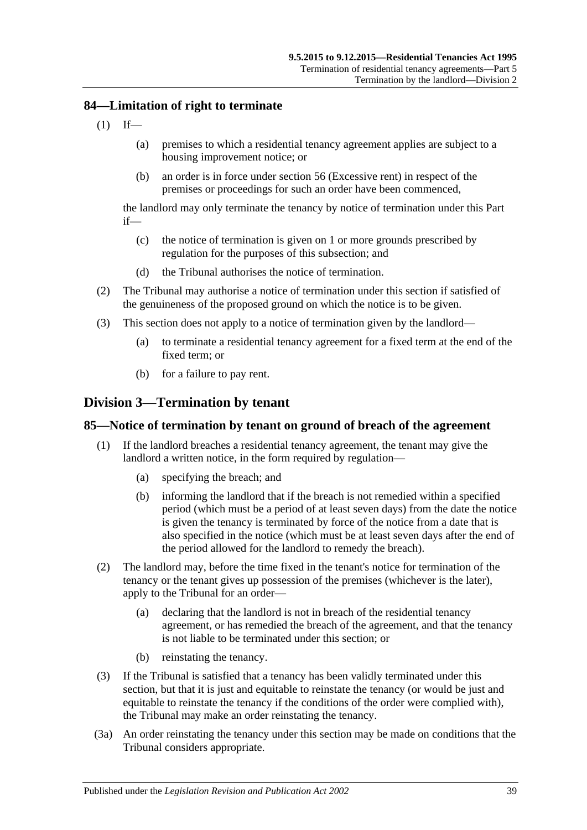# **84—Limitation of right to terminate**

- $(1)$  If—
	- (a) premises to which a residential tenancy agreement applies are subject to a housing improvement notice; or
	- (b) an order is in force under [section](#page-19-0) 56 (Excessive rent) in respect of the premises or proceedings for such an order have been commenced,

the landlord may only terminate the tenancy by notice of termination under this Part if—

- (c) the notice of termination is given on 1 or more grounds prescribed by regulation for the purposes of this subsection; and
- (d) the Tribunal authorises the notice of termination.
- (2) The Tribunal may authorise a notice of termination under this section if satisfied of the genuineness of the proposed ground on which the notice is to be given.
- (3) This section does not apply to a notice of termination given by the landlord—
	- (a) to terminate a residential tenancy agreement for a fixed term at the end of the fixed term; or
	- (b) for a failure to pay rent.

# **Division 3—Termination by tenant**

#### <span id="page-38-0"></span>**85—Notice of termination by tenant on ground of breach of the agreement**

- (1) If the landlord breaches a residential tenancy agreement, the tenant may give the landlord a written notice, in the form required by regulation—
	- (a) specifying the breach; and
	- (b) informing the landlord that if the breach is not remedied within a specified period (which must be a period of at least seven days) from the date the notice is given the tenancy is terminated by force of the notice from a date that is also specified in the notice (which must be at least seven days after the end of the period allowed for the landlord to remedy the breach).
- (2) The landlord may, before the time fixed in the tenant's notice for termination of the tenancy or the tenant gives up possession of the premises (whichever is the later), apply to the Tribunal for an order—
	- (a) declaring that the landlord is not in breach of the residential tenancy agreement, or has remedied the breach of the agreement, and that the tenancy is not liable to be terminated under this section; or
	- (b) reinstating the tenancy.
- (3) If the Tribunal is satisfied that a tenancy has been validly terminated under this section, but that it is just and equitable to reinstate the tenancy (or would be just and equitable to reinstate the tenancy if the conditions of the order were complied with), the Tribunal may make an order reinstating the tenancy.
- (3a) An order reinstating the tenancy under this section may be made on conditions that the Tribunal considers appropriate.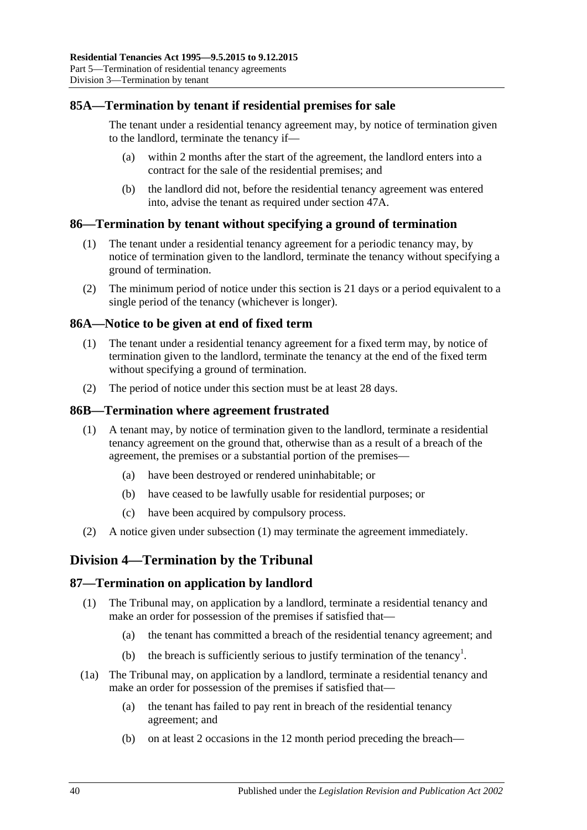# **85A—Termination by tenant if residential premises for sale**

The tenant under a residential tenancy agreement may, by notice of termination given to the landlord, terminate the tenancy if—

- (a) within 2 months after the start of the agreement, the landlord enters into a contract for the sale of the residential premises; and
- (b) the landlord did not, before the residential tenancy agreement was entered into, advise the tenant as required under [section](#page-13-0) 47A.

# **86—Termination by tenant without specifying a ground of termination**

- (1) The tenant under a residential tenancy agreement for a periodic tenancy may, by notice of termination given to the landlord, terminate the tenancy without specifying a ground of termination.
- (2) The minimum period of notice under this section is 21 days or a period equivalent to a single period of the tenancy (whichever is longer).

#### **86A—Notice to be given at end of fixed term**

- (1) The tenant under a residential tenancy agreement for a fixed term may, by notice of termination given to the landlord, terminate the tenancy at the end of the fixed term without specifying a ground of termination.
- (2) The period of notice under this section must be at least 28 days.

#### <span id="page-39-0"></span>**86B—Termination where agreement frustrated**

- (1) A tenant may, by notice of termination given to the landlord, terminate a residential tenancy agreement on the ground that, otherwise than as a result of a breach of the agreement, the premises or a substantial portion of the premises—
	- (a) have been destroyed or rendered uninhabitable; or
	- (b) have ceased to be lawfully usable for residential purposes; or
	- (c) have been acquired by compulsory process.
- (2) A notice given under [subsection](#page-39-0) (1) may terminate the agreement immediately.

# **Division 4—Termination by the Tribunal**

# **87—Termination on application by landlord**

- (1) The Tribunal may, on application by a landlord, terminate a residential tenancy and make an order for possession of the premises if satisfied that—
	- (a) the tenant has committed a breach of the residential tenancy agreement; and
	- (b) the breach is sufficiently serious to justify termination of the tenancy<sup>1</sup>.
- <span id="page-39-1"></span>(1a) The Tribunal may, on application by a landlord, terminate a residential tenancy and make an order for possession of the premises if satisfied that—
	- (a) the tenant has failed to pay rent in breach of the residential tenancy agreement; and
	- (b) on at least 2 occasions in the 12 month period preceding the breach—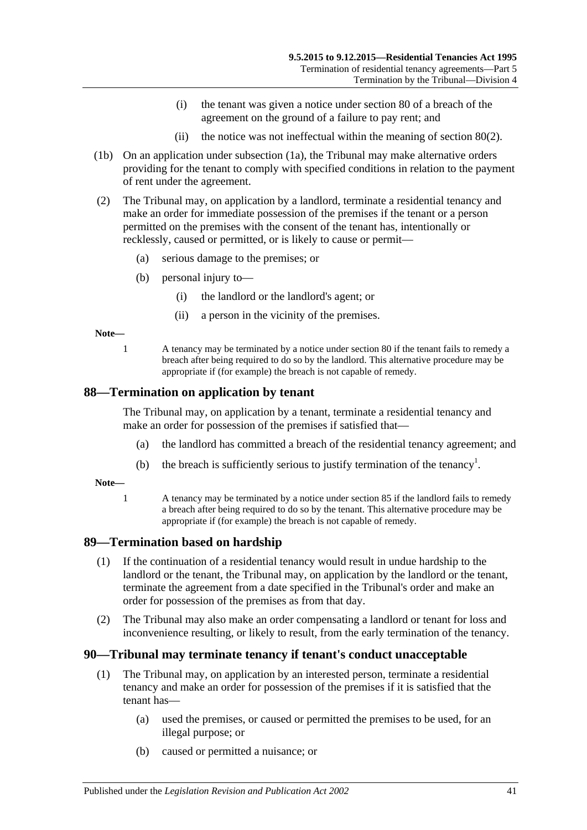- (i) the tenant was given a notice under [section](#page-34-0) 80 of a breach of the agreement on the ground of a failure to pay rent; and
- (ii) the notice was not ineffectual within the meaning of [section](#page-35-0) 80(2).
- (1b) On an application under [subsection](#page-39-1) (1a), the Tribunal may make alternative orders providing for the tenant to comply with specified conditions in relation to the payment of rent under the agreement.
- (2) The Tribunal may, on application by a landlord, terminate a residential tenancy and make an order for immediate possession of the premises if the tenant or a person permitted on the premises with the consent of the tenant has, intentionally or recklessly, caused or permitted, or is likely to cause or permit—
	- (a) serious damage to the premises; or
	- (b) personal injury to—
		- (i) the landlord or the landlord's agent; or
		- (ii) a person in the vicinity of the premises.

**Note—**

1 A tenancy may be terminated by a notice under [section](#page-34-0) 80 if the tenant fails to remedy a breach after being required to do so by the landlord. This alternative procedure may be appropriate if (for example) the breach is not capable of remedy.

#### **88—Termination on application by tenant**

The Tribunal may, on application by a tenant, terminate a residential tenancy and make an order for possession of the premises if satisfied that—

- (a) the landlord has committed a breach of the residential tenancy agreement; and
- (b) the breach is sufficiently serious to justify termination of the tenancy<sup>1</sup>.

**Note—**

1 A tenancy may be terminated by a notice under [section](#page-38-0) 85 if the landlord fails to remedy a breach after being required to do so by the tenant. This alternative procedure may be appropriate if (for example) the breach is not capable of remedy.

# **89—Termination based on hardship**

- (1) If the continuation of a residential tenancy would result in undue hardship to the landlord or the tenant, the Tribunal may, on application by the landlord or the tenant, terminate the agreement from a date specified in the Tribunal's order and make an order for possession of the premises as from that day.
- (2) The Tribunal may also make an order compensating a landlord or tenant for loss and inconvenience resulting, or likely to result, from the early termination of the tenancy.

# **90—Tribunal may terminate tenancy if tenant's conduct unacceptable**

- (1) The Tribunal may, on application by an interested person, terminate a residential tenancy and make an order for possession of the premises if it is satisfied that the tenant has—
	- (a) used the premises, or caused or permitted the premises to be used, for an illegal purpose; or
	- (b) caused or permitted a nuisance; or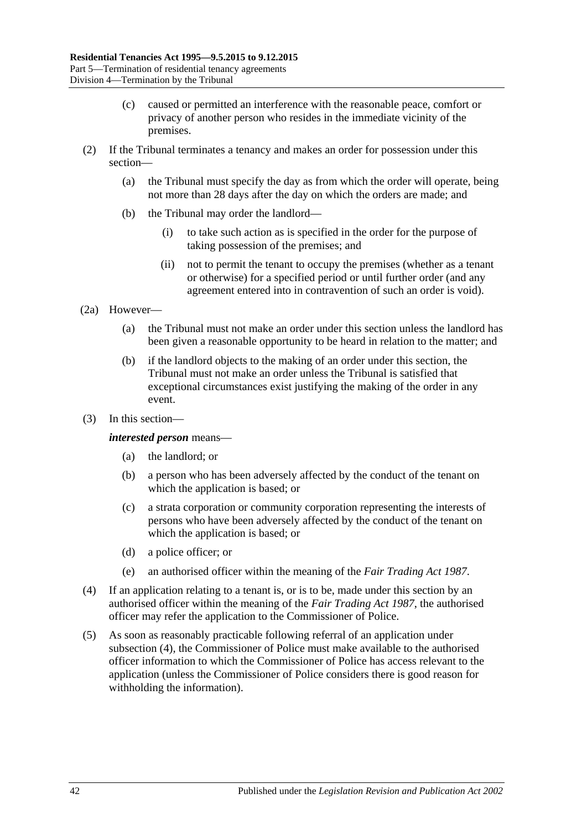- (c) caused or permitted an interference with the reasonable peace, comfort or privacy of another person who resides in the immediate vicinity of the premises.
- (2) If the Tribunal terminates a tenancy and makes an order for possession under this section—
	- (a) the Tribunal must specify the day as from which the order will operate, being not more than 28 days after the day on which the orders are made; and
	- (b) the Tribunal may order the landlord—
		- (i) to take such action as is specified in the order for the purpose of taking possession of the premises; and
		- (ii) not to permit the tenant to occupy the premises (whether as a tenant or otherwise) for a specified period or until further order (and any agreement entered into in contravention of such an order is void).
- (2a) However—
	- (a) the Tribunal must not make an order under this section unless the landlord has been given a reasonable opportunity to be heard in relation to the matter; and
	- (b) if the landlord objects to the making of an order under this section, the Tribunal must not make an order unless the Tribunal is satisfied that exceptional circumstances exist justifying the making of the order in any event.
- (3) In this section—

#### *interested person* means—

- (a) the landlord; or
- (b) a person who has been adversely affected by the conduct of the tenant on which the application is based; or
- (c) a strata corporation or community corporation representing the interests of persons who have been adversely affected by the conduct of the tenant on which the application is based; or
- (d) a police officer; or
- (e) an authorised officer within the meaning of the *[Fair Trading Act](http://www.legislation.sa.gov.au/index.aspx?action=legref&type=act&legtitle=Fair%20Trading%20Act%201987) 1987*.
- <span id="page-41-0"></span>(4) If an application relating to a tenant is, or is to be, made under this section by an authorised officer within the meaning of the *[Fair Trading Act](http://www.legislation.sa.gov.au/index.aspx?action=legref&type=act&legtitle=Fair%20Trading%20Act%201987) 1987*, the authorised officer may refer the application to the Commissioner of Police.
- (5) As soon as reasonably practicable following referral of an application under [subsection](#page-41-0) (4), the Commissioner of Police must make available to the authorised officer information to which the Commissioner of Police has access relevant to the application (unless the Commissioner of Police considers there is good reason for withholding the information).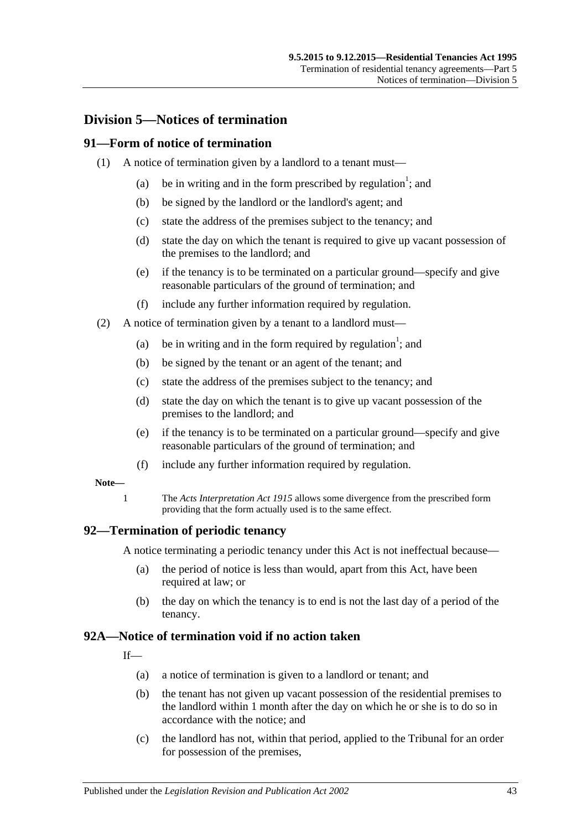# **Division 5—Notices of termination**

#### **91—Form of notice of termination**

- (1) A notice of termination given by a landlord to a tenant must—
	- (a) be in writing and in the form prescribed by regulation<sup>1</sup>; and
	- (b) be signed by the landlord or the landlord's agent; and
	- (c) state the address of the premises subject to the tenancy; and
	- (d) state the day on which the tenant is required to give up vacant possession of the premises to the landlord; and
	- (e) if the tenancy is to be terminated on a particular ground—specify and give reasonable particulars of the ground of termination; and
	- (f) include any further information required by regulation.
- (2) A notice of termination given by a tenant to a landlord must—
	- (a) be in writing and in the form required by regulation<sup>1</sup>; and
	- (b) be signed by the tenant or an agent of the tenant; and
	- (c) state the address of the premises subject to the tenancy; and
	- (d) state the day on which the tenant is to give up vacant possession of the premises to the landlord; and
	- (e) if the tenancy is to be terminated on a particular ground—specify and give reasonable particulars of the ground of termination; and
	- (f) include any further information required by regulation.

#### **Note—**

1 The *[Acts Interpretation Act](http://www.legislation.sa.gov.au/index.aspx?action=legref&type=act&legtitle=Acts%20Interpretation%20Act%201915) 1915* allows some divergence from the prescribed form providing that the form actually used is to the same effect.

#### **92—Termination of periodic tenancy**

A notice terminating a periodic tenancy under this Act is not ineffectual because—

- (a) the period of notice is less than would, apart from this Act, have been required at law; or
- (b) the day on which the tenancy is to end is not the last day of a period of the tenancy.

#### <span id="page-42-0"></span>**92A—Notice of termination void if no action taken**

 $If$ <sub> $\overline{\phantom{a}}$ </sub>

- (a) a notice of termination is given to a landlord or tenant; and
- (b) the tenant has not given up vacant possession of the residential premises to the landlord within 1 month after the day on which he or she is to do so in accordance with the notice; and
- (c) the landlord has not, within that period, applied to the Tribunal for an order for possession of the premises,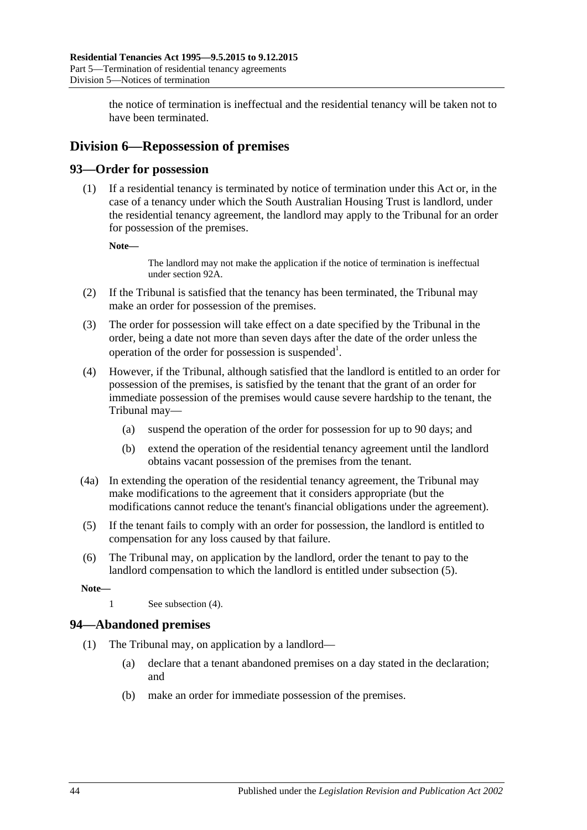the notice of termination is ineffectual and the residential tenancy will be taken not to have been terminated.

# **Division 6—Repossession of premises**

# **93—Order for possession**

(1) If a residential tenancy is terminated by notice of termination under this Act or, in the case of a tenancy under which the South Australian Housing Trust is landlord, under the residential tenancy agreement, the landlord may apply to the Tribunal for an order for possession of the premises.

**Note—**

The landlord may not make the application if the notice of termination is ineffectual unde[r section](#page-42-0) 92A.

- (2) If the Tribunal is satisfied that the tenancy has been terminated, the Tribunal may make an order for possession of the premises.
- (3) The order for possession will take effect on a date specified by the Tribunal in the order, being a date not more than seven days after the date of the order unless the operation of the order for possession is suspended<sup>1</sup>.
- <span id="page-43-1"></span>(4) However, if the Tribunal, although satisfied that the landlord is entitled to an order for possession of the premises, is satisfied by the tenant that the grant of an order for immediate possession of the premises would cause severe hardship to the tenant, the Tribunal may—
	- (a) suspend the operation of the order for possession for up to 90 days; and
	- (b) extend the operation of the residential tenancy agreement until the landlord obtains vacant possession of the premises from the tenant.
- (4a) In extending the operation of the residential tenancy agreement, the Tribunal may make modifications to the agreement that it considers appropriate (but the modifications cannot reduce the tenant's financial obligations under the agreement).
- <span id="page-43-0"></span>(5) If the tenant fails to comply with an order for possession, the landlord is entitled to compensation for any loss caused by that failure.
- (6) The Tribunal may, on application by the landlord, order the tenant to pay to the landlord compensation to which the landlord is entitled under [subsection](#page-43-0) (5).

**Note—**

1 See [subsection](#page-43-1) (4).

# **94—Abandoned premises**

- (1) The Tribunal may, on application by a landlord—
	- (a) declare that a tenant abandoned premises on a day stated in the declaration; and
	- (b) make an order for immediate possession of the premises.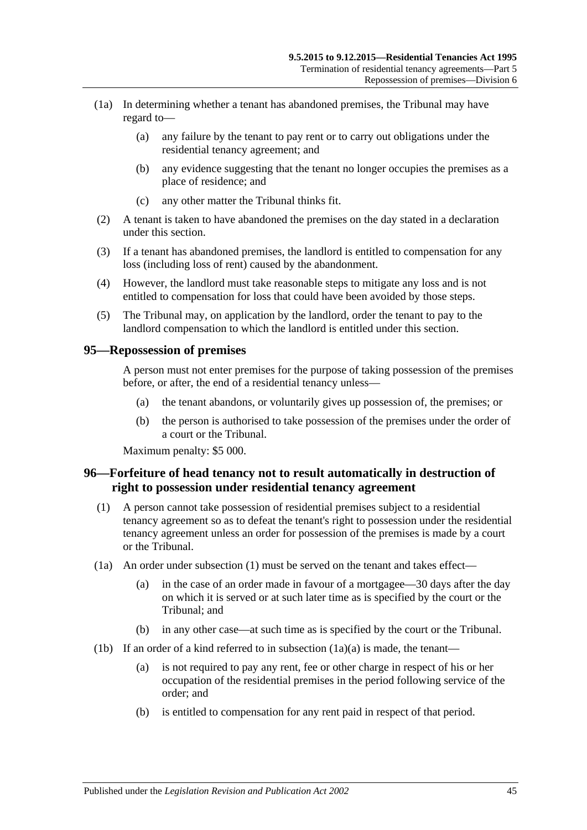- (1a) In determining whether a tenant has abandoned premises, the Tribunal may have regard to—
	- (a) any failure by the tenant to pay rent or to carry out obligations under the residential tenancy agreement; and
	- (b) any evidence suggesting that the tenant no longer occupies the premises as a place of residence; and
	- (c) any other matter the Tribunal thinks fit.
- (2) A tenant is taken to have abandoned the premises on the day stated in a declaration under this section.
- (3) If a tenant has abandoned premises, the landlord is entitled to compensation for any loss (including loss of rent) caused by the abandonment.
- (4) However, the landlord must take reasonable steps to mitigate any loss and is not entitled to compensation for loss that could have been avoided by those steps.
- (5) The Tribunal may, on application by the landlord, order the tenant to pay to the landlord compensation to which the landlord is entitled under this section.

#### **95—Repossession of premises**

A person must not enter premises for the purpose of taking possession of the premises before, or after, the end of a residential tenancy unless—

- (a) the tenant abandons, or voluntarily gives up possession of, the premises; or
- (b) the person is authorised to take possession of the premises under the order of a court or the Tribunal.

Maximum penalty: \$5 000.

# **96—Forfeiture of head tenancy not to result automatically in destruction of right to possession under residential tenancy agreement**

- <span id="page-44-0"></span>(1) A person cannot take possession of residential premises subject to a residential tenancy agreement so as to defeat the tenant's right to possession under the residential tenancy agreement unless an order for possession of the premises is made by a court or the Tribunal.
- <span id="page-44-1"></span>(1a) An order under [subsection](#page-44-0) (1) must be served on the tenant and takes effect—
	- (a) in the case of an order made in favour of a mortgagee—30 days after the day on which it is served or at such later time as is specified by the court or the Tribunal; and
	- (b) in any other case—at such time as is specified by the court or the Tribunal.
- <span id="page-44-2"></span>(1b) If an order of a kind referred to in [subsection](#page-44-1)  $(1a)(a)$  is made, the tenant—
	- (a) is not required to pay any rent, fee or other charge in respect of his or her occupation of the residential premises in the period following service of the order; and
	- (b) is entitled to compensation for any rent paid in respect of that period.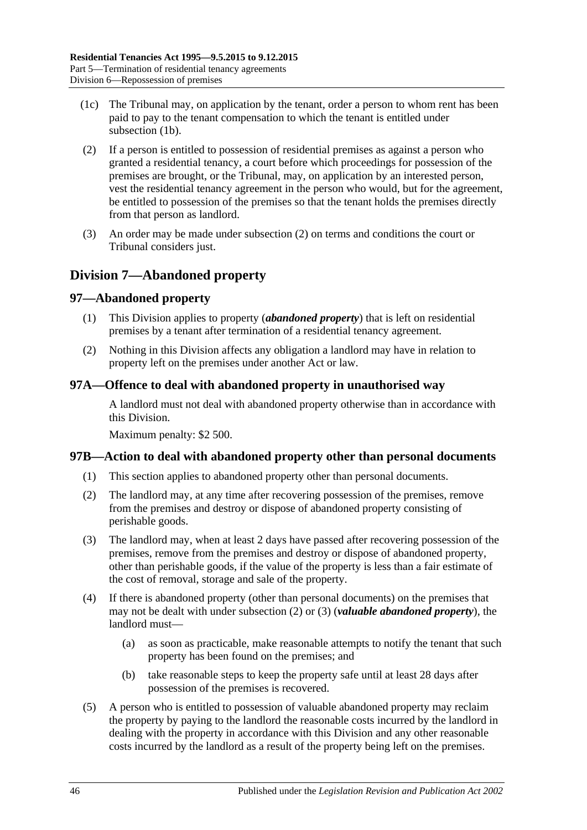- (1c) The Tribunal may, on application by the tenant, order a person to whom rent has been paid to pay to the tenant compensation to which the tenant is entitled under [subsection](#page-44-2) (1b).
- <span id="page-45-0"></span>(2) If a person is entitled to possession of residential premises as against a person who granted a residential tenancy, a court before which proceedings for possession of the premises are brought, or the Tribunal, may, on application by an interested person, vest the residential tenancy agreement in the person who would, but for the agreement, be entitled to possession of the premises so that the tenant holds the premises directly from that person as landlord.
- (3) An order may be made under [subsection](#page-45-0) (2) on terms and conditions the court or Tribunal considers just.

# **Division 7—Abandoned property**

# **97—Abandoned property**

- (1) This Division applies to property (*abandoned property*) that is left on residential premises by a tenant after termination of a residential tenancy agreement.
- (2) Nothing in this Division affects any obligation a landlord may have in relation to property left on the premises under another Act or law.

# **97A—Offence to deal with abandoned property in unauthorised way**

A landlord must not deal with abandoned property otherwise than in accordance with this Division.

Maximum penalty: \$2 500.

# **97B—Action to deal with abandoned property other than personal documents**

- (1) This section applies to abandoned property other than personal documents.
- <span id="page-45-1"></span>(2) The landlord may, at any time after recovering possession of the premises, remove from the premises and destroy or dispose of abandoned property consisting of perishable goods.
- <span id="page-45-2"></span>(3) The landlord may, when at least 2 days have passed after recovering possession of the premises, remove from the premises and destroy or dispose of abandoned property, other than perishable goods, if the value of the property is less than a fair estimate of the cost of removal, storage and sale of the property.
- (4) If there is abandoned property (other than personal documents) on the premises that may not be dealt with under [subsection](#page-45-1) (2) or [\(3\)](#page-45-2) (*valuable abandoned property*), the landlord must—
	- (a) as soon as practicable, make reasonable attempts to notify the tenant that such property has been found on the premises; and
	- (b) take reasonable steps to keep the property safe until at least 28 days after possession of the premises is recovered.
- <span id="page-45-3"></span>(5) A person who is entitled to possession of valuable abandoned property may reclaim the property by paying to the landlord the reasonable costs incurred by the landlord in dealing with the property in accordance with this Division and any other reasonable costs incurred by the landlord as a result of the property being left on the premises.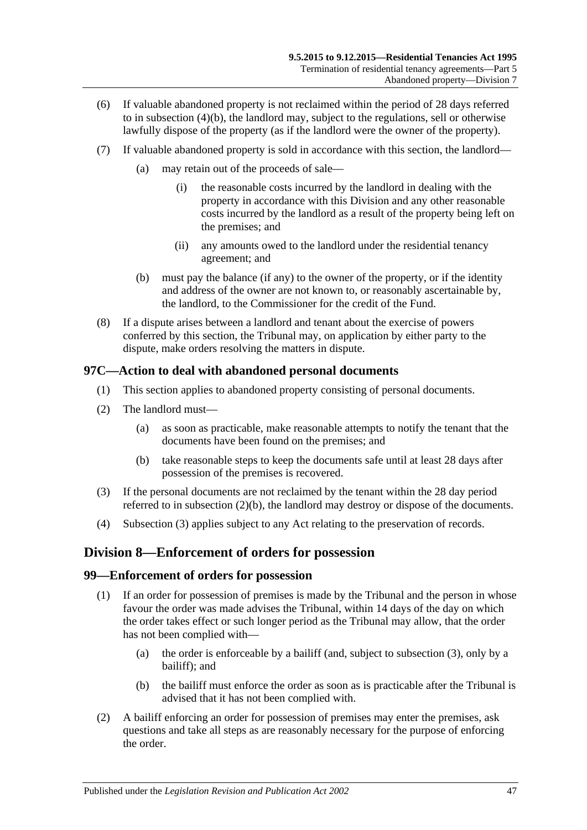- (6) If valuable abandoned property is not reclaimed within the period of 28 days referred to in [subsection](#page-45-3) (4)(b), the landlord may, subject to the regulations, sell or otherwise lawfully dispose of the property (as if the landlord were the owner of the property).
- (7) If valuable abandoned property is sold in accordance with this section, the landlord—
	- (a) may retain out of the proceeds of sale—
		- (i) the reasonable costs incurred by the landlord in dealing with the property in accordance with this Division and any other reasonable costs incurred by the landlord as a result of the property being left on the premises; and
		- (ii) any amounts owed to the landlord under the residential tenancy agreement; and
	- (b) must pay the balance (if any) to the owner of the property, or if the identity and address of the owner are not known to, or reasonably ascertainable by, the landlord, to the Commissioner for the credit of the Fund.
- (8) If a dispute arises between a landlord and tenant about the exercise of powers conferred by this section, the Tribunal may, on application by either party to the dispute, make orders resolving the matters in dispute.

# **97C—Action to deal with abandoned personal documents**

- (1) This section applies to abandoned property consisting of personal documents.
- (2) The landlord must—
	- (a) as soon as practicable, make reasonable attempts to notify the tenant that the documents have been found on the premises; and
	- (b) take reasonable steps to keep the documents safe until at least 28 days after possession of the premises is recovered.
- <span id="page-46-1"></span><span id="page-46-0"></span>(3) If the personal documents are not reclaimed by the tenant within the 28 day period referred to in [subsection](#page-46-0) (2)(b), the landlord may destroy or dispose of the documents.
- (4) [Subsection](#page-46-1) (3) applies subject to any Act relating to the preservation of records.

# **Division 8—Enforcement of orders for possession**

#### **99—Enforcement of orders for possession**

- (1) If an order for possession of premises is made by the Tribunal and the person in whose favour the order was made advises the Tribunal, within 14 days of the day on which the order takes effect or such longer period as the Tribunal may allow, that the order has not been complied with—
	- (a) the order is enforceable by a bailiff (and, subject to [subsection](#page-47-0) (3), only by a bailiff); and
	- (b) the bailiff must enforce the order as soon as is practicable after the Tribunal is advised that it has not been complied with.
- (2) A bailiff enforcing an order for possession of premises may enter the premises, ask questions and take all steps as are reasonably necessary for the purpose of enforcing the order.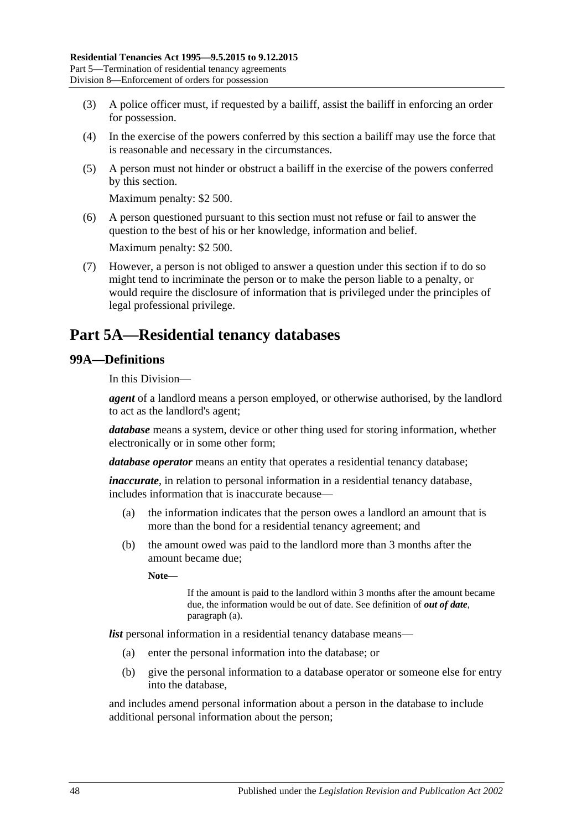- <span id="page-47-0"></span>(3) A police officer must, if requested by a bailiff, assist the bailiff in enforcing an order for possession.
- (4) In the exercise of the powers conferred by this section a bailiff may use the force that is reasonable and necessary in the circumstances.
- (5) A person must not hinder or obstruct a bailiff in the exercise of the powers conferred by this section.

Maximum penalty: \$2 500.

(6) A person questioned pursuant to this section must not refuse or fail to answer the question to the best of his or her knowledge, information and belief.

Maximum penalty: \$2 500.

(7) However, a person is not obliged to answer a question under this section if to do so might tend to incriminate the person or to make the person liable to a penalty, or would require the disclosure of information that is privileged under the principles of legal professional privilege.

# **Part 5A—Residential tenancy databases**

# **99A—Definitions**

In this Division—

*agent* of a landlord means a person employed, or otherwise authorised, by the landlord to act as the landlord's agent;

*database* means a system, device or other thing used for storing information, whether electronically or in some other form;

*database operator* means an entity that operates a residential tenancy database;

*inaccurate*, in relation to personal information in a residential tenancy database, includes information that is inaccurate because—

- (a) the information indicates that the person owes a landlord an amount that is more than the bond for a residential tenancy agreement; and
- (b) the amount owed was paid to the landlord more than 3 months after the amount became due;

**Note—**

If the amount is paid to the landlord within 3 months after the amount became due, the information would be out of date. See definition of *out of date*, [paragraph](#page-48-0) (a).

*list* personal information in a residential tenancy database means—

- (a) enter the personal information into the database; or
- (b) give the personal information to a database operator or someone else for entry into the database,

and includes amend personal information about a person in the database to include additional personal information about the person;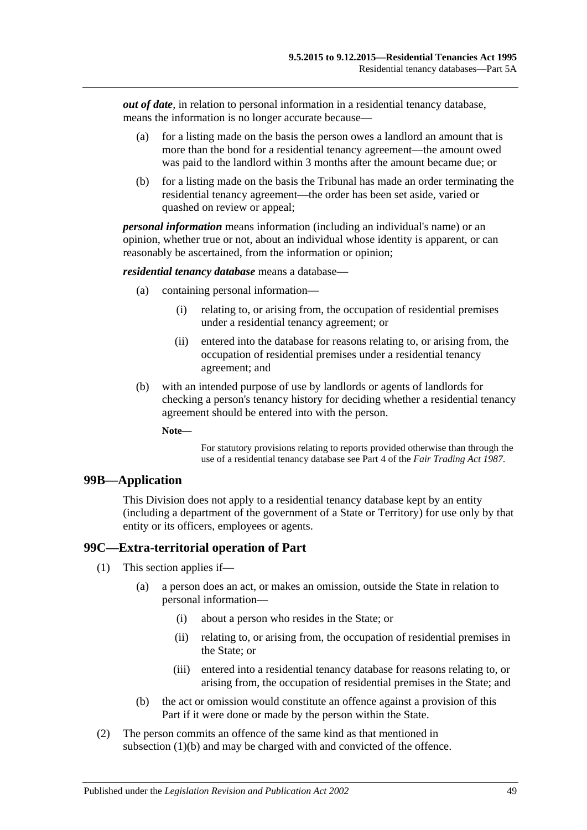<span id="page-48-0"></span>*out of date*, in relation to personal information in a residential tenancy database, means the information is no longer accurate because—

- (a) for a listing made on the basis the person owes a landlord an amount that is more than the bond for a residential tenancy agreement—the amount owed was paid to the landlord within 3 months after the amount became due; or
- (b) for a listing made on the basis the Tribunal has made an order terminating the residential tenancy agreement—the order has been set aside, varied or quashed on review or appeal;

*personal information* means information (including an individual's name) or an opinion, whether true or not, about an individual whose identity is apparent, or can reasonably be ascertained, from the information or opinion;

*residential tenancy database* means a database—

- (a) containing personal information—
	- (i) relating to, or arising from, the occupation of residential premises under a residential tenancy agreement; or
	- (ii) entered into the database for reasons relating to, or arising from, the occupation of residential premises under a residential tenancy agreement; and
- (b) with an intended purpose of use by landlords or agents of landlords for checking a person's tenancy history for deciding whether a residential tenancy agreement should be entered into with the person.
	- **Note—**

For statutory provisions relating to reports provided otherwise than through the use of a residential tenancy database see Part 4 of the *[Fair Trading Act](http://www.legislation.sa.gov.au/index.aspx?action=legref&type=act&legtitle=Fair%20Trading%20Act%201987) 1987*.

#### **99B—Application**

This Division does not apply to a residential tenancy database kept by an entity (including a department of the government of a State or Territory) for use only by that entity or its officers, employees or agents.

# **99C—Extra-territorial operation of Part**

- (1) This section applies if—
	- (a) a person does an act, or makes an omission, outside the State in relation to personal information—
		- (i) about a person who resides in the State; or
		- (ii) relating to, or arising from, the occupation of residential premises in the State; or
		- (iii) entered into a residential tenancy database for reasons relating to, or arising from, the occupation of residential premises in the State; and
	- (b) the act or omission would constitute an offence against a provision of this Part if it were done or made by the person within the State.
- <span id="page-48-1"></span>(2) The person commits an offence of the same kind as that mentioned in [subsection](#page-48-1) (1)(b) and may be charged with and convicted of the offence.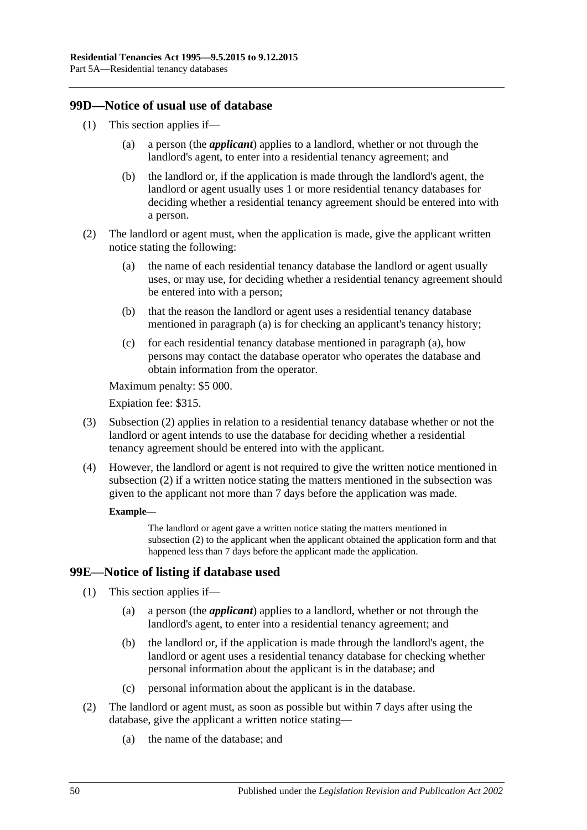# **99D—Notice of usual use of database**

- (1) This section applies if—
	- (a) a person (the *applicant*) applies to a landlord, whether or not through the landlord's agent, to enter into a residential tenancy agreement; and
	- (b) the landlord or, if the application is made through the landlord's agent, the landlord or agent usually uses 1 or more residential tenancy databases for deciding whether a residential tenancy agreement should be entered into with a person.
- <span id="page-49-1"></span><span id="page-49-0"></span>(2) The landlord or agent must, when the application is made, give the applicant written notice stating the following:
	- (a) the name of each residential tenancy database the landlord or agent usually uses, or may use, for deciding whether a residential tenancy agreement should be entered into with a person;
	- (b) that the reason the landlord or agent uses a residential tenancy database mentioned in [paragraph](#page-49-0) (a) is for checking an applicant's tenancy history;
	- (c) for each residential tenancy database mentioned in [paragraph](#page-49-0) (a), how persons may contact the database operator who operates the database and obtain information from the operator.

Maximum penalty: \$5 000.

Expiation fee: \$315.

- (3) [Subsection](#page-49-1) (2) applies in relation to a residential tenancy database whether or not the landlord or agent intends to use the database for deciding whether a residential tenancy agreement should be entered into with the applicant.
- (4) However, the landlord or agent is not required to give the written notice mentioned in [subsection](#page-49-1) (2) if a written notice stating the matters mentioned in the subsection was given to the applicant not more than 7 days before the application was made.

#### **Example—**

The landlord or agent gave a written notice stating the matters mentioned in [subsection](#page-49-1) (2) to the applicant when the applicant obtained the application form and that happened less than 7 days before the applicant made the application.

# **99E—Notice of listing if database used**

(1) This section applies if—

- (a) a person (the *applicant*) applies to a landlord, whether or not through the landlord's agent, to enter into a residential tenancy agreement; and
- (b) the landlord or, if the application is made through the landlord's agent, the landlord or agent uses a residential tenancy database for checking whether personal information about the applicant is in the database; and
- (c) personal information about the applicant is in the database.
- (2) The landlord or agent must, as soon as possible but within 7 days after using the database, give the applicant a written notice stating—
	- (a) the name of the database; and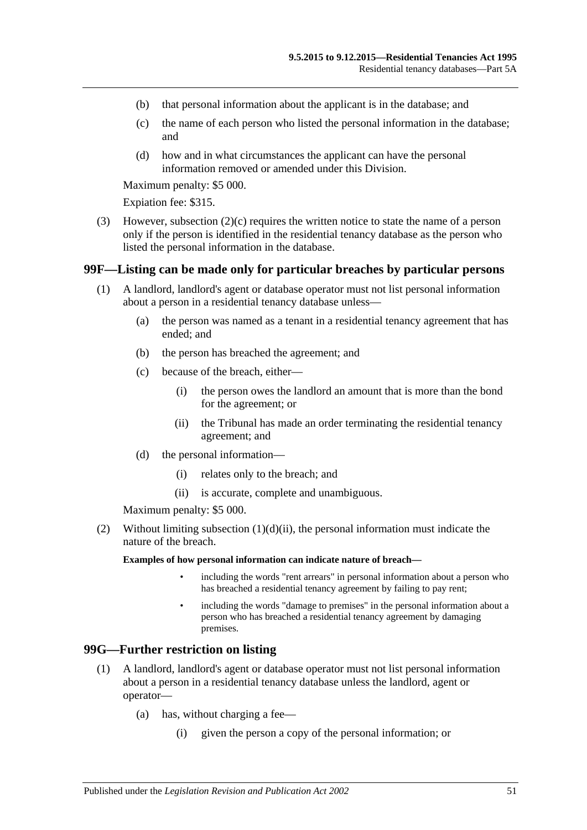- (b) that personal information about the applicant is in the database; and
- <span id="page-50-0"></span>(c) the name of each person who listed the personal information in the database; and
- (d) how and in what circumstances the applicant can have the personal information removed or amended under this Division.

Maximum penalty: \$5 000.

Expiation fee: \$315.

(3) However, [subsection](#page-50-0) (2)(c) requires the written notice to state the name of a person only if the person is identified in the residential tenancy database as the person who listed the personal information in the database.

#### **99F—Listing can be made only for particular breaches by particular persons**

- (1) A landlord, landlord's agent or database operator must not list personal information about a person in a residential tenancy database unless—
	- (a) the person was named as a tenant in a residential tenancy agreement that has ended; and
	- (b) the person has breached the agreement; and
	- (c) because of the breach, either—
		- (i) the person owes the landlord an amount that is more than the bond for the agreement; or
		- (ii) the Tribunal has made an order terminating the residential tenancy agreement; and
	- (d) the personal information—
		- (i) relates only to the breach; and
		- (ii) is accurate, complete and unambiguous.

Maximum penalty: \$5 000.

<span id="page-50-1"></span>(2) Without limiting [subsection](#page-50-1)  $(1)(d)(ii)$ , the personal information must indicate the nature of the breach.

**Examples of how personal information can indicate nature of breach—**

- including the words "rent arrears" in personal information about a person who has breached a residential tenancy agreement by failing to pay rent;
- including the words "damage to premises" in the personal information about a person who has breached a residential tenancy agreement by damaging premises.

#### <span id="page-50-2"></span>**99G—Further restriction on listing**

- (1) A landlord, landlord's agent or database operator must not list personal information about a person in a residential tenancy database unless the landlord, agent or operator—
	- (a) has, without charging a fee—
		- (i) given the person a copy of the personal information; or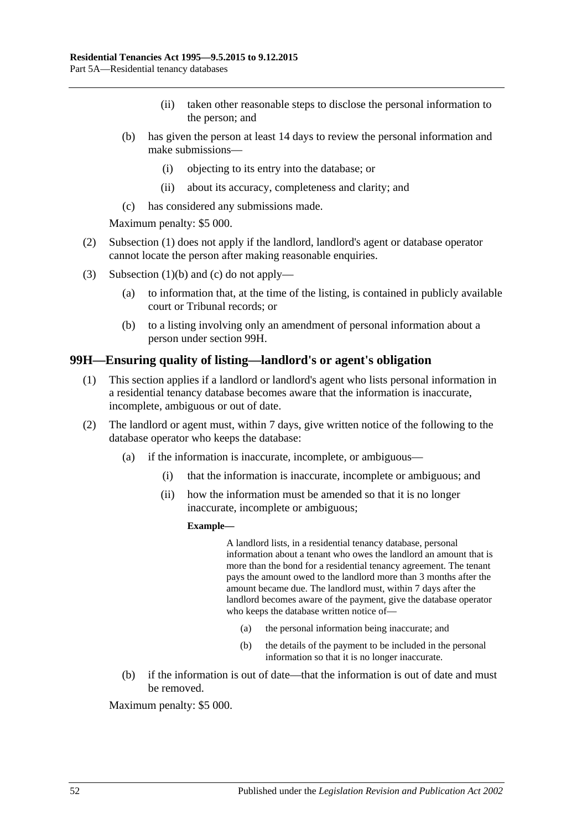- (ii) taken other reasonable steps to disclose the personal information to the person; and
- <span id="page-51-0"></span>(b) has given the person at least 14 days to review the personal information and make submissions—
	- (i) objecting to its entry into the database; or
	- (ii) about its accuracy, completeness and clarity; and
- (c) has considered any submissions made.

Maximum penalty: \$5 000.

- <span id="page-51-1"></span>(2) [Subsection](#page-50-2) (1) does not apply if the landlord, landlord's agent or database operator cannot locate the person after making reasonable enquiries.
- (3) [Subsection](#page-51-0) (1)(b) and [\(c\)](#page-51-1) do not apply—
	- (a) to information that, at the time of the listing, is contained in publicly available court or Tribunal records; or
	- (b) to a listing involving only an amendment of personal information about a person under [section](#page-51-2) 99H.

#### <span id="page-51-2"></span>**99H—Ensuring quality of listing—landlord's or agent's obligation**

- (1) This section applies if a landlord or landlord's agent who lists personal information in a residential tenancy database becomes aware that the information is inaccurate, incomplete, ambiguous or out of date.
- <span id="page-51-3"></span>(2) The landlord or agent must, within 7 days, give written notice of the following to the database operator who keeps the database:
	- (a) if the information is inaccurate, incomplete, or ambiguous—
		- (i) that the information is inaccurate, incomplete or ambiguous; and
		- (ii) how the information must be amended so that it is no longer inaccurate, incomplete or ambiguous;

#### **Example—**

A landlord lists, in a residential tenancy database, personal information about a tenant who owes the landlord an amount that is more than the bond for a residential tenancy agreement. The tenant pays the amount owed to the landlord more than 3 months after the amount became due. The landlord must, within 7 days after the landlord becomes aware of the payment, give the database operator who keeps the database written notice of—

- (a) the personal information being inaccurate; and
- (b) the details of the payment to be included in the personal information so that it is no longer inaccurate.
- (b) if the information is out of date—that the information is out of date and must be removed.

Maximum penalty: \$5 000.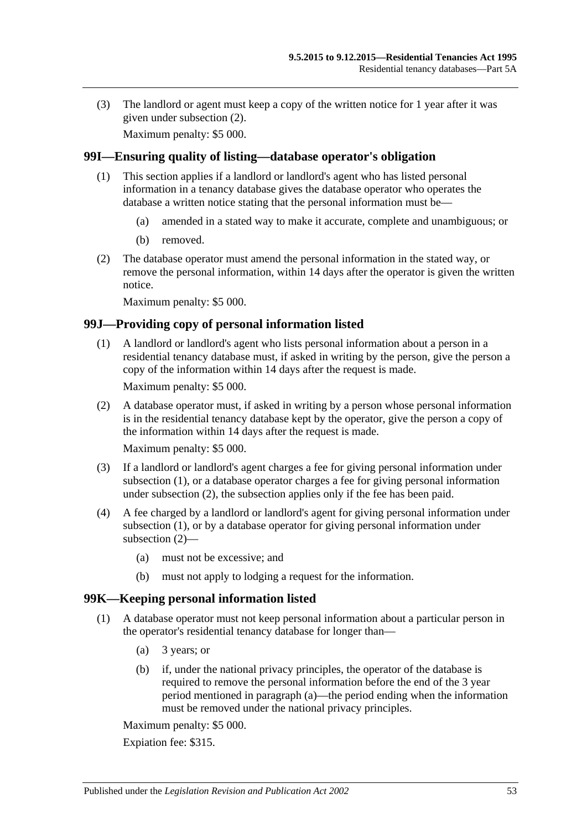(3) The landlord or agent must keep a copy of the written notice for 1 year after it was given under [subsection](#page-51-3) (2).

Maximum penalty: \$5 000.

#### **99I—Ensuring quality of listing—database operator's obligation**

- (1) This section applies if a landlord or landlord's agent who has listed personal information in a tenancy database gives the database operator who operates the database a written notice stating that the personal information must be—
	- (a) amended in a stated way to make it accurate, complete and unambiguous; or
	- (b) removed.
- (2) The database operator must amend the personal information in the stated way, or remove the personal information, within 14 days after the operator is given the written notice.

Maximum penalty: \$5 000.

#### <span id="page-52-0"></span>**99J—Providing copy of personal information listed**

(1) A landlord or landlord's agent who lists personal information about a person in a residential tenancy database must, if asked in writing by the person, give the person a copy of the information within 14 days after the request is made.

Maximum penalty: \$5 000.

<span id="page-52-1"></span>(2) A database operator must, if asked in writing by a person whose personal information is in the residential tenancy database kept by the operator, give the person a copy of the information within 14 days after the request is made.

Maximum penalty: \$5 000.

- (3) If a landlord or landlord's agent charges a fee for giving personal information under [subsection](#page-52-0) (1), or a database operator charges a fee for giving personal information under [subsection](#page-52-1) (2), the subsection applies only if the fee has been paid.
- (4) A fee charged by a landlord or landlord's agent for giving personal information under [subsection](#page-52-0) (1), or by a database operator for giving personal information under [subsection](#page-52-1) (2)—
	- (a) must not be excessive; and
	- (b) must not apply to lodging a request for the information.

#### <span id="page-52-4"></span>**99K—Keeping personal information listed**

- <span id="page-52-3"></span><span id="page-52-2"></span>(1) A database operator must not keep personal information about a particular person in the operator's residential tenancy database for longer than—
	- (a) 3 years; or
	- (b) if, under the national privacy principles, the operator of the database is required to remove the personal information before the end of the 3 year period mentioned in [paragraph](#page-52-2) (a)—the period ending when the information must be removed under the national privacy principles.

Maximum penalty: \$5 000.

Expiation fee: \$315.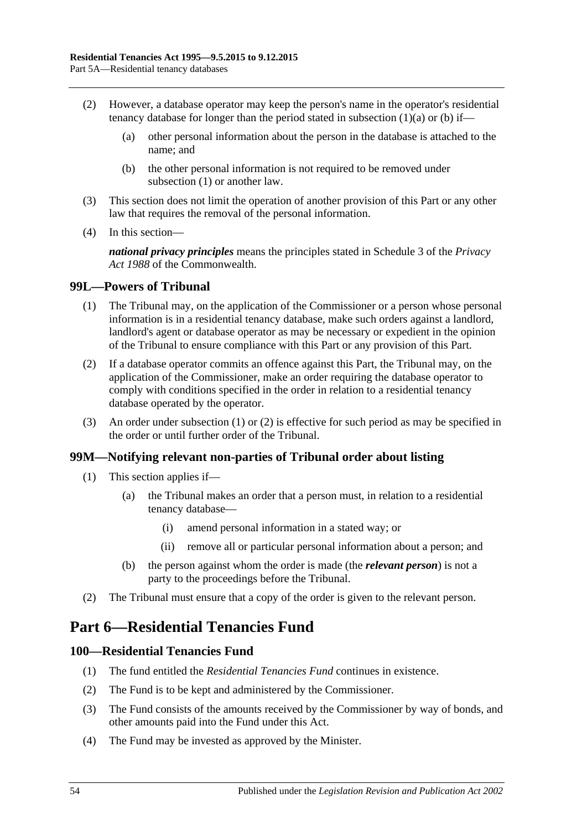- (2) However, a database operator may keep the person's name in the operator's residential tenancy database for longer than the period stated in [subsection](#page-52-2)  $(1)(a)$  or  $(b)$  if—
	- (a) other personal information about the person in the database is attached to the name; and
	- (b) the other personal information is not required to be removed under [subsection](#page-52-4) (1) or another law.
- (3) This section does not limit the operation of another provision of this Part or any other law that requires the removal of the personal information.
- (4) In this section—

*national privacy principles* means the principles stated in Schedule 3 of the *Privacy Act 1988* of the Commonwealth.

# <span id="page-53-0"></span>**99L—Powers of Tribunal**

- (1) The Tribunal may, on the application of the Commissioner or a person whose personal information is in a residential tenancy database, make such orders against a landlord, landlord's agent or database operator as may be necessary or expedient in the opinion of the Tribunal to ensure compliance with this Part or any provision of this Part.
- <span id="page-53-1"></span>(2) If a database operator commits an offence against this Part, the Tribunal may, on the application of the Commissioner, make an order requiring the database operator to comply with conditions specified in the order in relation to a residential tenancy database operated by the operator.
- (3) An order under [subsection](#page-53-0) (1) or [\(2\)](#page-53-1) is effective for such period as may be specified in the order or until further order of the Tribunal.

# **99M—Notifying relevant non-parties of Tribunal order about listing**

- (1) This section applies if—
	- (a) the Tribunal makes an order that a person must, in relation to a residential tenancy database—
		- (i) amend personal information in a stated way; or
		- (ii) remove all or particular personal information about a person; and
	- (b) the person against whom the order is made (the *relevant person*) is not a party to the proceedings before the Tribunal.
- (2) The Tribunal must ensure that a copy of the order is given to the relevant person.

# **Part 6—Residential Tenancies Fund**

# **100—Residential Tenancies Fund**

- (1) The fund entitled the *Residential Tenancies Fund* continues in existence.
- (2) The Fund is to be kept and administered by the Commissioner.
- (3) The Fund consists of the amounts received by the Commissioner by way of bonds, and other amounts paid into the Fund under this Act.
- (4) The Fund may be invested as approved by the Minister.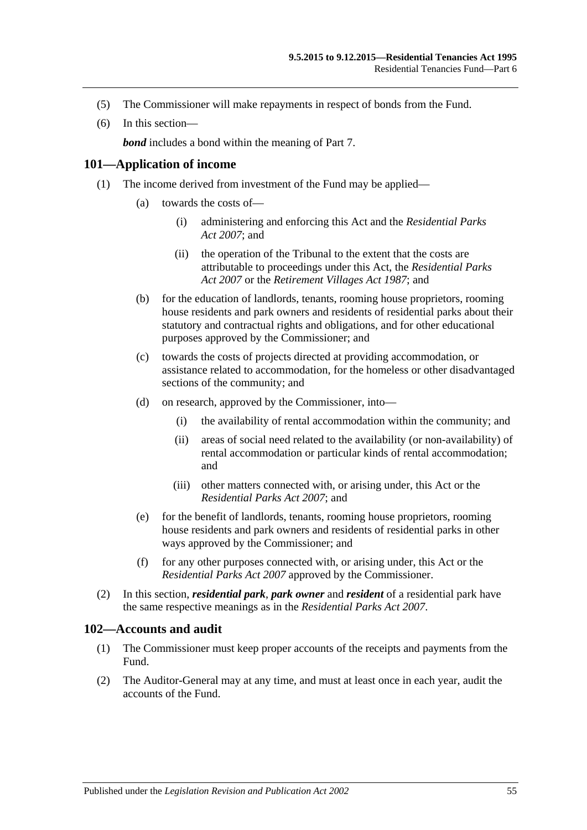- (5) The Commissioner will make repayments in respect of bonds from the Fund.
- (6) In this section—

*bond* includes a bond within the meaning of [Part 7.](#page-55-0)

#### **101—Application of income**

- (1) The income derived from investment of the Fund may be applied—
	- (a) towards the costs of—
		- (i) administering and enforcing this Act and the *[Residential Parks](http://www.legislation.sa.gov.au/index.aspx?action=legref&type=act&legtitle=Residential%20Parks%20Act%202007)  Act [2007](http://www.legislation.sa.gov.au/index.aspx?action=legref&type=act&legtitle=Residential%20Parks%20Act%202007)*; and
		- (ii) the operation of the Tribunal to the extent that the costs are attributable to proceedings under this Act, the *[Residential Parks](http://www.legislation.sa.gov.au/index.aspx?action=legref&type=act&legtitle=Residential%20Parks%20Act%202007)  Act [2007](http://www.legislation.sa.gov.au/index.aspx?action=legref&type=act&legtitle=Residential%20Parks%20Act%202007)* or the *[Retirement Villages Act](http://www.legislation.sa.gov.au/index.aspx?action=legref&type=act&legtitle=Retirement%20Villages%20Act%201987) 1987*; and
	- (b) for the education of landlords, tenants, rooming house proprietors, rooming house residents and park owners and residents of residential parks about their statutory and contractual rights and obligations, and for other educational purposes approved by the Commissioner; and
	- (c) towards the costs of projects directed at providing accommodation, or assistance related to accommodation, for the homeless or other disadvantaged sections of the community; and
	- (d) on research, approved by the Commissioner, into—
		- (i) the availability of rental accommodation within the community; and
		- (ii) areas of social need related to the availability (or non-availability) of rental accommodation or particular kinds of rental accommodation; and
		- (iii) other matters connected with, or arising under, this Act or the *[Residential Parks Act](http://www.legislation.sa.gov.au/index.aspx?action=legref&type=act&legtitle=Residential%20Parks%20Act%202007) 2007*; and
	- (e) for the benefit of landlords, tenants, rooming house proprietors, rooming house residents and park owners and residents of residential parks in other ways approved by the Commissioner; and
	- (f) for any other purposes connected with, or arising under, this Act or the *[Residential Parks Act](http://www.legislation.sa.gov.au/index.aspx?action=legref&type=act&legtitle=Residential%20Parks%20Act%202007) 2007* approved by the Commissioner.
- (2) In this section, *residential park*, *park owner* and *resident* of a residential park have the same respective meanings as in the *[Residential Parks Act](http://www.legislation.sa.gov.au/index.aspx?action=legref&type=act&legtitle=Residential%20Parks%20Act%202007) 2007*.

#### **102—Accounts and audit**

- (1) The Commissioner must keep proper accounts of the receipts and payments from the Fund.
- (2) The Auditor-General may at any time, and must at least once in each year, audit the accounts of the Fund.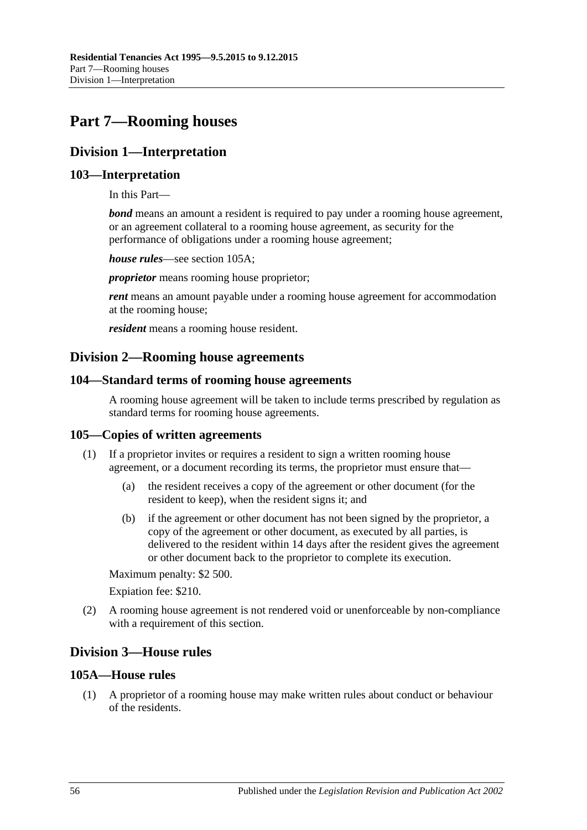# <span id="page-55-0"></span>**Part 7—Rooming houses**

# **Division 1—Interpretation**

# **103—Interpretation**

In this Part—

*bond* means an amount a resident is required to pay under a rooming house agreement, or an agreement collateral to a rooming house agreement, as security for the performance of obligations under a rooming house agreement;

*house rules*—see [section](#page-55-1) 105A;

*proprietor* means rooming house proprietor;

*rent* means an amount payable under a rooming house agreement for accommodation at the rooming house;

*resident* means a rooming house resident.

# **Division 2—Rooming house agreements**

# **104—Standard terms of rooming house agreements**

A rooming house agreement will be taken to include terms prescribed by regulation as standard terms for rooming house agreements.

# **105—Copies of written agreements**

- (1) If a proprietor invites or requires a resident to sign a written rooming house agreement, or a document recording its terms, the proprietor must ensure that—
	- (a) the resident receives a copy of the agreement or other document (for the resident to keep), when the resident signs it; and
	- (b) if the agreement or other document has not been signed by the proprietor, a copy of the agreement or other document, as executed by all parties, is delivered to the resident within 14 days after the resident gives the agreement or other document back to the proprietor to complete its execution.

Maximum penalty: \$2 500.

Expiation fee: \$210.

(2) A rooming house agreement is not rendered void or unenforceable by non-compliance with a requirement of this section.

# **Division 3—House rules**

# <span id="page-55-1"></span>**105A—House rules**

(1) A proprietor of a rooming house may make written rules about conduct or behaviour of the residents.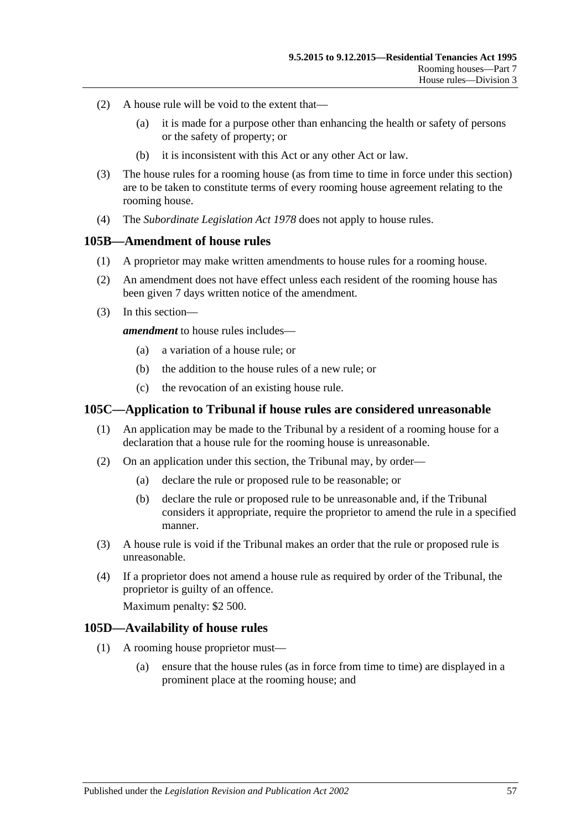- (2) A house rule will be void to the extent that—
	- (a) it is made for a purpose other than enhancing the health or safety of persons or the safety of property; or
	- (b) it is inconsistent with this Act or any other Act or law.
- (3) The house rules for a rooming house (as from time to time in force under this section) are to be taken to constitute terms of every rooming house agreement relating to the rooming house.
- (4) The *[Subordinate Legislation Act](http://www.legislation.sa.gov.au/index.aspx?action=legref&type=act&legtitle=Subordinate%20Legislation%20Act%201978) 1978* does not apply to house rules.

#### **105B—Amendment of house rules**

- (1) A proprietor may make written amendments to house rules for a rooming house.
- (2) An amendment does not have effect unless each resident of the rooming house has been given 7 days written notice of the amendment.
- (3) In this section—

*amendment* to house rules includes—

- (a) a variation of a house rule; or
- (b) the addition to the house rules of a new rule; or
- (c) the revocation of an existing house rule.

#### **105C—Application to Tribunal if house rules are considered unreasonable**

- (1) An application may be made to the Tribunal by a resident of a rooming house for a declaration that a house rule for the rooming house is unreasonable.
- (2) On an application under this section, the Tribunal may, by order—
	- (a) declare the rule or proposed rule to be reasonable; or
	- (b) declare the rule or proposed rule to be unreasonable and, if the Tribunal considers it appropriate, require the proprietor to amend the rule in a specified manner.
- (3) A house rule is void if the Tribunal makes an order that the rule or proposed rule is unreasonable.
- (4) If a proprietor does not amend a house rule as required by order of the Tribunal, the proprietor is guilty of an offence.

Maximum penalty: \$2 500.

#### **105D—Availability of house rules**

- (1) A rooming house proprietor must—
	- (a) ensure that the house rules (as in force from time to time) are displayed in a prominent place at the rooming house; and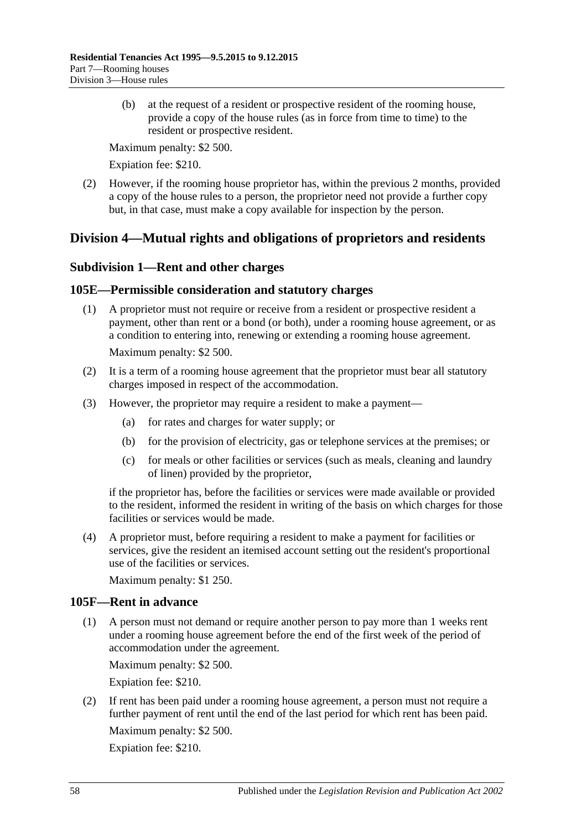(b) at the request of a resident or prospective resident of the rooming house, provide a copy of the house rules (as in force from time to time) to the resident or prospective resident.

Maximum penalty: \$2 500.

Expiation fee: \$210.

(2) However, if the rooming house proprietor has, within the previous 2 months, provided a copy of the house rules to a person, the proprietor need not provide a further copy but, in that case, must make a copy available for inspection by the person.

# **Division 4—Mutual rights and obligations of proprietors and residents**

# **Subdivision 1—Rent and other charges**

# **105E—Permissible consideration and statutory charges**

- (1) A proprietor must not require or receive from a resident or prospective resident a payment, other than rent or a bond (or both), under a rooming house agreement, or as a condition to entering into, renewing or extending a rooming house agreement. Maximum penalty: \$2 500.
- (2) It is a term of a rooming house agreement that the proprietor must bear all statutory charges imposed in respect of the accommodation.
- (3) However, the proprietor may require a resident to make a payment—
	- (a) for rates and charges for water supply; or
	- (b) for the provision of electricity, gas or telephone services at the premises; or
	- (c) for meals or other facilities or services (such as meals, cleaning and laundry of linen) provided by the proprietor,

if the proprietor has, before the facilities or services were made available or provided to the resident, informed the resident in writing of the basis on which charges for those facilities or services would be made.

(4) A proprietor must, before requiring a resident to make a payment for facilities or services, give the resident an itemised account setting out the resident's proportional use of the facilities or services.

Maximum penalty: \$1 250.

# **105F—Rent in advance**

(1) A person must not demand or require another person to pay more than 1 weeks rent under a rooming house agreement before the end of the first week of the period of accommodation under the agreement.

Maximum penalty: \$2 500.

Expiation fee: \$210.

(2) If rent has been paid under a rooming house agreement, a person must not require a further payment of rent until the end of the last period for which rent has been paid. Maximum penalty: \$2 500.

Expiation fee: \$210.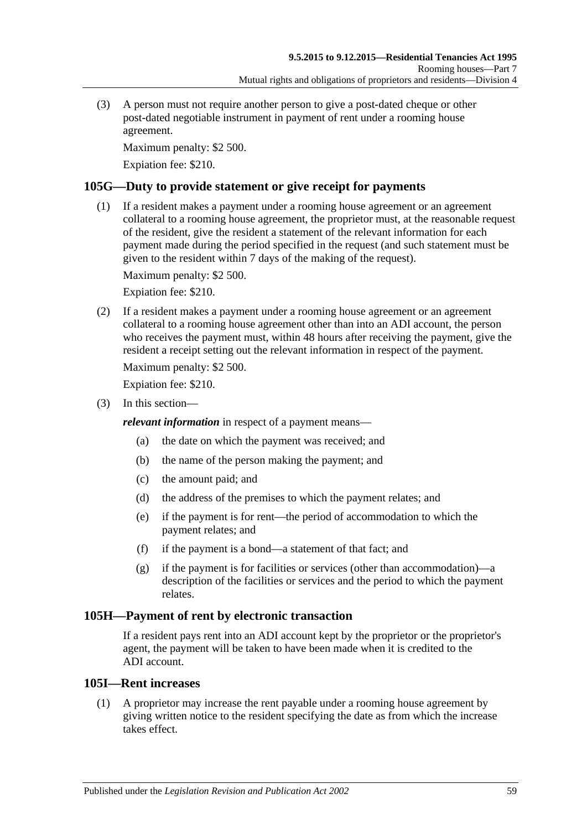(3) A person must not require another person to give a post-dated cheque or other post-dated negotiable instrument in payment of rent under a rooming house agreement.

Maximum penalty: \$2 500.

Expiation fee: \$210.

# **105G—Duty to provide statement or give receipt for payments**

(1) If a resident makes a payment under a rooming house agreement or an agreement collateral to a rooming house agreement, the proprietor must, at the reasonable request of the resident, give the resident a statement of the relevant information for each payment made during the period specified in the request (and such statement must be given to the resident within 7 days of the making of the request).

Maximum penalty: \$2 500.

Expiation fee: \$210.

(2) If a resident makes a payment under a rooming house agreement or an agreement collateral to a rooming house agreement other than into an ADI account, the person who receives the payment must, within 48 hours after receiving the payment, give the resident a receipt setting out the relevant information in respect of the payment.

Maximum penalty: \$2 500.

Expiation fee: \$210.

(3) In this section—

*relevant information* in respect of a payment means—

- (a) the date on which the payment was received; and
- (b) the name of the person making the payment; and
- (c) the amount paid; and
- (d) the address of the premises to which the payment relates; and
- (e) if the payment is for rent—the period of accommodation to which the payment relates; and
- (f) if the payment is a bond—a statement of that fact; and
- (g) if the payment is for facilities or services (other than accommodation)—a description of the facilities or services and the period to which the payment relates.

# **105H—Payment of rent by electronic transaction**

If a resident pays rent into an ADI account kept by the proprietor or the proprietor's agent, the payment will be taken to have been made when it is credited to the ADI account.

# **105I—Rent increases**

(1) A proprietor may increase the rent payable under a rooming house agreement by giving written notice to the resident specifying the date as from which the increase takes effect.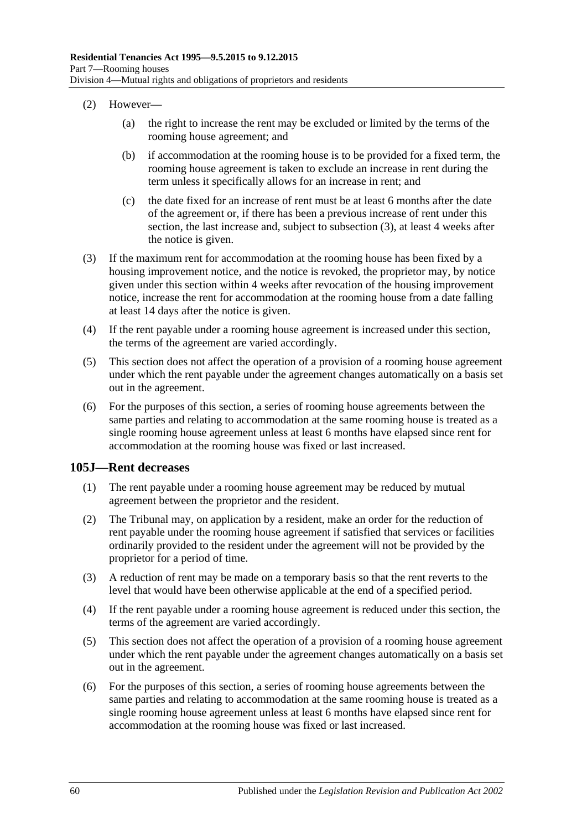- (2) However—
	- (a) the right to increase the rent may be excluded or limited by the terms of the rooming house agreement; and
	- (b) if accommodation at the rooming house is to be provided for a fixed term, the rooming house agreement is taken to exclude an increase in rent during the term unless it specifically allows for an increase in rent; and
	- (c) the date fixed for an increase of rent must be at least 6 months after the date of the agreement or, if there has been a previous increase of rent under this section, the last increase and, subject to [subsection](#page-59-0) (3), at least 4 weeks after the notice is given.
- <span id="page-59-0"></span>(3) If the maximum rent for accommodation at the rooming house has been fixed by a housing improvement notice, and the notice is revoked, the proprietor may, by notice given under this section within 4 weeks after revocation of the housing improvement notice, increase the rent for accommodation at the rooming house from a date falling at least 14 days after the notice is given.
- (4) If the rent payable under a rooming house agreement is increased under this section, the terms of the agreement are varied accordingly.
- (5) This section does not affect the operation of a provision of a rooming house agreement under which the rent payable under the agreement changes automatically on a basis set out in the agreement.
- (6) For the purposes of this section, a series of rooming house agreements between the same parties and relating to accommodation at the same rooming house is treated as a single rooming house agreement unless at least 6 months have elapsed since rent for accommodation at the rooming house was fixed or last increased.

#### **105J—Rent decreases**

- (1) The rent payable under a rooming house agreement may be reduced by mutual agreement between the proprietor and the resident.
- (2) The Tribunal may, on application by a resident, make an order for the reduction of rent payable under the rooming house agreement if satisfied that services or facilities ordinarily provided to the resident under the agreement will not be provided by the proprietor for a period of time.
- (3) A reduction of rent may be made on a temporary basis so that the rent reverts to the level that would have been otherwise applicable at the end of a specified period.
- (4) If the rent payable under a rooming house agreement is reduced under this section, the terms of the agreement are varied accordingly.
- (5) This section does not affect the operation of a provision of a rooming house agreement under which the rent payable under the agreement changes automatically on a basis set out in the agreement.
- (6) For the purposes of this section, a series of rooming house agreements between the same parties and relating to accommodation at the same rooming house is treated as a single rooming house agreement unless at least 6 months have elapsed since rent for accommodation at the rooming house was fixed or last increased.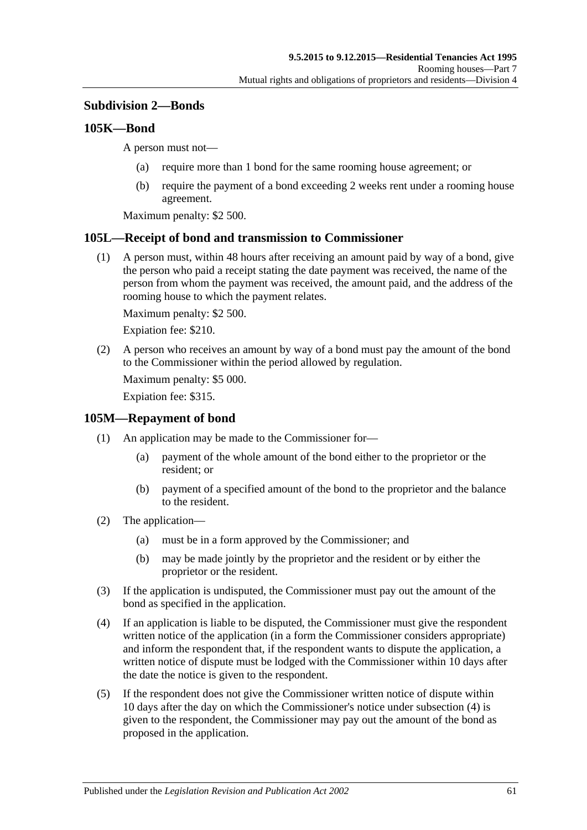# **Subdivision 2—Bonds**

#### <span id="page-60-2"></span>**105K—Bond**

A person must not—

- (a) require more than 1 bond for the same rooming house agreement; or
- (b) require the payment of a bond exceeding 2 weeks rent under a rooming house agreement.

Maximum penalty: \$2 500.

#### **105L—Receipt of bond and transmission to Commissioner**

(1) A person must, within 48 hours after receiving an amount paid by way of a bond, give the person who paid a receipt stating the date payment was received, the name of the person from whom the payment was received, the amount paid, and the address of the rooming house to which the payment relates.

Maximum penalty: \$2 500.

Expiation fee: \$210.

(2) A person who receives an amount by way of a bond must pay the amount of the bond to the Commissioner within the period allowed by regulation.

Maximum penalty: \$5 000.

Expiation fee: \$315.

#### **105M—Repayment of bond**

- (1) An application may be made to the Commissioner for—
	- (a) payment of the whole amount of the bond either to the proprietor or the resident; or
	- (b) payment of a specified amount of the bond to the proprietor and the balance to the resident.
- (2) The application—
	- (a) must be in a form approved by the Commissioner; and
	- (b) may be made jointly by the proprietor and the resident or by either the proprietor or the resident.
- (3) If the application is undisputed, the Commissioner must pay out the amount of the bond as specified in the application.
- <span id="page-60-0"></span>(4) If an application is liable to be disputed, the Commissioner must give the respondent written notice of the application (in a form the Commissioner considers appropriate) and inform the respondent that, if the respondent wants to dispute the application, a written notice of dispute must be lodged with the Commissioner within 10 days after the date the notice is given to the respondent.
- <span id="page-60-1"></span>(5) If the respondent does not give the Commissioner written notice of dispute within 10 days after the day on which the Commissioner's notice under [subsection](#page-60-0) (4) is given to the respondent, the Commissioner may pay out the amount of the bond as proposed in the application.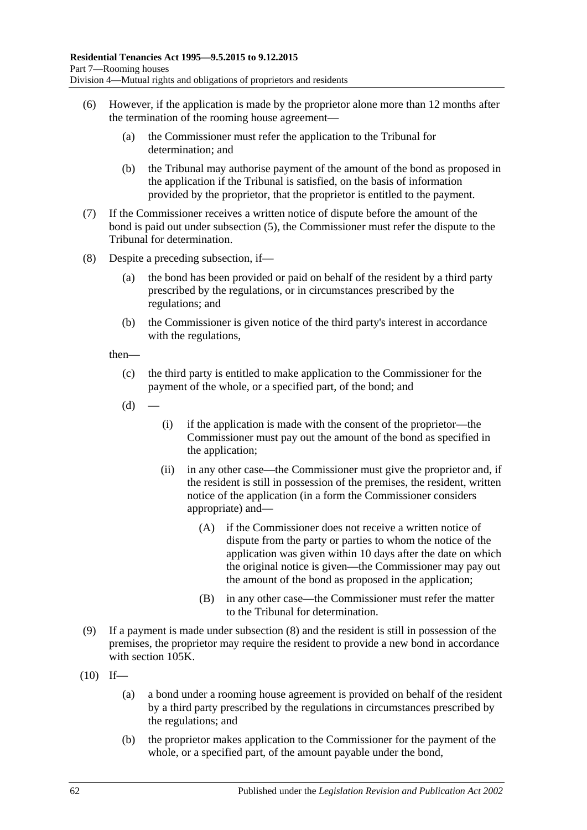- (6) However, if the application is made by the proprietor alone more than 12 months after the termination of the rooming house agreement—
	- (a) the Commissioner must refer the application to the Tribunal for determination; and
	- (b) the Tribunal may authorise payment of the amount of the bond as proposed in the application if the Tribunal is satisfied, on the basis of information provided by the proprietor, that the proprietor is entitled to the payment.
- (7) If the Commissioner receives a written notice of dispute before the amount of the bond is paid out under [subsection](#page-60-1) (5), the Commissioner must refer the dispute to the Tribunal for determination.
- <span id="page-61-0"></span>(8) Despite a preceding subsection, if—
	- (a) the bond has been provided or paid on behalf of the resident by a third party prescribed by the regulations, or in circumstances prescribed by the regulations; and
	- (b) the Commissioner is given notice of the third party's interest in accordance with the regulations,

then—

- (c) the third party is entitled to make application to the Commissioner for the payment of the whole, or a specified part, of the bond; and
- $(d)$ 
	- (i) if the application is made with the consent of the proprietor—the Commissioner must pay out the amount of the bond as specified in the application;
	- (ii) in any other case—the Commissioner must give the proprietor and, if the resident is still in possession of the premises, the resident, written notice of the application (in a form the Commissioner considers appropriate) and—
		- (A) if the Commissioner does not receive a written notice of dispute from the party or parties to whom the notice of the application was given within 10 days after the date on which the original notice is given—the Commissioner may pay out the amount of the bond as proposed in the application;
		- (B) in any other case—the Commissioner must refer the matter to the Tribunal for determination.
- (9) If a payment is made under [subsection](#page-61-0) (8) and the resident is still in possession of the premises, the proprietor may require the resident to provide a new bond in accordance with [section](#page-60-2) 105K.
- <span id="page-61-1"></span> $(10)$  If—
	- (a) a bond under a rooming house agreement is provided on behalf of the resident by a third party prescribed by the regulations in circumstances prescribed by the regulations; and
	- (b) the proprietor makes application to the Commissioner for the payment of the whole, or a specified part, of the amount payable under the bond,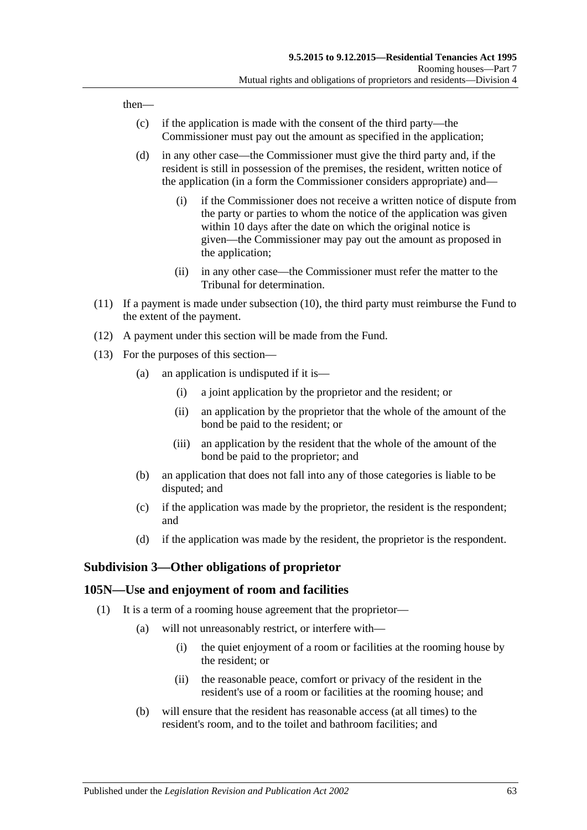then—

- (c) if the application is made with the consent of the third party—the Commissioner must pay out the amount as specified in the application;
- (d) in any other case—the Commissioner must give the third party and, if the resident is still in possession of the premises, the resident, written notice of the application (in a form the Commissioner considers appropriate) and—
	- (i) if the Commissioner does not receive a written notice of dispute from the party or parties to whom the notice of the application was given within 10 days after the date on which the original notice is given—the Commissioner may pay out the amount as proposed in the application;
	- (ii) in any other case—the Commissioner must refer the matter to the Tribunal for determination.
- (11) If a payment is made under [subsection](#page-61-1) (10), the third party must reimburse the Fund to the extent of the payment.
- (12) A payment under this section will be made from the Fund.
- (13) For the purposes of this section—
	- (a) an application is undisputed if it is—
		- (i) a joint application by the proprietor and the resident; or
		- (ii) an application by the proprietor that the whole of the amount of the bond be paid to the resident; or
		- (iii) an application by the resident that the whole of the amount of the bond be paid to the proprietor; and
	- (b) an application that does not fall into any of those categories is liable to be disputed; and
	- (c) if the application was made by the proprietor, the resident is the respondent; and
	- (d) if the application was made by the resident, the proprietor is the respondent.

#### **Subdivision 3—Other obligations of proprietor**

#### <span id="page-62-0"></span>**105N—Use and enjoyment of room and facilities**

- (1) It is a term of a rooming house agreement that the proprietor—
	- (a) will not unreasonably restrict, or interfere with—
		- (i) the quiet enjoyment of a room or facilities at the rooming house by the resident; or
		- (ii) the reasonable peace, comfort or privacy of the resident in the resident's use of a room or facilities at the rooming house; and
	- (b) will ensure that the resident has reasonable access (at all times) to the resident's room, and to the toilet and bathroom facilities; and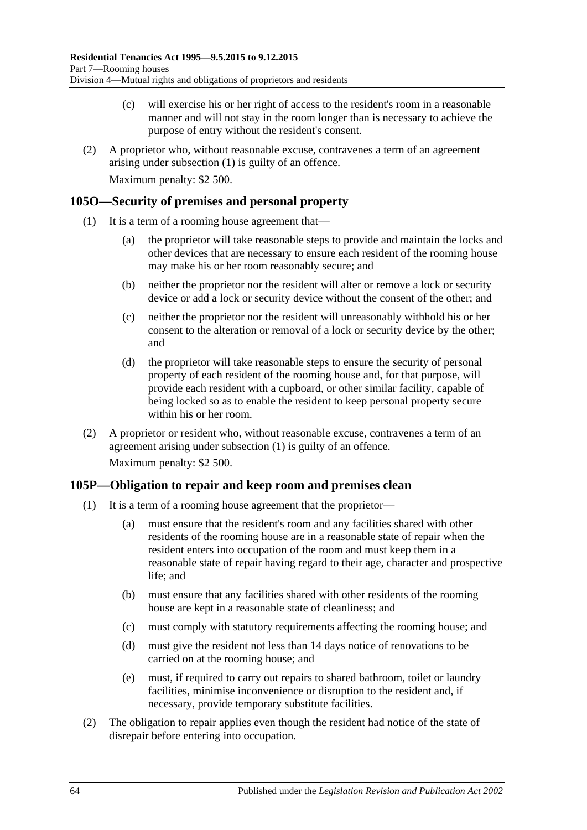- (c) will exercise his or her right of access to the resident's room in a reasonable manner and will not stay in the room longer than is necessary to achieve the purpose of entry without the resident's consent.
- (2) A proprietor who, without reasonable excuse, contravenes a term of an agreement arising under [subsection](#page-62-0) (1) is guilty of an offence.

Maximum penalty: \$2 500.

#### <span id="page-63-0"></span>**105O—Security of premises and personal property**

- (1) It is a term of a rooming house agreement that—
	- (a) the proprietor will take reasonable steps to provide and maintain the locks and other devices that are necessary to ensure each resident of the rooming house may make his or her room reasonably secure; and
	- (b) neither the proprietor nor the resident will alter or remove a lock or security device or add a lock or security device without the consent of the other; and
	- (c) neither the proprietor nor the resident will unreasonably withhold his or her consent to the alteration or removal of a lock or security device by the other; and
	- (d) the proprietor will take reasonable steps to ensure the security of personal property of each resident of the rooming house and, for that purpose, will provide each resident with a cupboard, or other similar facility, capable of being locked so as to enable the resident to keep personal property secure within his or her room.
- (2) A proprietor or resident who, without reasonable excuse, contravenes a term of an agreement arising under [subsection](#page-63-0) (1) is guilty of an offence. Maximum penalty: \$2 500.

# <span id="page-63-1"></span>**105P—Obligation to repair and keep room and premises clean**

- (1) It is a term of a rooming house agreement that the proprietor—
	- (a) must ensure that the resident's room and any facilities shared with other residents of the rooming house are in a reasonable state of repair when the resident enters into occupation of the room and must keep them in a reasonable state of repair having regard to their age, character and prospective life; and
	- (b) must ensure that any facilities shared with other residents of the rooming house are kept in a reasonable state of cleanliness; and
	- (c) must comply with statutory requirements affecting the rooming house; and
	- (d) must give the resident not less than 14 days notice of renovations to be carried on at the rooming house; and
	- (e) must, if required to carry out repairs to shared bathroom, toilet or laundry facilities, minimise inconvenience or disruption to the resident and, if necessary, provide temporary substitute facilities.
- (2) The obligation to repair applies even though the resident had notice of the state of disrepair before entering into occupation.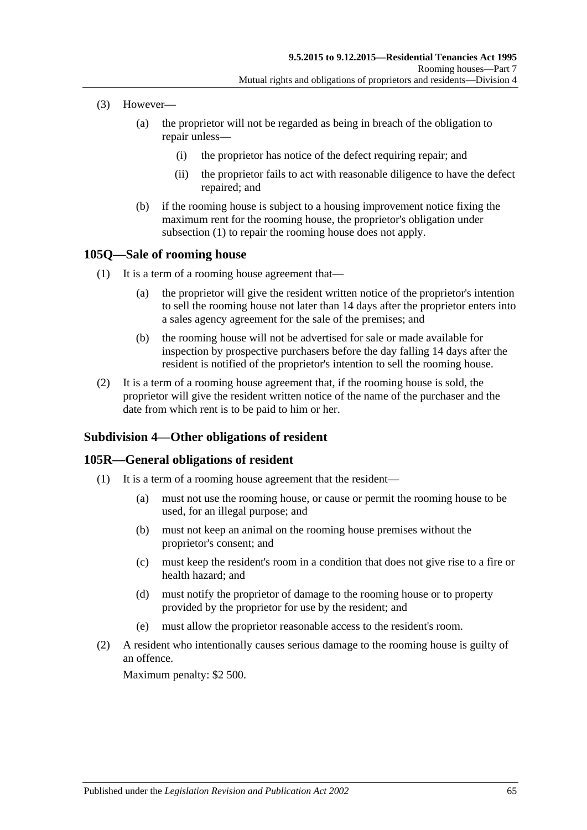- (3) However—
	- (a) the proprietor will not be regarded as being in breach of the obligation to repair unless—
		- (i) the proprietor has notice of the defect requiring repair; and
		- (ii) the proprietor fails to act with reasonable diligence to have the defect repaired; and
	- (b) if the rooming house is subject to a housing improvement notice fixing the maximum rent for the rooming house, the proprietor's obligation under [subsection](#page-63-1) (1) to repair the rooming house does not apply.

#### **105Q—Sale of rooming house**

- (1) It is a term of a rooming house agreement that—
	- (a) the proprietor will give the resident written notice of the proprietor's intention to sell the rooming house not later than 14 days after the proprietor enters into a sales agency agreement for the sale of the premises; and
	- (b) the rooming house will not be advertised for sale or made available for inspection by prospective purchasers before the day falling 14 days after the resident is notified of the proprietor's intention to sell the rooming house.
- (2) It is a term of a rooming house agreement that, if the rooming house is sold, the proprietor will give the resident written notice of the name of the purchaser and the date from which rent is to be paid to him or her.

# **Subdivision 4—Other obligations of resident**

# **105R—General obligations of resident**

- (1) It is a term of a rooming house agreement that the resident—
	- (a) must not use the rooming house, or cause or permit the rooming house to be used, for an illegal purpose; and
	- (b) must not keep an animal on the rooming house premises without the proprietor's consent; and
	- (c) must keep the resident's room in a condition that does not give rise to a fire or health hazard; and
	- (d) must notify the proprietor of damage to the rooming house or to property provided by the proprietor for use by the resident; and
	- (e) must allow the proprietor reasonable access to the resident's room.
- (2) A resident who intentionally causes serious damage to the rooming house is guilty of an offence.

Maximum penalty: \$2 500.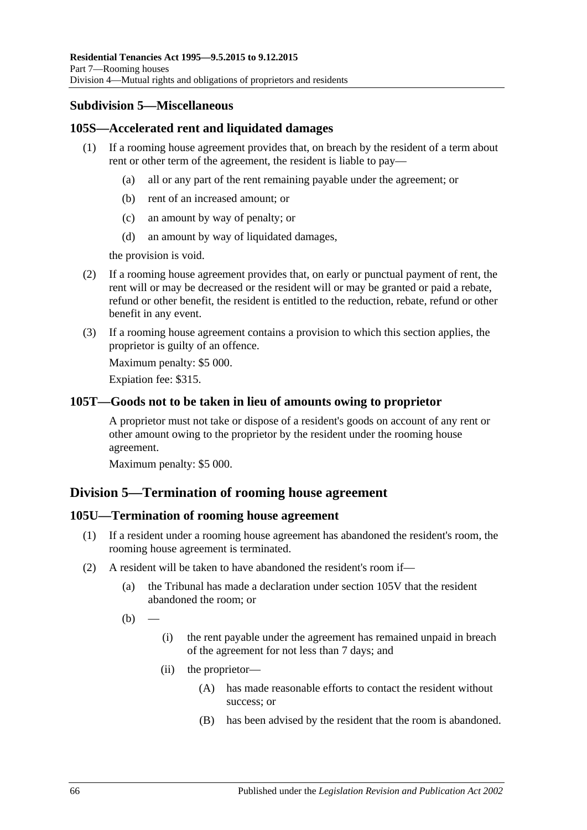# **Subdivision 5—Miscellaneous**

# **105S—Accelerated rent and liquidated damages**

- (1) If a rooming house agreement provides that, on breach by the resident of a term about rent or other term of the agreement, the resident is liable to pay—
	- (a) all or any part of the rent remaining payable under the agreement; or
	- (b) rent of an increased amount; or
	- (c) an amount by way of penalty; or
	- (d) an amount by way of liquidated damages,

the provision is void.

- (2) If a rooming house agreement provides that, on early or punctual payment of rent, the rent will or may be decreased or the resident will or may be granted or paid a rebate, refund or other benefit, the resident is entitled to the reduction, rebate, refund or other benefit in any event.
- (3) If a rooming house agreement contains a provision to which this section applies, the proprietor is guilty of an offence.

Maximum penalty: \$5 000.

Expiation fee: \$315.

# **105T—Goods not to be taken in lieu of amounts owing to proprietor**

A proprietor must not take or dispose of a resident's goods on account of any rent or other amount owing to the proprietor by the resident under the rooming house agreement.

Maximum penalty: \$5 000.

# **Division 5—Termination of rooming house agreement**

# **105U—Termination of rooming house agreement**

- (1) If a resident under a rooming house agreement has abandoned the resident's room, the rooming house agreement is terminated.
- (2) A resident will be taken to have abandoned the resident's room if—
	- (a) the Tribunal has made a declaration under [section](#page-66-0) 105V that the resident abandoned the room; or
	- $(b)$
- (i) the rent payable under the agreement has remained unpaid in breach of the agreement for not less than 7 days; and
- (ii) the proprietor—
	- (A) has made reasonable efforts to contact the resident without success; or
	- (B) has been advised by the resident that the room is abandoned.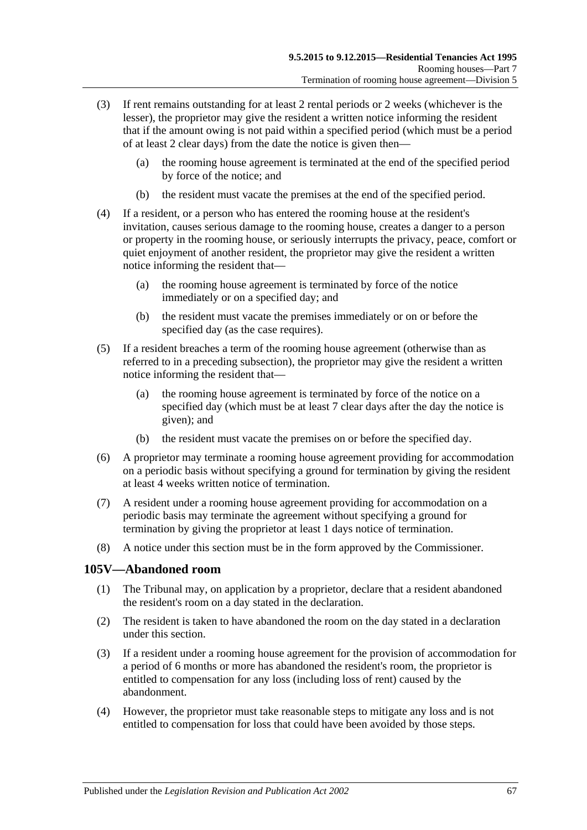- (3) If rent remains outstanding for at least 2 rental periods or 2 weeks (whichever is the lesser), the proprietor may give the resident a written notice informing the resident that if the amount owing is not paid within a specified period (which must be a period of at least 2 clear days) from the date the notice is given then—
	- (a) the rooming house agreement is terminated at the end of the specified period by force of the notice; and
	- (b) the resident must vacate the premises at the end of the specified period.
- (4) If a resident, or a person who has entered the rooming house at the resident's invitation, causes serious damage to the rooming house, creates a danger to a person or property in the rooming house, or seriously interrupts the privacy, peace, comfort or quiet enjoyment of another resident, the proprietor may give the resident a written notice informing the resident that—
	- (a) the rooming house agreement is terminated by force of the notice immediately or on a specified day; and
	- (b) the resident must vacate the premises immediately or on or before the specified day (as the case requires).
- (5) If a resident breaches a term of the rooming house agreement (otherwise than as referred to in a preceding subsection), the proprietor may give the resident a written notice informing the resident that—
	- (a) the rooming house agreement is terminated by force of the notice on a specified day (which must be at least 7 clear days after the day the notice is given); and
	- (b) the resident must vacate the premises on or before the specified day.
- (6) A proprietor may terminate a rooming house agreement providing for accommodation on a periodic basis without specifying a ground for termination by giving the resident at least 4 weeks written notice of termination.
- (7) A resident under a rooming house agreement providing for accommodation on a periodic basis may terminate the agreement without specifying a ground for termination by giving the proprietor at least 1 days notice of termination.
- (8) A notice under this section must be in the form approved by the Commissioner.

# <span id="page-66-0"></span>**105V—Abandoned room**

- (1) The Tribunal may, on application by a proprietor, declare that a resident abandoned the resident's room on a day stated in the declaration.
- (2) The resident is taken to have abandoned the room on the day stated in a declaration under this section.
- (3) If a resident under a rooming house agreement for the provision of accommodation for a period of 6 months or more has abandoned the resident's room, the proprietor is entitled to compensation for any loss (including loss of rent) caused by the abandonment.
- (4) However, the proprietor must take reasonable steps to mitigate any loss and is not entitled to compensation for loss that could have been avoided by those steps.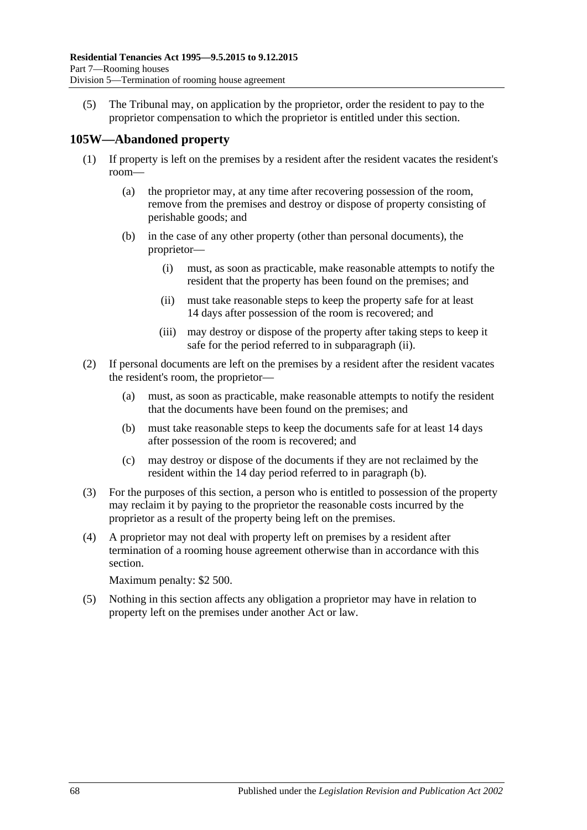(5) The Tribunal may, on application by the proprietor, order the resident to pay to the proprietor compensation to which the proprietor is entitled under this section.

# **105W—Abandoned property**

- (1) If property is left on the premises by a resident after the resident vacates the resident's room—
	- (a) the proprietor may, at any time after recovering possession of the room, remove from the premises and destroy or dispose of property consisting of perishable goods; and
	- (b) in the case of any other property (other than personal documents), the proprietor—
		- (i) must, as soon as practicable, make reasonable attempts to notify the resident that the property has been found on the premises; and
		- (ii) must take reasonable steps to keep the property safe for at least 14 days after possession of the room is recovered; and
		- (iii) may destroy or dispose of the property after taking steps to keep it safe for the period referred to in [subparagraph](#page-67-0) (ii).
- <span id="page-67-1"></span><span id="page-67-0"></span>(2) If personal documents are left on the premises by a resident after the resident vacates the resident's room, the proprietor—
	- (a) must, as soon as practicable, make reasonable attempts to notify the resident that the documents have been found on the premises; and
	- (b) must take reasonable steps to keep the documents safe for at least 14 days after possession of the room is recovered; and
	- (c) may destroy or dispose of the documents if they are not reclaimed by the resident within the 14 day period referred to in [paragraph](#page-67-1) (b).
- (3) For the purposes of this section, a person who is entitled to possession of the property may reclaim it by paying to the proprietor the reasonable costs incurred by the proprietor as a result of the property being left on the premises.
- (4) A proprietor may not deal with property left on premises by a resident after termination of a rooming house agreement otherwise than in accordance with this section.

Maximum penalty: \$2 500.

(5) Nothing in this section affects any obligation a proprietor may have in relation to property left on the premises under another Act or law.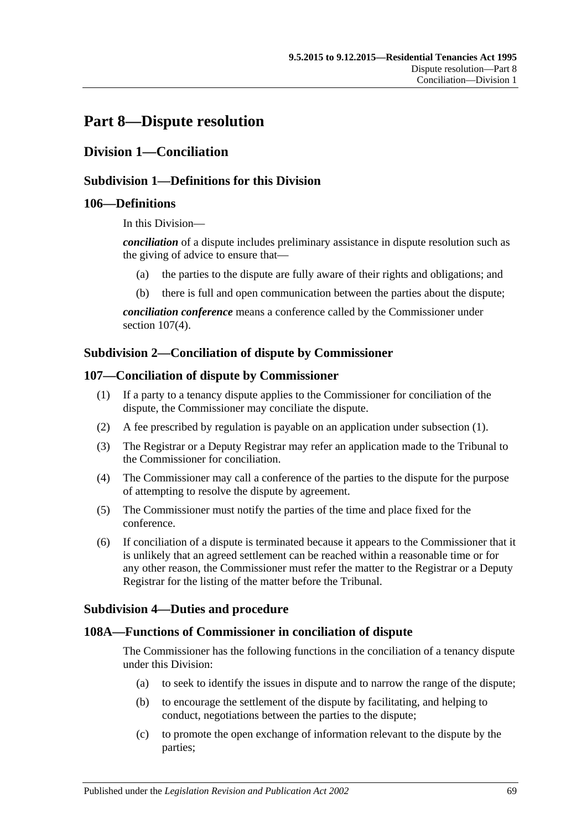# **Part 8—Dispute resolution**

# **Division 1—Conciliation**

#### **Subdivision 1—Definitions for this Division**

#### **106—Definitions**

In this Division—

*conciliation* of a dispute includes preliminary assistance in dispute resolution such as the giving of advice to ensure that—

- (a) the parties to the dispute are fully aware of their rights and obligations; and
- (b) there is full and open communication between the parties about the dispute;

*conciliation conference* means a conference called by the Commissioner under section [107\(4\).](#page-68-0)

#### **Subdivision 2—Conciliation of dispute by Commissioner**

#### <span id="page-68-1"></span>**107—Conciliation of dispute by Commissioner**

- (1) If a party to a tenancy dispute applies to the Commissioner for conciliation of the dispute, the Commissioner may conciliate the dispute.
- (2) A fee prescribed by regulation is payable on an application under [subsection](#page-68-1) (1).
- (3) The Registrar or a Deputy Registrar may refer an application made to the Tribunal to the Commissioner for conciliation.
- <span id="page-68-0"></span>(4) The Commissioner may call a conference of the parties to the dispute for the purpose of attempting to resolve the dispute by agreement.
- (5) The Commissioner must notify the parties of the time and place fixed for the conference.
- (6) If conciliation of a dispute is terminated because it appears to the Commissioner that it is unlikely that an agreed settlement can be reached within a reasonable time or for any other reason, the Commissioner must refer the matter to the Registrar or a Deputy Registrar for the listing of the matter before the Tribunal.

#### **Subdivision 4—Duties and procedure**

#### **108A—Functions of Commissioner in conciliation of dispute**

The Commissioner has the following functions in the conciliation of a tenancy dispute under this Division:

- (a) to seek to identify the issues in dispute and to narrow the range of the dispute;
- (b) to encourage the settlement of the dispute by facilitating, and helping to conduct, negotiations between the parties to the dispute;
- (c) to promote the open exchange of information relevant to the dispute by the parties;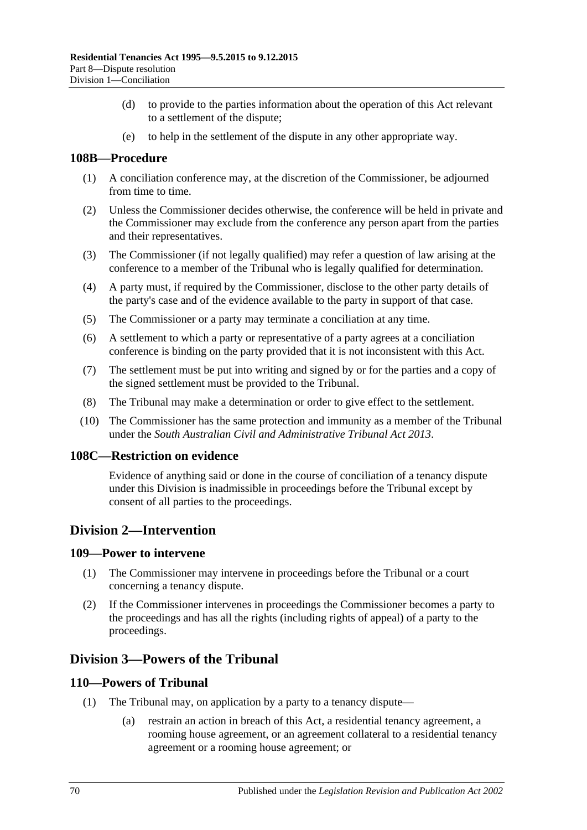- (d) to provide to the parties information about the operation of this Act relevant to a settlement of the dispute;
- (e) to help in the settlement of the dispute in any other appropriate way.

# **108B—Procedure**

- (1) A conciliation conference may, at the discretion of the Commissioner, be adjourned from time to time.
- (2) Unless the Commissioner decides otherwise, the conference will be held in private and the Commissioner may exclude from the conference any person apart from the parties and their representatives.
- (3) The Commissioner (if not legally qualified) may refer a question of law arising at the conference to a member of the Tribunal who is legally qualified for determination.
- (4) A party must, if required by the Commissioner, disclose to the other party details of the party's case and of the evidence available to the party in support of that case.
- (5) The Commissioner or a party may terminate a conciliation at any time.
- (6) A settlement to which a party or representative of a party agrees at a conciliation conference is binding on the party provided that it is not inconsistent with this Act.
- (7) The settlement must be put into writing and signed by or for the parties and a copy of the signed settlement must be provided to the Tribunal.
- (8) The Tribunal may make a determination or order to give effect to the settlement.
- (10) The Commissioner has the same protection and immunity as a member of the Tribunal under the *[South Australian Civil and Administrative Tribunal Act](http://www.legislation.sa.gov.au/index.aspx?action=legref&type=act&legtitle=South%20Australian%20Civil%20and%20Administrative%20Tribunal%20Act%202013) 2013*.

#### **108C—Restriction on evidence**

Evidence of anything said or done in the course of conciliation of a tenancy dispute under this Division is inadmissible in proceedings before the Tribunal except by consent of all parties to the proceedings.

# **Division 2—Intervention**

#### **109—Power to intervene**

- (1) The Commissioner may intervene in proceedings before the Tribunal or a court concerning a tenancy dispute.
- (2) If the Commissioner intervenes in proceedings the Commissioner becomes a party to the proceedings and has all the rights (including rights of appeal) of a party to the proceedings.

# **Division 3—Powers of the Tribunal**

#### **110—Powers of Tribunal**

- (1) The Tribunal may, on application by a party to a tenancy dispute—
	- (a) restrain an action in breach of this Act, a residential tenancy agreement, a rooming house agreement, or an agreement collateral to a residential tenancy agreement or a rooming house agreement; or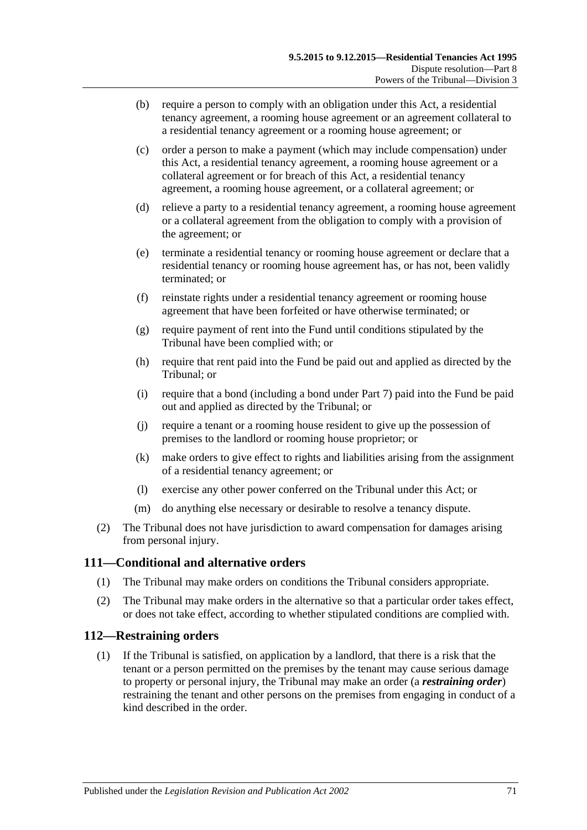- (b) require a person to comply with an obligation under this Act, a residential tenancy agreement, a rooming house agreement or an agreement collateral to a residential tenancy agreement or a rooming house agreement; or
- (c) order a person to make a payment (which may include compensation) under this Act, a residential tenancy agreement, a rooming house agreement or a collateral agreement or for breach of this Act, a residential tenancy agreement, a rooming house agreement, or a collateral agreement; or
- (d) relieve a party to a residential tenancy agreement, a rooming house agreement or a collateral agreement from the obligation to comply with a provision of the agreement; or
- (e) terminate a residential tenancy or rooming house agreement or declare that a residential tenancy or rooming house agreement has, or has not, been validly terminated; or
- (f) reinstate rights under a residential tenancy agreement or rooming house agreement that have been forfeited or have otherwise terminated; or
- (g) require payment of rent into the Fund until conditions stipulated by the Tribunal have been complied with; or
- (h) require that rent paid into the Fund be paid out and applied as directed by the Tribunal; or
- (i) require that a bond (including a bond under [Part 7\)](#page-55-0) paid into the Fund be paid out and applied as directed by the Tribunal; or
- (j) require a tenant or a rooming house resident to give up the possession of premises to the landlord or rooming house proprietor; or
- (k) make orders to give effect to rights and liabilities arising from the assignment of a residential tenancy agreement; or
- (l) exercise any other power conferred on the Tribunal under this Act; or
- (m) do anything else necessary or desirable to resolve a tenancy dispute.
- (2) The Tribunal does not have jurisdiction to award compensation for damages arising from personal injury.

# **111—Conditional and alternative orders**

- (1) The Tribunal may make orders on conditions the Tribunal considers appropriate.
- (2) The Tribunal may make orders in the alternative so that a particular order takes effect, or does not take effect, according to whether stipulated conditions are complied with.

#### **112—Restraining orders**

(1) If the Tribunal is satisfied, on application by a landlord, that there is a risk that the tenant or a person permitted on the premises by the tenant may cause serious damage to property or personal injury, the Tribunal may make an order (a *restraining order*) restraining the tenant and other persons on the premises from engaging in conduct of a kind described in the order.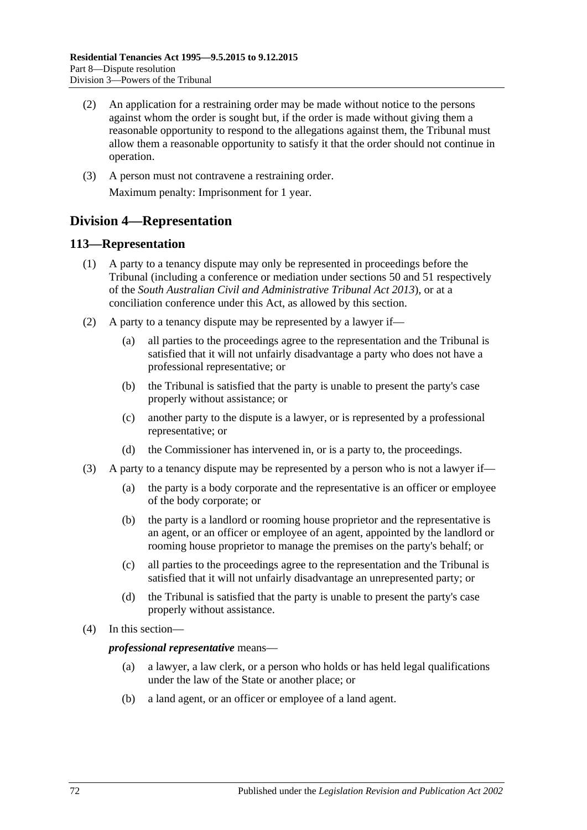- (2) An application for a restraining order may be made without notice to the persons against whom the order is sought but, if the order is made without giving them a reasonable opportunity to respond to the allegations against them, the Tribunal must allow them a reasonable opportunity to satisfy it that the order should not continue in operation.
- (3) A person must not contravene a restraining order. Maximum penalty: Imprisonment for 1 year.

# **Division 4—Representation**

# **113—Representation**

- (1) A party to a tenancy dispute may only be represented in proceedings before the Tribunal (including a conference or mediation under sections 50 and 51 respectively of the *[South Australian Civil and Administrative Tribunal Act](http://www.legislation.sa.gov.au/index.aspx?action=legref&type=act&legtitle=South%20Australian%20Civil%20and%20Administrative%20Tribunal%20Act%202013) 2013*), or at a conciliation conference under this Act, as allowed by this section.
- (2) A party to a tenancy dispute may be represented by a lawyer if—
	- (a) all parties to the proceedings agree to the representation and the Tribunal is satisfied that it will not unfairly disadvantage a party who does not have a professional representative; or
	- (b) the Tribunal is satisfied that the party is unable to present the party's case properly without assistance; or
	- (c) another party to the dispute is a lawyer, or is represented by a professional representative; or
	- (d) the Commissioner has intervened in, or is a party to, the proceedings.
- (3) A party to a tenancy dispute may be represented by a person who is not a lawyer if—
	- (a) the party is a body corporate and the representative is an officer or employee of the body corporate; or
	- (b) the party is a landlord or rooming house proprietor and the representative is an agent, or an officer or employee of an agent, appointed by the landlord or rooming house proprietor to manage the premises on the party's behalf; or
	- (c) all parties to the proceedings agree to the representation and the Tribunal is satisfied that it will not unfairly disadvantage an unrepresented party; or
	- (d) the Tribunal is satisfied that the party is unable to present the party's case properly without assistance.
- (4) In this section—

#### *professional representative* means—

- (a) a lawyer, a law clerk, or a person who holds or has held legal qualifications under the law of the State or another place; or
- (b) a land agent, or an officer or employee of a land agent.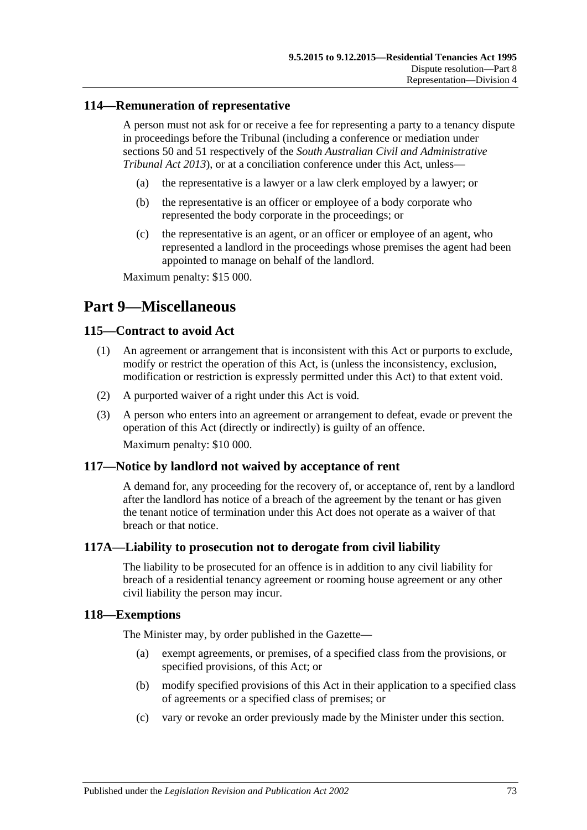### **114—Remuneration of representative**

A person must not ask for or receive a fee for representing a party to a tenancy dispute in proceedings before the Tribunal (including a conference or mediation under sections 50 and 51 respectively of the *[South Australian Civil and Administrative](http://www.legislation.sa.gov.au/index.aspx?action=legref&type=act&legtitle=South%20Australian%20Civil%20and%20Administrative%20Tribunal%20Act%202013)  [Tribunal Act](http://www.legislation.sa.gov.au/index.aspx?action=legref&type=act&legtitle=South%20Australian%20Civil%20and%20Administrative%20Tribunal%20Act%202013) 2013*), or at a conciliation conference under this Act, unless—

- (a) the representative is a lawyer or a law clerk employed by a lawyer; or
- (b) the representative is an officer or employee of a body corporate who represented the body corporate in the proceedings; or
- (c) the representative is an agent, or an officer or employee of an agent, who represented a landlord in the proceedings whose premises the agent had been appointed to manage on behalf of the landlord.

Maximum penalty: \$15 000.

# **Part 9—Miscellaneous**

### **115—Contract to avoid Act**

- (1) An agreement or arrangement that is inconsistent with this Act or purports to exclude, modify or restrict the operation of this Act, is (unless the inconsistency, exclusion, modification or restriction is expressly permitted under this Act) to that extent void.
- (2) A purported waiver of a right under this Act is void.
- (3) A person who enters into an agreement or arrangement to defeat, evade or prevent the operation of this Act (directly or indirectly) is guilty of an offence. Maximum penalty: \$10 000.

### **117—Notice by landlord not waived by acceptance of rent**

A demand for, any proceeding for the recovery of, or acceptance of, rent by a landlord after the landlord has notice of a breach of the agreement by the tenant or has given the tenant notice of termination under this Act does not operate as a waiver of that breach or that notice.

### **117A—Liability to prosecution not to derogate from civil liability**

The liability to be prosecuted for an offence is in addition to any civil liability for breach of a residential tenancy agreement or rooming house agreement or any other civil liability the person may incur.

### **118—Exemptions**

The Minister may, by order published in the Gazette—

- (a) exempt agreements, or premises, of a specified class from the provisions, or specified provisions, of this Act; or
- (b) modify specified provisions of this Act in their application to a specified class of agreements or a specified class of premises; or
- (c) vary or revoke an order previously made by the Minister under this section.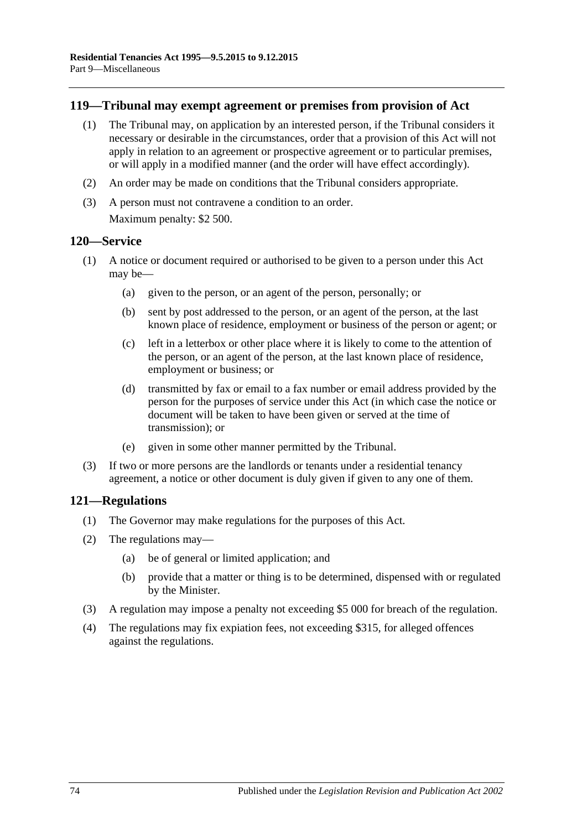### **119—Tribunal may exempt agreement or premises from provision of Act**

- (1) The Tribunal may, on application by an interested person, if the Tribunal considers it necessary or desirable in the circumstances, order that a provision of this Act will not apply in relation to an agreement or prospective agreement or to particular premises, or will apply in a modified manner (and the order will have effect accordingly).
- (2) An order may be made on conditions that the Tribunal considers appropriate.
- (3) A person must not contravene a condition to an order. Maximum penalty: \$2 500.

### **120—Service**

- (1) A notice or document required or authorised to be given to a person under this Act may be—
	- (a) given to the person, or an agent of the person, personally; or
	- (b) sent by post addressed to the person, or an agent of the person, at the last known place of residence, employment or business of the person or agent; or
	- (c) left in a letterbox or other place where it is likely to come to the attention of the person, or an agent of the person, at the last known place of residence, employment or business; or
	- (d) transmitted by fax or email to a fax number or email address provided by the person for the purposes of service under this Act (in which case the notice or document will be taken to have been given or served at the time of transmission); or
	- (e) given in some other manner permitted by the Tribunal.
- (3) If two or more persons are the landlords or tenants under a residential tenancy agreement, a notice or other document is duly given if given to any one of them.

### **121—Regulations**

- (1) The Governor may make regulations for the purposes of this Act.
- (2) The regulations may—
	- (a) be of general or limited application; and
	- (b) provide that a matter or thing is to be determined, dispensed with or regulated by the Minister.
- (3) A regulation may impose a penalty not exceeding \$5 000 for breach of the regulation.
- (4) The regulations may fix expiation fees, not exceeding \$315, for alleged offences against the regulations.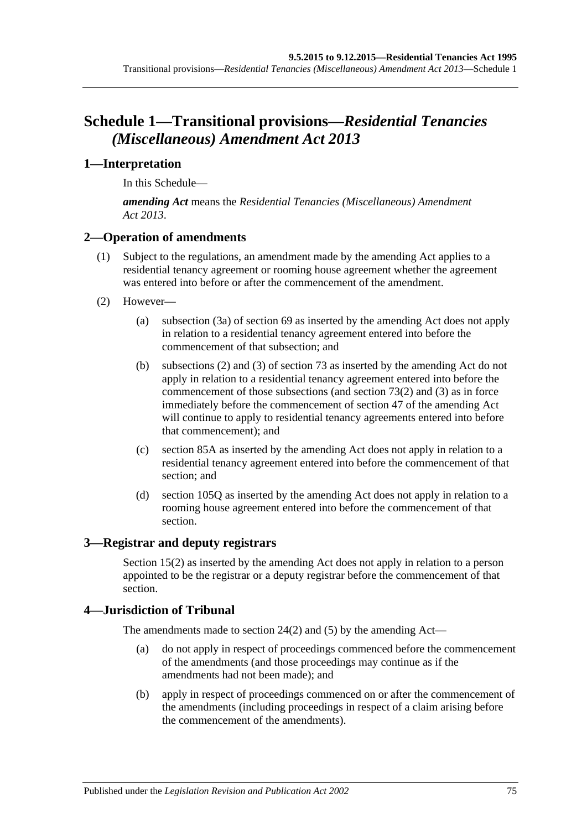# **Schedule 1—Transitional provisions—***Residential Tenancies (Miscellaneous) Amendment Act 2013*

## **1—Interpretation**

In this Schedule—

*amending Act* means the *[Residential Tenancies \(Miscellaneous\) Amendment](http://www.legislation.sa.gov.au/index.aspx?action=legref&type=act&legtitle=Residential%20Tenancies%20(Miscellaneous)%20Amendment%20Act%202013)  Act [2013](http://www.legislation.sa.gov.au/index.aspx?action=legref&type=act&legtitle=Residential%20Tenancies%20(Miscellaneous)%20Amendment%20Act%202013)*.

## **2—Operation of amendments**

- (1) Subject to the regulations, an amendment made by the amending Act applies to a residential tenancy agreement or rooming house agreement whether the agreement was entered into before or after the commencement of the amendment.
- (2) However—
	- (a) [subsection](#page-27-0) (3a) of [section](#page-27-1) 69 as inserted by the amending Act does not apply in relation to a residential tenancy agreement entered into before the commencement of that subsection; and
	- (b) [subsections](#page-30-0) (2) and [\(3\)](#page-30-1) of [section](#page-30-2) 73 as inserted by the amending Act do not apply in relation to a residential tenancy agreement entered into before the commencement of those subsections (and [section](#page-30-0) 73(2) and [\(3\)](#page-30-1) as in force immediately before the commencement of section 47 of the amending Act will continue to apply to residential tenancy agreements entered into before that commencement); and
	- (c) [section](#page-39-0) 85A as inserted by the amending Act does not apply in relation to a residential tenancy agreement entered into before the commencement of that section; and
	- (d) [section](#page-64-0) 105Q as inserted by the amending Act does not apply in relation to a rooming house agreement entered into before the commencement of that section.

## **3—Registrar and deputy registrars**

Section 15(2) as inserted by the amending Act does not apply in relation to a person appointed to be the registrar or a deputy registrar before the commencement of that section.

### **4—Jurisdiction of Tribunal**

The amendments made to [section](#page-11-0) 24(2) and [\(5\)](#page-11-1) by the amending Act—

- (a) do not apply in respect of proceedings commenced before the commencement of the amendments (and those proceedings may continue as if the amendments had not been made); and
- (b) apply in respect of proceedings commenced on or after the commencement of the amendments (including proceedings in respect of a claim arising before the commencement of the amendments).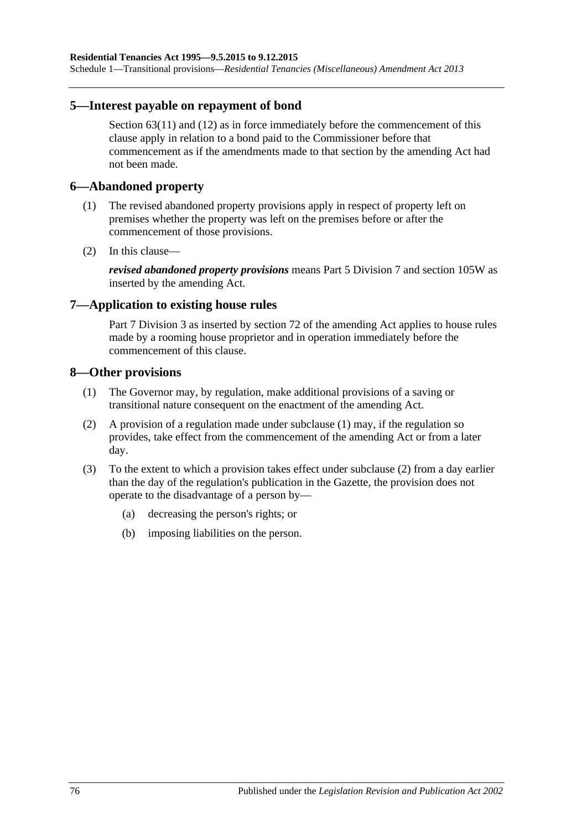Schedule 1—Transitional provisions—*Residential Tenancies (Miscellaneous) Amendment Act 2013*

### **5—Interest payable on repayment of bond**

[Section](#page-24-0) 63(11) and (12) as in force immediately before the commencement of this clause apply in relation to a bond paid to the Commissioner before that commencement as if the amendments made to that section by the amending Act had not been made.

### **6—Abandoned property**

- (1) The revised abandoned property provisions apply in respect of property left on premises whether the property was left on the premises before or after the commencement of those provisions.
- (2) In this clause—

*revised abandoned property provisions* means [Part 5 Division 7](#page-45-0) and [section](#page-67-0) 105W as inserted by the amending Act.

### **7—Application to existing house rules**

[Part 7 Division](#page-55-0) 3 as inserted by section 72 of the amending Act applies to house rules made by a rooming house proprietor and in operation immediately before the commencement of this clause.

### <span id="page-75-0"></span>**8—Other provisions**

- (1) The Governor may, by regulation, make additional provisions of a saving or transitional nature consequent on the enactment of the amending Act.
- <span id="page-75-1"></span>(2) A provision of a regulation made under [subclause](#page-75-0) (1) may, if the regulation so provides, take effect from the commencement of the amending Act or from a later day.
- (3) To the extent to which a provision takes effect under [subclause](#page-75-1) (2) from a day earlier than the day of the regulation's publication in the Gazette, the provision does not operate to the disadvantage of a person by—
	- (a) decreasing the person's rights; or
	- (b) imposing liabilities on the person.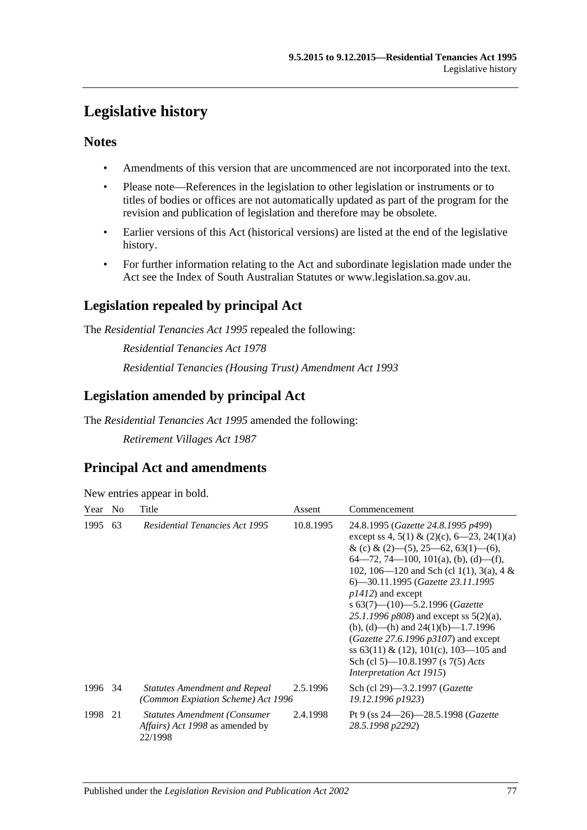# **Legislative history**

## **Notes**

- Amendments of this version that are uncommenced are not incorporated into the text.
- Please note—References in the legislation to other legislation or instruments or to titles of bodies or offices are not automatically updated as part of the program for the revision and publication of legislation and therefore may be obsolete.
- Earlier versions of this Act (historical versions) are listed at the end of the legislative history.
- For further information relating to the Act and subordinate legislation made under the Act see the Index of South Australian Statutes or www.legislation.sa.gov.au.

# **Legislation repealed by principal Act**

The *Residential Tenancies Act 1995* repealed the following:

*Residential Tenancies Act 1978 Residential Tenancies (Housing Trust) Amendment Act 1993*

# **Legislation amended by principal Act**

The *Residential Tenancies Act 1995* amended the following:

*Retirement Villages Act 1987*

# **Principal Act and amendments**

New entries appear in bold.

| Year    | N <sub>o</sub> | Title                                                                              | Assent    | Commencement                                                                                                                                                                                                                                                                                                                                                                                                                                                                                                                                                                                       |
|---------|----------------|------------------------------------------------------------------------------------|-----------|----------------------------------------------------------------------------------------------------------------------------------------------------------------------------------------------------------------------------------------------------------------------------------------------------------------------------------------------------------------------------------------------------------------------------------------------------------------------------------------------------------------------------------------------------------------------------------------------------|
| 1995    | 63             | <b>Residential Tenancies Act 1995</b>                                              | 10.8.1995 | 24.8.1995 (Gazette 24.8.1995 p499)<br>except ss 4, 5(1) & (2)(c), 6—23, 24(1)(a)<br>& (c) & (2)–(5), 25–62, 63(1)–(6),<br>$64 - 72$ , 74 - 100, 101(a), (b), (d) - (f),<br>102, 106—120 and Sch (cl 1(1), 3(a), 4 &<br>6—30.11.1995 (Gazette 23.11.1995<br>$p1412$ ) and except<br>s $63(7)$ — $(10)$ — $5.2.1996$ (Gazette<br>25.1.1996 $p808$ ) and except ss $5(2)(a)$ ,<br>(b), (d)—(h) and $24(1)(b)$ —1.7.1996<br>( <i>Gazette</i> 27.6.1996 $p3107$ ) and except<br>ss $63(11) \& (12)$ , $101(c)$ , $103-105$ and<br>Sch (cl 5)—10.8.1997 (s 7(5) Acts<br><i>Interpretation Act 1915</i> ) |
| 1996 34 |                | <b>Statutes Amendment and Repeal</b><br>(Common Expiation Scheme) Act 1996         | 2.5.1996  | Sch (cl 29)—3.2.1997 ( <i>Gazette</i><br>19.12.1996 p1923)                                                                                                                                                                                                                                                                                                                                                                                                                                                                                                                                         |
| 1998    | 21             | <b>Statutes Amendment (Consumer)</b><br>Affairs) Act 1998 as amended by<br>22/1998 | 2.4.1998  | Pt 9 (ss $24 - 26$ ) - 28.5.1998 ( <i>Gazette</i><br>28.5.1998 p2292)                                                                                                                                                                                                                                                                                                                                                                                                                                                                                                                              |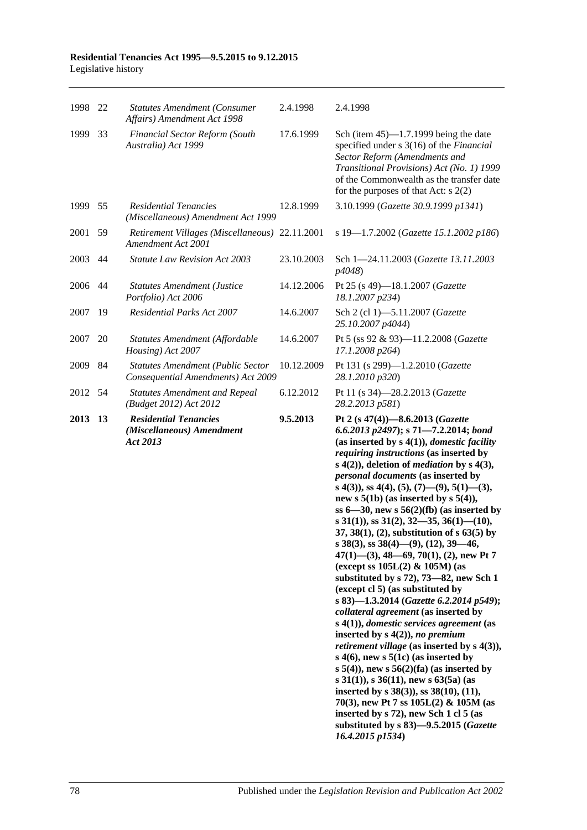### **Residential Tenancies Act 1995—9.5.2015 to 9.12.2015** Legislative history

| 1998 22 |    | <b>Statutes Amendment (Consumer</b><br>Affairs) Amendment Act 1998      | 2.4.1998   | 2.4.1998                                                                                                                                                                                                                                                                                                                                                                                                                                                                                                                                                                                                                                                                                                                                                                                                                                                                                                                                                                                                                                                                                                                                                                                                                                                                                                     |
|---------|----|-------------------------------------------------------------------------|------------|--------------------------------------------------------------------------------------------------------------------------------------------------------------------------------------------------------------------------------------------------------------------------------------------------------------------------------------------------------------------------------------------------------------------------------------------------------------------------------------------------------------------------------------------------------------------------------------------------------------------------------------------------------------------------------------------------------------------------------------------------------------------------------------------------------------------------------------------------------------------------------------------------------------------------------------------------------------------------------------------------------------------------------------------------------------------------------------------------------------------------------------------------------------------------------------------------------------------------------------------------------------------------------------------------------------|
| 1999    | 33 | Financial Sector Reform (South<br>Australia) Act 1999                   | 17.6.1999  | Sch (item $45$ )—1.7.1999 being the date<br>specified under s 3(16) of the Financial<br>Sector Reform (Amendments and<br>Transitional Provisions) Act (No. 1) 1999<br>of the Commonwealth as the transfer date<br>for the purposes of that Act: $s$ 2(2)                                                                                                                                                                                                                                                                                                                                                                                                                                                                                                                                                                                                                                                                                                                                                                                                                                                                                                                                                                                                                                                     |
| 1999    | 55 | <b>Residential Tenancies</b><br>(Miscellaneous) Amendment Act 1999      | 12.8.1999  | 3.10.1999 (Gazette 30.9.1999 p1341)                                                                                                                                                                                                                                                                                                                                                                                                                                                                                                                                                                                                                                                                                                                                                                                                                                                                                                                                                                                                                                                                                                                                                                                                                                                                          |
| 2001    | 59 | Retirement Villages (Miscellaneous) 22.11.2001<br>Amendment Act 2001    |            | s 19-1.7.2002 (Gazette 15.1.2002 p186)                                                                                                                                                                                                                                                                                                                                                                                                                                                                                                                                                                                                                                                                                                                                                                                                                                                                                                                                                                                                                                                                                                                                                                                                                                                                       |
| 2003    | 44 | <b>Statute Law Revision Act 2003</b>                                    | 23.10.2003 | Sch 1-24.11.2003 (Gazette 13.11.2003<br>p4048)                                                                                                                                                                                                                                                                                                                                                                                                                                                                                                                                                                                                                                                                                                                                                                                                                                                                                                                                                                                                                                                                                                                                                                                                                                                               |
| 2006    | 44 | <b>Statutes Amendment (Justice</b><br>Portfolio) Act 2006               | 14.12.2006 | Pt 25 (s 49)-18.1.2007 (Gazette<br>18.1.2007 p234)                                                                                                                                                                                                                                                                                                                                                                                                                                                                                                                                                                                                                                                                                                                                                                                                                                                                                                                                                                                                                                                                                                                                                                                                                                                           |
| 2007    | 19 | <b>Residential Parks Act 2007</b>                                       | 14.6.2007  | Sch 2 (cl 1)-5.11.2007 (Gazette<br>25.10.2007 p4044)                                                                                                                                                                                                                                                                                                                                                                                                                                                                                                                                                                                                                                                                                                                                                                                                                                                                                                                                                                                                                                                                                                                                                                                                                                                         |
| 2007    | 20 | Statutes Amendment (Affordable<br>Housing) Act 2007                     | 14.6.2007  | Pt 5 (ss 92 & 93)-11.2.2008 (Gazette<br>17.1.2008 p264)                                                                                                                                                                                                                                                                                                                                                                                                                                                                                                                                                                                                                                                                                                                                                                                                                                                                                                                                                                                                                                                                                                                                                                                                                                                      |
| 2009    | 84 | Statutes Amendment (Public Sector<br>Consequential Amendments) Act 2009 | 10.12.2009 | Pt 131 (s 299)-1.2.2010 (Gazette<br>28.1.2010 p320)                                                                                                                                                                                                                                                                                                                                                                                                                                                                                                                                                                                                                                                                                                                                                                                                                                                                                                                                                                                                                                                                                                                                                                                                                                                          |
| 2012    | 54 | <b>Statutes Amendment and Repeal</b><br>(Budget 2012) Act 2012          | 6.12.2012  | Pt 11 (s 34)-28.2.2013 (Gazette<br>28.2.2013 p581)                                                                                                                                                                                                                                                                                                                                                                                                                                                                                                                                                                                                                                                                                                                                                                                                                                                                                                                                                                                                                                                                                                                                                                                                                                                           |
| 2013    | 13 | <b>Residential Tenancies</b><br>(Miscellaneous) Amendment<br>Act 2013   | 9.5.2013   | Pt 2 (s 47(4))-8.6.2013 (Gazette<br>6.6.2013 p2497); s 71-7.2.2014; bond<br>(as inserted by $s(1)$ ), <i>domestic facility</i><br>requiring instructions (as inserted by<br>$s(4(2))$ , deletion of <i>mediation</i> by $s(4(3))$ ,<br>personal documents (as inserted by<br>s 4(3)), ss 4(4), (5), (7)—(9), 5(1)—(3),<br>new s $5(1b)$ (as inserted by s $5(4)$ ),<br>ss $6-30$ , new s $56(2)(fb)$ (as inserted by<br>s $31(1)$ , ss $31(2)$ , $32$ —35, $36(1)$ — $(10)$ ,<br>$37, 38(1), (2)$ , substitution of s 63(5) by<br>s 38(3), ss 38(4)—(9), (12), 39—46,<br>$47(1)$ —(3), 48—69, 70(1), (2), new Pt 7<br>(except ss $105L(2)$ & $105M$ ) (as<br>substituted by s 72), 73-82, new Sch 1<br>(except cl 5) (as substituted by<br>s 83)-1.3.2014 (Gazette 6.2.2014 p549);<br>collateral agreement (as inserted by<br>$s(4(1))$ , domestic services agreement (as<br>inserted by $s(4(2))$ , no premium<br><i>retirement village</i> (as inserted by $s$ 4(3)),<br>s $4(6)$ , new s $5(1c)$ (as inserted by<br>s $5(4)$ , new s $56(2)$ (fa) (as inserted by<br>s 31(1)), s 36(11), new s 63(5a) (as<br>inserted by $s$ 38(3)), ss 38(10), (11),<br>70(3), new Pt 7 ss $105L(2)$ & $105M$ (as<br>inserted by s 72), new Sch 1 cl 5 (as<br>substituted by s 83)-9.5.2015 (Gazette<br>16.4.2015 p1534) |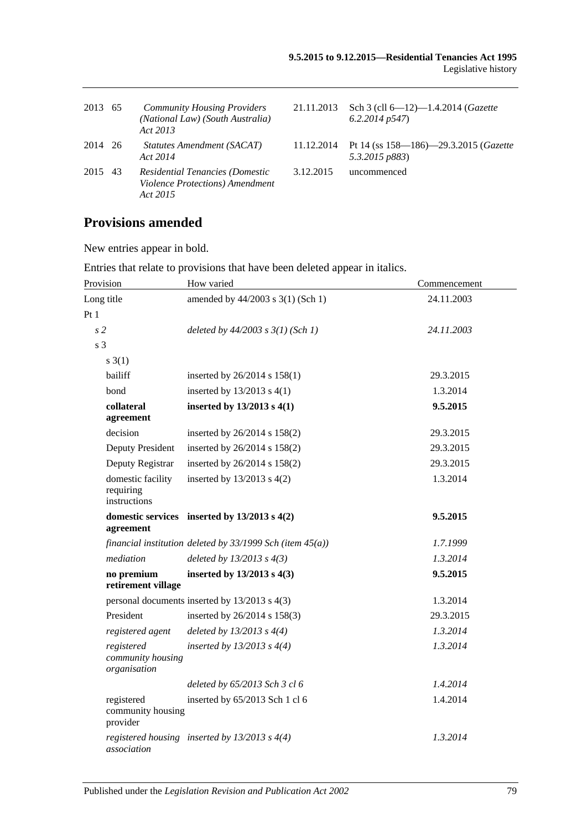| 2013 65 | <b>Community Housing Providers</b><br>(National Law) (South Australia)<br>Act 2013 | 21.11.2013 | Sch 3 (cll 6-12)-1.4.2014 (Gazette<br>6.2.2014p547                |
|---------|------------------------------------------------------------------------------------|------------|-------------------------------------------------------------------|
| 2014 26 | Statutes Amendment (SACAT)<br>Act 2014                                             |            | 11.12.2014 Pt 14 (ss 158—186)—29.3.2015 (Gazette<br>5.3.2015 p883 |
| 2015 43 | Residential Tenancies (Domestic<br>Violence Protections) Amendment<br>Act 2015     | 3.12.2015  | uncommenced                                                       |

# **Provisions amended**

New entries appear in bold.

|                                                 | Emmos mai relate to provisions that have been deleted appear in hancs. |              |
|-------------------------------------------------|------------------------------------------------------------------------|--------------|
| Provision                                       | How varied                                                             | Commencement |
| Long title                                      | amended by 44/2003 s 3(1) (Sch 1)                                      | 24.11.2003   |
| Pt1                                             |                                                                        |              |
| s <sub>2</sub>                                  | deleted by $44/2003$ s $3(1)$ (Sch 1)                                  | 24.11.2003   |
| s <sub>3</sub>                                  |                                                                        |              |
| $s \; 3(1)$                                     |                                                                        |              |
| bailiff                                         | inserted by 26/2014 s 158(1)                                           | 29.3.2015    |
| bond                                            | inserted by $13/2013$ s $4(1)$                                         | 1.3.2014     |
| collateral<br>agreement                         | inserted by $13/2013$ s $4(1)$                                         | 9.5.2015     |
| decision                                        | inserted by 26/2014 s 158(2)                                           | 29.3.2015    |
| Deputy President                                | inserted by 26/2014 s 158(2)                                           | 29.3.2015    |
| Deputy Registrar                                | inserted by 26/2014 s 158(2)                                           | 29.3.2015    |
| domestic facility<br>requiring<br>instructions  | inserted by $13/2013$ s $4(2)$                                         | 1.3.2014     |
| agreement                                       | domestic services inserted by $13/2013$ s $4(2)$                       | 9.5.2015     |
|                                                 | financial institution deleted by $33/1999$ Sch (item $45(a)$ )         | 1.7.1999     |
| mediation                                       | deleted by $13/2013$ s $4(3)$                                          | 1.3.2014     |
| no premium<br>retirement village                | inserted by $13/2013$ s $4(3)$                                         | 9.5.2015     |
|                                                 | personal documents inserted by 13/2013 s 4(3)                          | 1.3.2014     |
| President                                       | inserted by 26/2014 s 158(3)                                           | 29.3.2015    |
| registered agent                                | deleted by $13/2013$ s $4(4)$                                          | 1.3.2014     |
| registered<br>community housing<br>organisation | inserted by $13/2013$ s $4(4)$                                         | 1.3.2014     |
|                                                 | deleted by 65/2013 Sch 3 cl 6                                          | 1.4.2014     |
| registered<br>community housing<br>provider     | inserted by 65/2013 Sch 1 cl 6                                         | 1.4.2014     |
| association                                     | registered housing inserted by $13/2013$ s $4(4)$                      | 1.3.2014     |

Entries that relate to provisions that have been deleted appear in italics.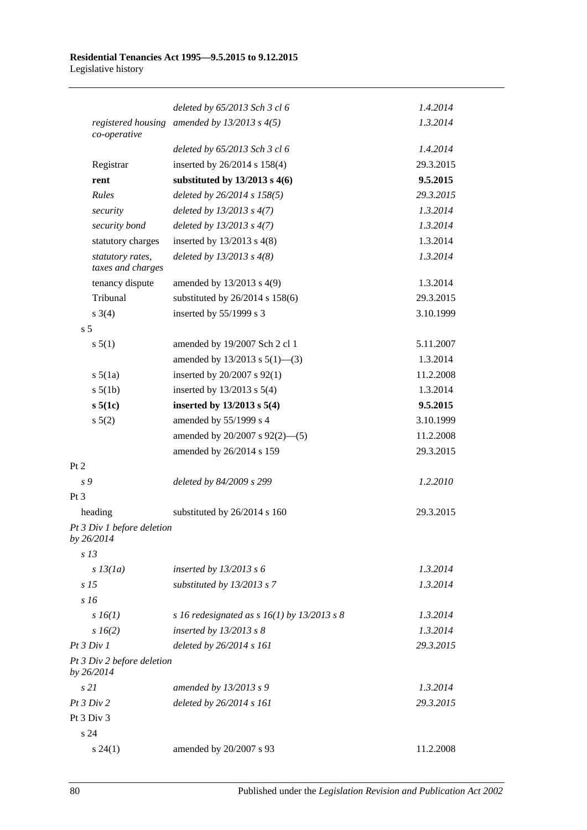|                                          | deleted by 65/2013 Sch 3 cl 6                 | 1.4.2014  |
|------------------------------------------|-----------------------------------------------|-----------|
| registered housing<br>co-operative       | amended by $13/2013$ s $4(5)$                 | 1.3.2014  |
|                                          | deleted by 65/2013 Sch 3 cl 6                 | 1.4.2014  |
| Registrar                                | inserted by 26/2014 s 158(4)                  | 29.3.2015 |
| rent                                     | substituted by $13/2013$ s 4(6)               | 9.5.2015  |
| Rules                                    | deleted by 26/2014 s 158(5)                   | 29.3.2015 |
| security                                 | deleted by $13/2013$ s $4(7)$                 | 1.3.2014  |
| security bond                            | deleted by $13/2013$ s $4(7)$                 | 1.3.2014  |
| statutory charges                        | inserted by $13/2013$ s $4(8)$                | 1.3.2014  |
| statutory rates,<br>taxes and charges    | deleted by $13/2013$ s $4(8)$                 | 1.3.2014  |
| tenancy dispute                          | amended by 13/2013 s 4(9)                     | 1.3.2014  |
| Tribunal                                 | substituted by 26/2014 s 158(6)               | 29.3.2015 |
| $s \; 3(4)$                              | inserted by 55/1999 s 3                       | 3.10.1999 |
| s <sub>5</sub>                           |                                               |           |
| s 5(1)                                   | amended by 19/2007 Sch 2 cl 1                 | 5.11.2007 |
|                                          | amended by $13/2013$ s $5(1)$ —(3)            | 1.3.2014  |
| $s\ 5(1a)$                               | inserted by 20/2007 s 92(1)                   | 11.2.2008 |
| $s\ 5(1b)$                               | inserted by $13/2013$ s $5(4)$                | 1.3.2014  |
| $s\,5(1c)$                               | inserted by $13/2013$ s $5(4)$                | 9.5.2015  |
| $s\ 5(2)$                                | amended by 55/1999 s 4                        | 3.10.1999 |
|                                          | amended by 20/2007 s 92(2)-(5)                | 11.2.2008 |
|                                          | amended by 26/2014 s 159                      | 29.3.2015 |
| Pt 2                                     |                                               |           |
| s 9                                      | deleted by 84/2009 s 299                      | 1.2.2010  |
| Pt <sub>3</sub>                          |                                               |           |
| heading                                  | substituted by 26/2014 s 160                  | 29.3.2015 |
| Pt 3 Div 1 before deletion<br>by 26/2014 |                                               |           |
| s <sub>13</sub>                          |                                               |           |
| $s$ 13(1a)                               | inserted by $13/2013$ s 6                     | 1.3.2014  |
| s <sub>15</sub>                          | substituted by 13/2013 s 7                    | 1.3.2014  |
| s16                                      |                                               |           |
| $s\,16(1)$                               | s 16 redesignated as s $16(1)$ by 13/2013 s 8 | 1.3.2014  |
| $s\,16(2)$                               | inserted by $13/2013$ s 8                     | 1.3.2014  |
| Pt 3 Div 1                               | deleted by 26/2014 s 161                      | 29.3.2015 |
| Pt 3 Div 2 before deletion<br>by 26/2014 |                                               |           |
| s21                                      | amended by 13/2013 s 9                        | 1.3.2014  |
| Pt 3 Div 2                               | deleted by 26/2014 s 161                      | 29.3.2015 |
| Pt 3 Div 3                               |                                               |           |
| s24                                      |                                               |           |
| $s\,24(1)$                               | amended by 20/2007 s 93                       | 11.2.2008 |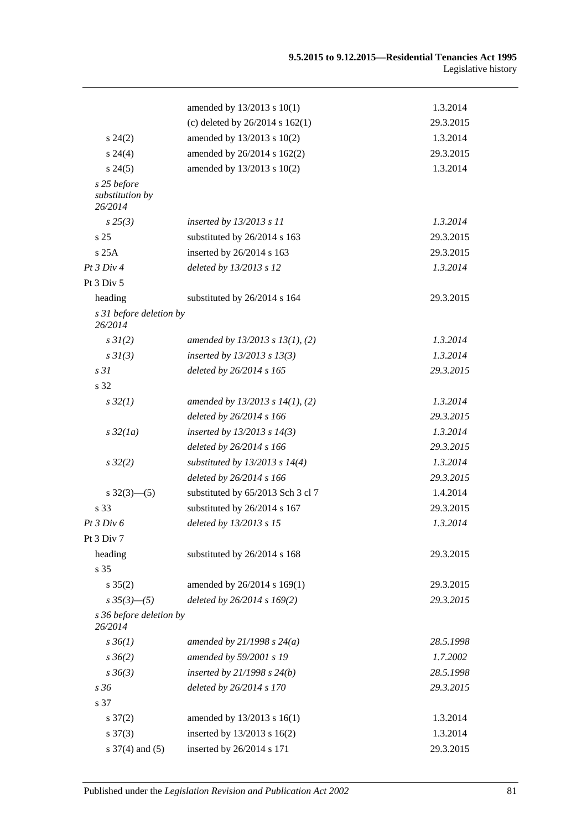|                                           | amended by 13/2013 s 10(1)           | 1.3.2014  |
|-------------------------------------------|--------------------------------------|-----------|
|                                           | (c) deleted by $26/2014$ s $162(1)$  | 29.3.2015 |
| $s\,24(2)$                                | amended by 13/2013 s 10(2)           | 1.3.2014  |
| $s\,24(4)$                                | amended by 26/2014 s 162(2)          | 29.3.2015 |
| $s\,24(5)$                                | amended by 13/2013 s 10(2)           | 1.3.2014  |
| s 25 before<br>substitution by<br>26/2014 |                                      |           |
| $s\,25(3)$                                | inserted by 13/2013 s 11             | 1.3.2014  |
| s <sub>25</sub>                           | substituted by 26/2014 s 163         | 29.3.2015 |
| s25A                                      | inserted by 26/2014 s 163            | 29.3.2015 |
| Pt 3 Div 4                                | deleted by 13/2013 s 12              | 1.3.2014  |
| Pt 3 Div 5                                |                                      |           |
| heading                                   | substituted by 26/2014 s 164         | 29.3.2015 |
| s 31 before deletion by<br>26/2014        |                                      |           |
| $s \, 3I(2)$                              | amended by 13/2013 s 13(1), (2)      | 1.3.2014  |
| $s \frac{3I(3)}{3}$                       | inserted by $13/2013$ s $13(3)$      | 1.3.2014  |
| s <sub>31</sub>                           | deleted by 26/2014 s 165             | 29.3.2015 |
| s 32                                      |                                      |           |
| $s\,32(1)$                                | amended by $13/2013$ s $14(1)$ , (2) | 1.3.2014  |
|                                           | deleted by 26/2014 s 166             | 29.3.2015 |
| $s\,32(1a)$                               | inserted by $13/2013$ s $14(3)$      | 1.3.2014  |
|                                           | deleted by 26/2014 s 166             | 29.3.2015 |
| $s\,32(2)$                                | substituted by $13/2013$ s $14(4)$   | 1.3.2014  |
|                                           | deleted by 26/2014 s 166             | 29.3.2015 |
| $s \frac{32(3)-(5)}{2}$                   | substituted by 65/2013 Sch 3 cl 7    | 1.4.2014  |
| s 33                                      | substituted by 26/2014 s 167         | 29.3.2015 |
| Pt 3 Div 6                                | deleted by 13/2013 s 15              | 1.3.2014  |
| Pt 3 Div 7                                |                                      |           |
| heading                                   | substituted by 26/2014 s 168         | 29.3.2015 |
| s 35                                      |                                      |           |
| $s \, 35(2)$                              | amended by 26/2014 s 169(1)          | 29.3.2015 |
| $s35(3)$ -(5)                             | deleted by 26/2014 s 169(2)          | 29.3.2015 |
| s 36 before deletion by<br>26/2014        |                                      |           |
| $s \, 36(1)$                              | amended by $21/1998 s 24(a)$         | 28.5.1998 |
| $s \, 36(2)$                              | amended by 59/2001 s 19              | 1.7.2002  |
| $s \, 36(3)$                              | inserted by $21/1998 s 24(b)$        | 28.5.1998 |
| s 36                                      | deleted by 26/2014 s 170             | 29.3.2015 |
| s 37                                      |                                      |           |
| $s \frac{37(2)}{2}$                       | amended by 13/2013 s 16(1)           | 1.3.2014  |
| $s \frac{37(3)}{2}$                       | inserted by 13/2013 s 16(2)          | 1.3.2014  |
| s $37(4)$ and $(5)$                       | inserted by 26/2014 s 171            | 29.3.2015 |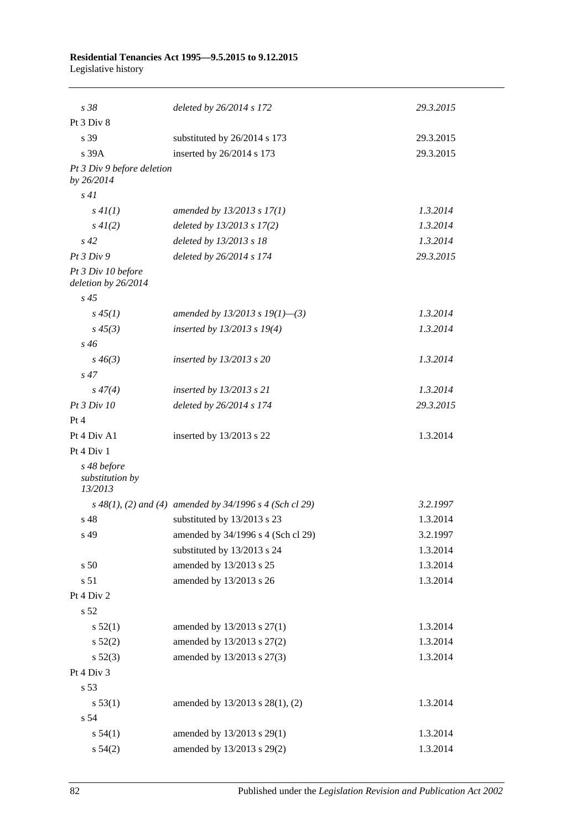### **Residential Tenancies Act 1995—9.5.2015 to 9.12.2015** Legislative history

| s 38                                      | deleted by 26/2014 s 172                                    | 29.3.2015 |
|-------------------------------------------|-------------------------------------------------------------|-----------|
| Pt 3 Div 8                                |                                                             |           |
| s 39                                      | substituted by 26/2014 s 173                                | 29.3.2015 |
| $s$ 39 $A$                                | inserted by 26/2014 s 173                                   | 29.3.2015 |
| Pt 3 Div 9 before deletion<br>by 26/2014  |                                                             |           |
| s41                                       |                                                             |           |
| s 4I(1)                                   | amended by $13/2013$ s $17(1)$                              | 1.3.2014  |
| $s\,4I(2)$                                | deleted by 13/2013 s 17(2)                                  | 1.3.2014  |
| $s\,42$                                   | deleted by 13/2013 s 18                                     | 1.3.2014  |
| Pt3 Div9                                  | deleted by 26/2014 s 174                                    | 29.3.2015 |
| Pt 3 Div 10 before<br>deletion by 26/2014 |                                                             |           |
| $s\,45$                                   |                                                             |           |
| $s\,45(1)$                                | amended by 13/2013 s 19(1)–(3)                              | 1.3.2014  |
| $s\,45(3)$                                | inserted by $13/2013$ s $19(4)$                             | 1.3.2014  |
| $s\,46$                                   |                                                             |           |
| $s\,46(3)$                                | inserted by $13/2013$ s 20                                  | 1.3.2014  |
| $s\,47$                                   |                                                             |           |
| $s\,47(4)$                                | inserted by 13/2013 s 21                                    | 1.3.2014  |
| Pt 3 Div 10                               | deleted by 26/2014 s 174                                    | 29.3.2015 |
| Pt 4                                      |                                                             |           |
| Pt 4 Div A1                               | inserted by $13/2013$ s 22                                  | 1.3.2014  |
| Pt 4 Div 1                                |                                                             |           |
| s 48 before<br>substitution by<br>13/2013 |                                                             |           |
|                                           | $s$ 48(1), (2) and (4) amended by 34/1996 $s$ 4 (Sch cl 29) | 3.2.1997  |
| s 48                                      | substituted by 13/2013 s 23                                 | 1.3.2014  |
| s 49                                      | amended by 34/1996 s 4 (Sch cl 29)                          | 3.2.1997  |
|                                           | substituted by 13/2013 s 24                                 | 1.3.2014  |
| s 50                                      | amended by 13/2013 s 25                                     | 1.3.2014  |
| s 51                                      | amended by 13/2013 s 26                                     | 1.3.2014  |
| Pt 4 Div 2                                |                                                             |           |
| s 52                                      |                                                             |           |
| s 52(1)                                   | amended by 13/2013 s 27(1)                                  | 1.3.2014  |
| s 52(2)                                   | amended by 13/2013 s 27(2)                                  | 1.3.2014  |
| $s\,52(3)$                                | amended by 13/2013 s 27(3)                                  | 1.3.2014  |
| Pt 4 Div 3                                |                                                             |           |
| s 53                                      |                                                             |           |
| s 53(1)                                   | amended by 13/2013 s 28(1), (2)                             | 1.3.2014  |
| s 54                                      |                                                             |           |
| s 54(1)                                   | amended by 13/2013 s 29(1)                                  | 1.3.2014  |
| $s\,54(2)$                                | amended by 13/2013 s 29(2)                                  | 1.3.2014  |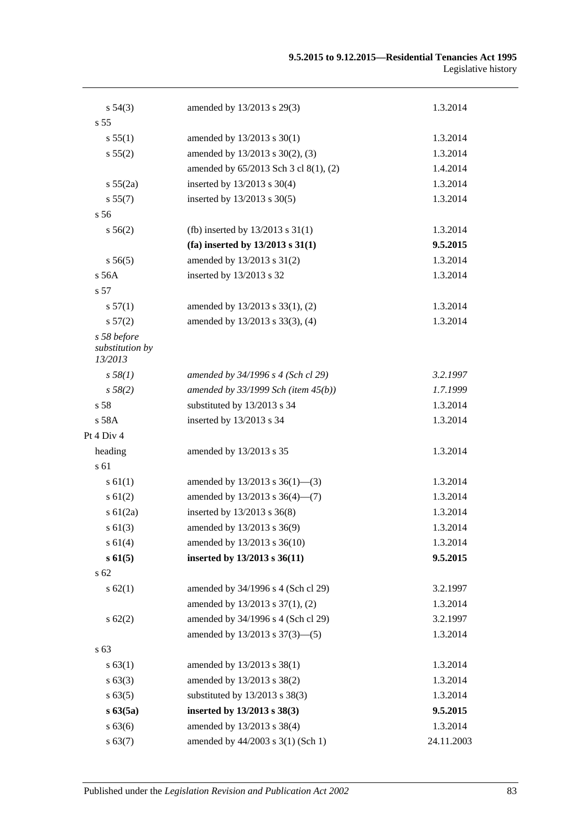| $s\,54(3)$                                | amended by 13/2013 s 29(3)               | 1.3.2014   |
|-------------------------------------------|------------------------------------------|------------|
| s <sub>55</sub>                           |                                          |            |
| s 55(1)                                   | amended by 13/2013 s 30(1)               | 1.3.2014   |
| s 55(2)                                   | amended by 13/2013 s 30(2), (3)          | 1.3.2014   |
|                                           | amended by 65/2013 Sch 3 cl 8(1), (2)    | 1.4.2014   |
| s 55(2a)                                  | inserted by 13/2013 s 30(4)              | 1.3.2014   |
| s 55(7)                                   | inserted by 13/2013 s 30(5)              | 1.3.2014   |
| s 56                                      |                                          |            |
| $s\,56(2)$                                | (fb) inserted by $13/2013$ s $31(1)$     | 1.3.2014   |
|                                           | (fa) inserted by $13/2013$ s $31(1)$     | 9.5.2015   |
| s 56(5)                                   | amended by 13/2013 s 31(2)               | 1.3.2014   |
| s 56A                                     | inserted by 13/2013 s 32                 | 1.3.2014   |
| s 57                                      |                                          |            |
| s 57(1)                                   | amended by 13/2013 s 33(1), (2)          | 1.3.2014   |
| s 57(2)                                   | amended by 13/2013 s 33(3), (4)          | 1.3.2014   |
| s 58 before<br>substitution by<br>13/2013 |                                          |            |
| $s\,58(1)$                                | amended by 34/1996 s 4 (Sch cl 29)       | 3.2.1997   |
| s 58(2)                                   | amended by $33/1999$ Sch (item $45(b)$ ) | 1.7.1999   |
| s 58                                      | substituted by 13/2013 s 34              | 1.3.2014   |
| s 58A                                     | inserted by 13/2013 s 34                 | 1.3.2014   |
| Pt 4 Div 4                                |                                          |            |
| heading                                   | amended by 13/2013 s 35                  | 1.3.2014   |
| s 61                                      |                                          |            |
| $s \, 61(1)$                              | amended by $13/2013$ s $36(1)$ —(3)      | 1.3.2014   |
| $s \, 61(2)$                              | amended by 13/2013 s 36(4)-(7)           | 1.3.2014   |
| $s \, 61(2a)$                             | inserted by 13/2013 s 36(8)              | 1.3.2014   |
| $s \ 61(3)$                               | amended by 13/2013 s 36(9)               | 1.3.2014   |
| s 61(4)                                   | amended by 13/2013 s 36(10)              | 1.3.2014   |
| s 61(5)                                   | inserted by 13/2013 s 36(11)             | 9.5.2015   |
| s <sub>62</sub>                           |                                          |            |
| $s \, 62(1)$                              | amended by 34/1996 s 4 (Sch cl 29)       | 3.2.1997   |
|                                           | amended by 13/2013 s 37(1), (2)          | 1.3.2014   |
| $s \, 62(2)$                              | amended by 34/1996 s 4 (Sch cl 29)       | 3.2.1997   |
|                                           | amended by 13/2013 s 37(3)-(5)           | 1.3.2014   |
| s 63                                      |                                          |            |
| s 63(1)                                   | amended by 13/2013 s 38(1)               | 1.3.2014   |
| $s \, 63(3)$                              | amended by 13/2013 s 38(2)               | 1.3.2014   |
| s 63(5)                                   | substituted by 13/2013 s 38(3)           | 1.3.2014   |
| $s\,63(5a)$                               | inserted by 13/2013 s 38(3)              | 9.5.2015   |
| s 63(6)                                   | amended by 13/2013 s 38(4)               | 1.3.2014   |
| s 63(7)                                   | amended by 44/2003 s 3(1) (Sch 1)        | 24.11.2003 |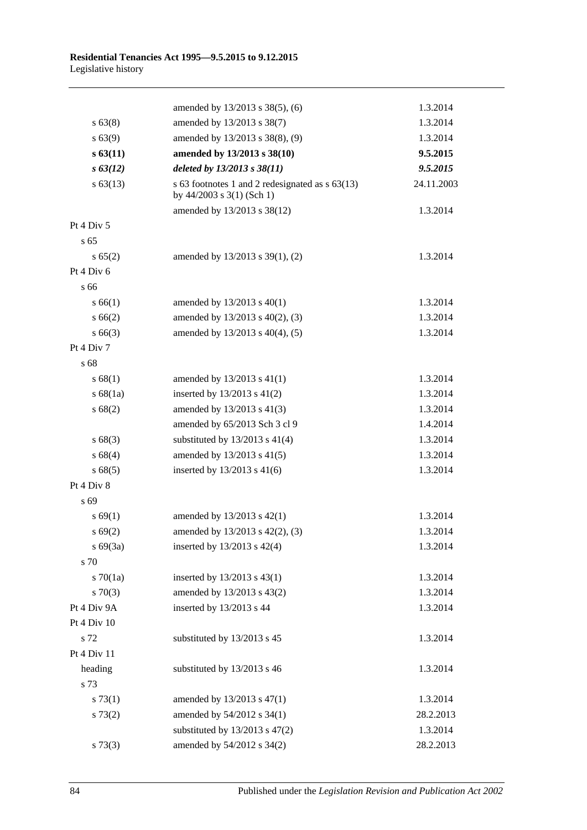|                 | amended by 13/2013 s 38(5), (6)                                                | 1.3.2014   |
|-----------------|--------------------------------------------------------------------------------|------------|
| $s\,63(8)$      | amended by 13/2013 s 38(7)                                                     | 1.3.2014   |
| $s\,63(9)$      | amended by 13/2013 s 38(8), (9)                                                | 1.3.2014   |
| s 63(11)        | amended by 13/2013 s 38(10)                                                    | 9.5.2015   |
| $s \, 63(12)$   | deleted by 13/2013 s 38(11)                                                    | 9.5.2015   |
| $s\,63(13)$     | s 63 footnotes 1 and 2 redesignated as $s$ 63(13)<br>by 44/2003 s 3(1) (Sch 1) | 24.11.2003 |
|                 | amended by 13/2013 s 38(12)                                                    | 1.3.2014   |
| Pt 4 Div 5      |                                                                                |            |
| s <sub>65</sub> |                                                                                |            |
| s 65(2)         | amended by 13/2013 s 39(1), (2)                                                | 1.3.2014   |
| Pt 4 Div 6      |                                                                                |            |
| s 66            |                                                                                |            |
| s 66(1)         | amended by 13/2013 s 40(1)                                                     | 1.3.2014   |
| s 66(2)         | amended by 13/2013 s 40(2), (3)                                                | 1.3.2014   |
| $s\,66(3)$      | amended by 13/2013 s 40(4), (5)                                                | 1.3.2014   |
| Pt 4 Div 7      |                                                                                |            |
| s 68            |                                                                                |            |
| s 68(1)         | amended by 13/2013 s 41(1)                                                     | 1.3.2014   |
| s 68(1a)        | inserted by 13/2013 s 41(2)                                                    | 1.3.2014   |
| s 68(2)         | amended by 13/2013 s 41(3)                                                     | 1.3.2014   |
|                 | amended by 65/2013 Sch 3 cl 9                                                  | 1.4.2014   |
| s 68(3)         | substituted by $13/2013$ s $41(4)$                                             | 1.3.2014   |
| s 68(4)         | amended by 13/2013 s 41(5)                                                     | 1.3.2014   |
| s 68(5)         | inserted by 13/2013 s 41(6)                                                    | 1.3.2014   |
| Pt 4 Div 8      |                                                                                |            |
| s 69            |                                                                                |            |
| s 69(1)         | amended by 13/2013 s 42(1)                                                     | 1.3.2014   |
| s 69(2)         | amended by 13/2013 s 42(2), (3)                                                | 1.3.2014   |
| $s\ 69(3a)$     | inserted by 13/2013 s 42(4)                                                    | 1.3.2014   |
| s 70            |                                                                                |            |
| $s \, 70(1a)$   | inserted by 13/2013 s 43(1)                                                    | 1.3.2014   |
| 570(3)          | amended by 13/2013 s 43(2)                                                     | 1.3.2014   |
| Pt 4 Div 9A     | inserted by 13/2013 s 44                                                       | 1.3.2014   |
| Pt 4 Div 10     |                                                                                |            |
| s 72            | substituted by 13/2013 s 45                                                    | 1.3.2014   |
| Pt 4 Div 11     |                                                                                |            |
| heading         | substituted by 13/2013 s 46                                                    | 1.3.2014   |
| s 73            |                                                                                |            |
| s 73(1)         | amended by 13/2013 s 47(1)                                                     | 1.3.2014   |
| s 73(2)         | amended by 54/2012 s 34(1)                                                     | 28.2.2013  |
|                 | substituted by $13/2013$ s $47(2)$                                             | 1.3.2014   |
| s 73(3)         | amended by 54/2012 s 34(2)                                                     | 28.2.2013  |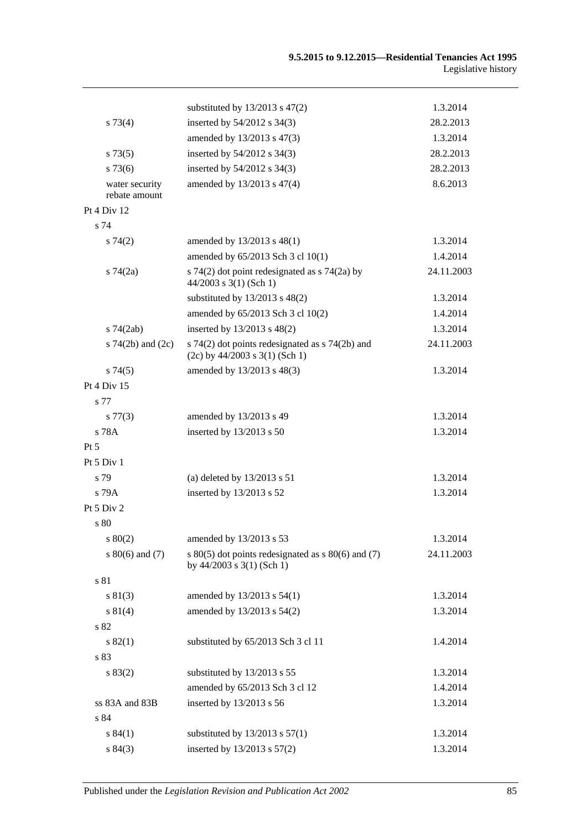|                                 | substituted by $13/2013$ s $47(2)$                                                      | 1.3.2014   |
|---------------------------------|-----------------------------------------------------------------------------------------|------------|
| $s \, 73(4)$                    | inserted by 54/2012 s 34(3)                                                             | 28.2.2013  |
|                                 | amended by 13/2013 s 47(3)                                                              | 1.3.2014   |
| s 73(5)                         | inserted by 54/2012 s 34(3)                                                             | 28.2.2013  |
| $s\,73(6)$                      | inserted by 54/2012 s 34(3)                                                             | 28.2.2013  |
| water security<br>rebate amount | amended by 13/2013 s 47(4)                                                              | 8.6.2013   |
| Pt 4 Div 12                     |                                                                                         |            |
| s 74                            |                                                                                         |            |
| s 74(2)                         | amended by 13/2013 s 48(1)                                                              | 1.3.2014   |
|                                 | amended by 65/2013 Sch 3 cl 10(1)                                                       | 1.4.2014   |
| $s \, 74(2a)$                   | s 74(2) dot point redesignated as $\frac{1}{2}$ 74(2a) by<br>$44/2003$ s 3(1) (Sch 1)   | 24.11.2003 |
|                                 | substituted by $13/2013$ s $48(2)$                                                      | 1.3.2014   |
|                                 | amended by 65/2013 Sch 3 cl 10(2)                                                       | 1.4.2014   |
| $s$ 74 $(2ab)$                  | inserted by 13/2013 s 48(2)                                                             | 1.3.2014   |
| s $74(2b)$ and $(2c)$           | s $74(2)$ dot points redesignated as s $74(2b)$ and<br>$(2c)$ by 44/2003 s 3(1) (Sch 1) | 24.11.2003 |
| s74(5)                          | amended by 13/2013 s 48(3)                                                              | 1.3.2014   |
| Pt 4 Div 15                     |                                                                                         |            |
| s 77                            |                                                                                         |            |
| s 77(3)                         | amended by 13/2013 s 49                                                                 | 1.3.2014   |
| s 78A                           | inserted by 13/2013 s 50                                                                | 1.3.2014   |
| $Pt\,5$                         |                                                                                         |            |
| Pt 5 Div 1                      |                                                                                         |            |
| s 79                            | (a) deleted by $13/2013$ s $51$                                                         | 1.3.2014   |
| $s$ 79 $A$                      | inserted by 13/2013 s 52                                                                | 1.3.2014   |
| Pt 5 Div 2                      |                                                                                         |            |
| s 80                            |                                                                                         |            |
| 80(2)                           | amended by 13/2013 s 53                                                                 | 1.3.2014   |
| s $80(6)$ and $(7)$             | s $80(5)$ dot points redesignated as s $80(6)$ and (7)<br>by $44/2003$ s $3(1)$ (Sch 1) | 24.11.2003 |
| s 81                            |                                                                                         |            |
| s 81(3)                         | amended by 13/2013 s 54(1)                                                              | 1.3.2014   |
| s 81(4)                         | amended by 13/2013 s 54(2)                                                              | 1.3.2014   |
| s 82                            |                                                                                         |            |
| s 82(1)                         | substituted by 65/2013 Sch 3 cl 11                                                      | 1.4.2014   |
| s 83                            |                                                                                         |            |
| s 83(2)                         | substituted by 13/2013 s 55                                                             | 1.3.2014   |
|                                 | amended by 65/2013 Sch 3 cl 12                                                          | 1.4.2014   |
| ss 83A and 83B                  | inserted by 13/2013 s 56                                                                | 1.3.2014   |
| s 84                            |                                                                                         |            |
| s 84(1)                         | substituted by $13/2013$ s $57(1)$                                                      | 1.3.2014   |
| s 84(3)                         | inserted by 13/2013 s 57(2)                                                             | 1.3.2014   |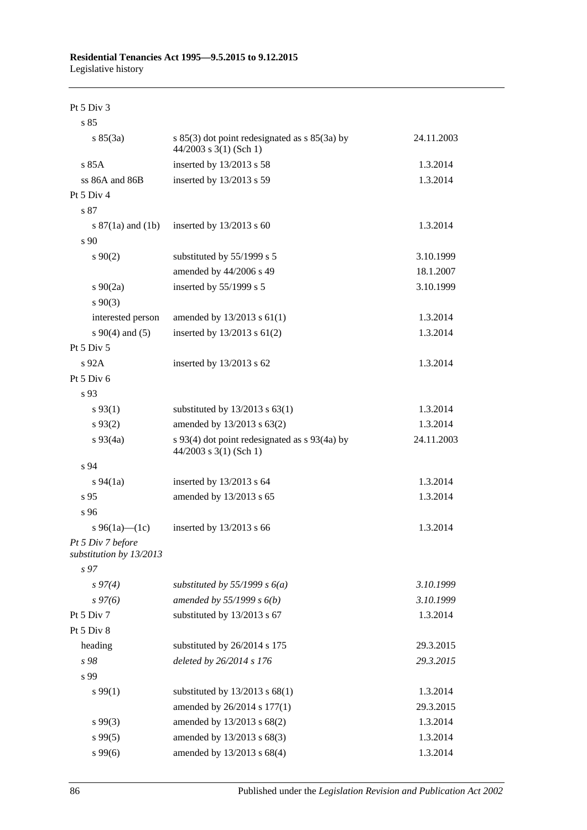Pt 5 Div 3

| s 85                                         |                                                                               |            |
|----------------------------------------------|-------------------------------------------------------------------------------|------------|
| s 85(3a)                                     | s $85(3)$ dot point redesignated as s $85(3a)$ by<br>$44/2003$ s 3(1) (Sch 1) | 24.11.2003 |
| s85A                                         | inserted by 13/2013 s 58                                                      | 1.3.2014   |
| $ss 86A$ and $86B$                           | inserted by 13/2013 s 59                                                      | 1.3.2014   |
| Pt 5 Div 4                                   |                                                                               |            |
| s 87                                         |                                                                               |            |
| s $87(1a)$ and $(1b)$                        | inserted by 13/2013 s 60                                                      | 1.3.2014   |
| s 90                                         |                                                                               |            |
| $s\,90(2)$                                   | substituted by 55/1999 s 5                                                    | 3.10.1999  |
|                                              | amended by 44/2006 s 49                                                       | 18.1.2007  |
| $s \ 90(2a)$                                 | inserted by 55/1999 s 5                                                       | 3.10.1999  |
| $s\,90(3)$                                   |                                                                               |            |
| interested person                            | amended by $13/2013$ s $61(1)$                                                | 1.3.2014   |
| $s \ 90(4)$ and (5)                          | inserted by $13/2013$ s $61(2)$                                               | 1.3.2014   |
| Pt 5 Div 5                                   |                                                                               |            |
| s 92A                                        | inserted by 13/2013 s 62                                                      | 1.3.2014   |
| Pt 5 Div 6                                   |                                                                               |            |
| s 93                                         |                                                                               |            |
| $s\,93(1)$                                   | substituted by $13/2013$ s $63(1)$                                            | 1.3.2014   |
| $s\,93(2)$                                   | amended by 13/2013 s 63(2)                                                    | 1.3.2014   |
| $s\,93(4a)$                                  | s 93(4) dot point redesignated as s 93(4a) by<br>44/2003 s 3(1) (Sch 1)       | 24.11.2003 |
| s 94                                         |                                                                               |            |
| $s\,94(1a)$                                  | inserted by 13/2013 s 64                                                      | 1.3.2014   |
| s 95                                         | amended by 13/2013 s 65                                                       | 1.3.2014   |
| s 96                                         |                                                                               |            |
| s 96(1a)—(1c)                                | inserted by 13/2013 s 66                                                      | 1.3.2014   |
| Pt 5 Div 7 before<br>substitution by 13/2013 |                                                                               |            |
| s 97                                         |                                                                               |            |
| $s\,97(4)$                                   | substituted by 55/1999 s $6(a)$                                               | 3.10.1999  |
| $s\,97(6)$                                   | amended by $55/1999 s 6(b)$                                                   | 3.10.1999  |
| Pt 5 Div 7                                   | substituted by 13/2013 s 67                                                   | 1.3.2014   |
| Pt 5 Div 8                                   |                                                                               |            |
| heading                                      | substituted by 26/2014 s 175                                                  | 29.3.2015  |
| s 98                                         | deleted by 26/2014 s 176                                                      | 29.3.2015  |
| s 99                                         |                                                                               |            |
| s 99(1)                                      | substituted by $13/2013$ s $68(1)$                                            | 1.3.2014   |
|                                              | amended by 26/2014 s 177(1)                                                   | 29.3.2015  |
| $s\,99(3)$                                   | amended by 13/2013 s 68(2)                                                    | 1.3.2014   |
| $s\,99(5)$                                   | amended by 13/2013 s 68(3)                                                    | 1.3.2014   |
| s99(6)                                       | amended by 13/2013 s 68(4)                                                    | 1.3.2014   |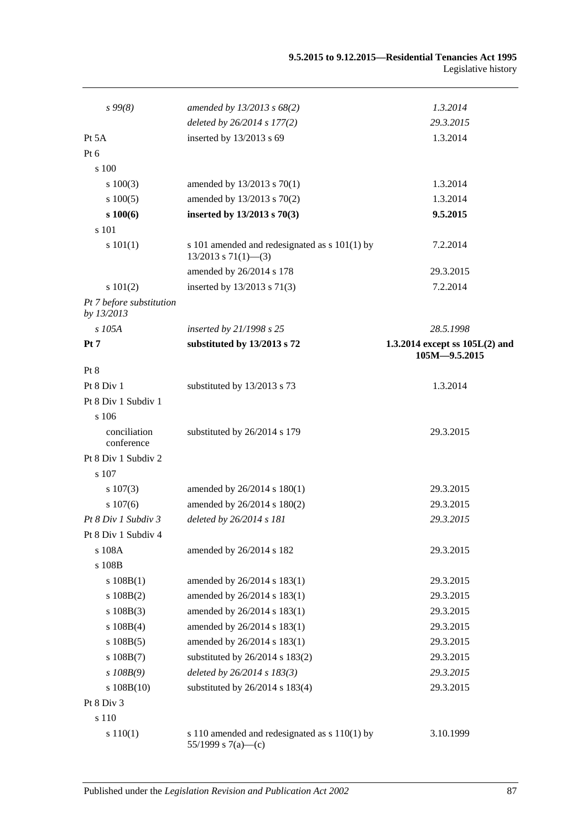### **9.5.2015 to 9.12.2015—Residential Tenancies Act 1995** Legislative history

| $s\,99(8)$                             | amended by $13/2013$ s $68(2)$                                              | 1.3.2014                         |
|----------------------------------------|-----------------------------------------------------------------------------|----------------------------------|
|                                        | deleted by 26/2014 s 177(2)                                                 | 29.3.2015                        |
| Pt 5A                                  | inserted by 13/2013 s 69                                                    | 1.3.2014                         |
| Pt $6$                                 |                                                                             |                                  |
| s 100                                  |                                                                             |                                  |
| s 100(3)                               | amended by 13/2013 s 70(1)                                                  | 1.3.2014                         |
| $s\ 100(5)$                            | amended by 13/2013 s 70(2)                                                  | 1.3.2014                         |
| $s\,100(6)$                            | inserted by 13/2013 s 70(3)                                                 | 9.5.2015                         |
| s 101                                  |                                                                             |                                  |
| s 101(1)                               | s 101 amended and redesignated as $s$ 101(1) by<br>$13/2013$ s $71(1)$ —(3) | 7.2.2014                         |
|                                        | amended by 26/2014 s 178                                                    | 29.3.2015                        |
| s 101(2)                               | inserted by 13/2013 s 71(3)                                                 | 7.2.2014                         |
| Pt 7 before substitution<br>by 13/2013 |                                                                             |                                  |
| s 105A                                 | inserted by 21/1998 s 25                                                    | 28.5.1998                        |
| Pt 7                                   | substituted by 13/2013 s 72                                                 | 1.3.2014 except ss $105L(2)$ and |
|                                        |                                                                             | $105M - 9.5.2015$                |
| Pt 8                                   |                                                                             |                                  |
| Pt 8 Div 1                             | substituted by 13/2013 s 73                                                 | 1.3.2014                         |
| Pt 8 Div 1 Subdiv 1                    |                                                                             |                                  |
| s 106                                  |                                                                             |                                  |
| conciliation<br>conference             | substituted by 26/2014 s 179                                                | 29.3.2015                        |
| Pt 8 Div 1 Subdiv 2                    |                                                                             |                                  |
| s 107                                  |                                                                             |                                  |
| $s\ 107(3)$                            | amended by $26/2014$ s $180(1)$                                             | 29.3.2015                        |
| s 107(6)                               | amended by 26/2014 s 180(2)                                                 | 29.3.2015                        |
| Pt 8 Div 1 Subdiv 3                    | deleted by 26/2014 s 181                                                    | 29.3.2015                        |
| Pt 8 Div 1 Subdiv 4                    |                                                                             |                                  |
| s 108A                                 | amended by 26/2014 s 182                                                    | 29.3.2015                        |
| s 108B                                 |                                                                             |                                  |
| s 108B(1)                              | amended by 26/2014 s 183(1)                                                 | 29.3.2015                        |
| s 108B(2)                              | amended by 26/2014 s 183(1)                                                 | 29.3.2015                        |
| $s\ 108B(3)$                           | amended by 26/2014 s 183(1)                                                 | 29.3.2015                        |
| $s\ 108B(4)$                           | amended by 26/2014 s 183(1)                                                 | 29.3.2015                        |
| s 108B(5)                              | amended by 26/2014 s 183(1)                                                 | 29.3.2015                        |
| $s\ 108B(7)$                           | substituted by 26/2014 s 183(2)                                             | 29.3.2015                        |
| $s$ 108B(9)                            | deleted by 26/2014 s 183(3)                                                 | 29.3.2015                        |
| $s\ 108B(10)$                          | substituted by 26/2014 s 183(4)                                             | 29.3.2015                        |
| Pt 8 Div 3                             |                                                                             |                                  |
| s 110                                  |                                                                             |                                  |
| s 110(1)                               | s 110 amended and redesignated as s 110(1) by<br>55/1999 s 7(a)—(c)         | 3.10.1999                        |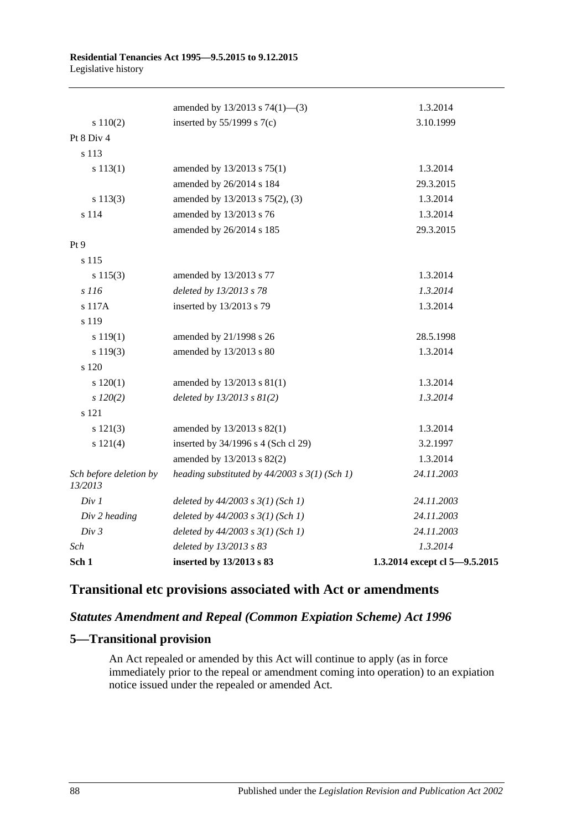|                                   | amended by $13/2013$ s $74(1)$ —(3)               | 1.3.2014                      |
|-----------------------------------|---------------------------------------------------|-------------------------------|
| s 110(2)                          | inserted by $55/1999$ s $7(c)$                    | 3.10.1999                     |
| Pt 8 Div 4                        |                                                   |                               |
| s 113                             |                                                   |                               |
| s 113(1)                          | amended by 13/2013 s 75(1)                        | 1.3.2014                      |
|                                   | amended by 26/2014 s 184                          | 29.3.2015                     |
| s 113(3)                          | amended by 13/2013 s 75(2), (3)                   | 1.3.2014                      |
| s 114                             | amended by 13/2013 s 76                           | 1.3.2014                      |
|                                   | amended by 26/2014 s 185                          | 29.3.2015                     |
| Pt 9                              |                                                   |                               |
| s 115                             |                                                   |                               |
| s 115(3)                          | amended by 13/2013 s 77                           | 1.3.2014                      |
| s 116                             | deleted by 13/2013 s 78                           | 1.3.2014                      |
| s 117A                            | inserted by 13/2013 s 79                          | 1.3.2014                      |
| s 119                             |                                                   |                               |
| s 119(1)                          | amended by 21/1998 s 26                           | 28.5.1998                     |
| s 119(3)                          | amended by 13/2013 s 80                           | 1.3.2014                      |
| s 120                             |                                                   |                               |
| 120(1)                            | amended by 13/2013 s 81(1)                        | 1.3.2014                      |
| $s$ 120(2)                        | deleted by $13/2013$ s $81(2)$                    | 1.3.2014                      |
| s 121                             |                                                   |                               |
| s 121(3)                          | amended by 13/2013 s 82(1)                        | 1.3.2014                      |
| s 121(4)                          | inserted by 34/1996 s 4 (Sch cl 29)               | 3.2.1997                      |
|                                   | amended by 13/2013 s 82(2)                        | 1.3.2014                      |
| Sch before deletion by<br>13/2013 | heading substituted by $44/2003$ s $3(1)$ (Sch 1) | 24.11.2003                    |
| Div 1                             | deleted by $44/2003$ s $3(1)$ (Sch 1)             | 24.11.2003                    |
| Div 2 heading                     | deleted by $44/2003$ s $3(1)$ (Sch 1)             | 24.11.2003                    |
| Div 3                             | deleted by $44/2003$ s $3(1)$ (Sch 1)             | 24.11.2003                    |
| Sch                               | deleted by 13/2013 s 83                           | 1.3.2014                      |
| Sch 1                             | inserted by 13/2013 s 83                          | 1.3.2014 except cl 5-9.5.2015 |

# **Transitional etc provisions associated with Act or amendments**

## *Statutes Amendment and Repeal (Common Expiation Scheme) Act 1996*

### **5—Transitional provision**

An Act repealed or amended by this Act will continue to apply (as in force immediately prior to the repeal or amendment coming into operation) to an expiation notice issued under the repealed or amended Act.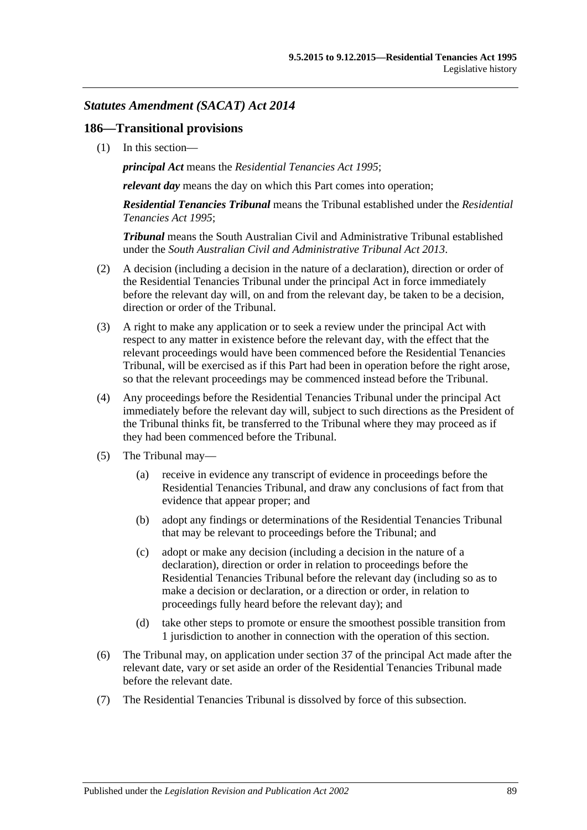### *Statutes Amendment (SACAT) Act 2014*

### **186—Transitional provisions**

(1) In this section—

*principal Act* means the *[Residential Tenancies Act](http://www.legislation.sa.gov.au/index.aspx?action=legref&type=act&legtitle=Residential%20Tenancies%20Act%201995) 1995*;

*relevant day* means the day on which this Part comes into operation;

*Residential Tenancies Tribunal* means the Tribunal established under the *[Residential](http://www.legislation.sa.gov.au/index.aspx?action=legref&type=act&legtitle=Residential%20Tenancies%20Act%201995)  [Tenancies Act](http://www.legislation.sa.gov.au/index.aspx?action=legref&type=act&legtitle=Residential%20Tenancies%20Act%201995) 1995*;

*Tribunal* means the South Australian Civil and Administrative Tribunal established under the *[South Australian Civil and Administrative Tribunal Act](http://www.legislation.sa.gov.au/index.aspx?action=legref&type=act&legtitle=South%20Australian%20Civil%20and%20Administrative%20Tribunal%20Act%202013) 2013*.

- (2) A decision (including a decision in the nature of a declaration), direction or order of the Residential Tenancies Tribunal under the principal Act in force immediately before the relevant day will, on and from the relevant day, be taken to be a decision, direction or order of the Tribunal.
- (3) A right to make any application or to seek a review under the principal Act with respect to any matter in existence before the relevant day, with the effect that the relevant proceedings would have been commenced before the Residential Tenancies Tribunal, will be exercised as if this Part had been in operation before the right arose, so that the relevant proceedings may be commenced instead before the Tribunal.
- (4) Any proceedings before the Residential Tenancies Tribunal under the principal Act immediately before the relevant day will, subject to such directions as the President of the Tribunal thinks fit, be transferred to the Tribunal where they may proceed as if they had been commenced before the Tribunal.
- (5) The Tribunal may—
	- (a) receive in evidence any transcript of evidence in proceedings before the Residential Tenancies Tribunal, and draw any conclusions of fact from that evidence that appear proper; and
	- (b) adopt any findings or determinations of the Residential Tenancies Tribunal that may be relevant to proceedings before the Tribunal; and
	- (c) adopt or make any decision (including a decision in the nature of a declaration), direction or order in relation to proceedings before the Residential Tenancies Tribunal before the relevant day (including so as to make a decision or declaration, or a direction or order, in relation to proceedings fully heard before the relevant day); and
	- (d) take other steps to promote or ensure the smoothest possible transition from 1 jurisdiction to another in connection with the operation of this section.
- (6) The Tribunal may, on application under section 37 of the principal Act made after the relevant date, vary or set aside an order of the Residential Tenancies Tribunal made before the relevant date.
- <span id="page-88-0"></span>(7) The Residential Tenancies Tribunal is dissolved by force of this subsection.